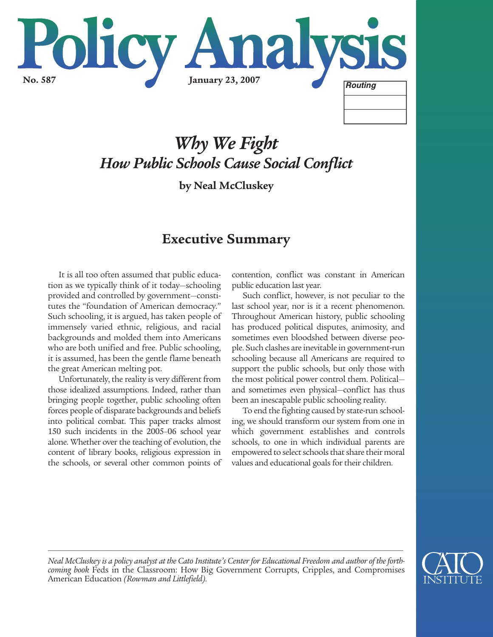

# *Why We Fight How Public Schools Cause Social Conflict*

**by Neal McCluskey**

# **Executive Summary**

It is all too often assumed that public education as we typically think of it today—schooling provided and controlled by government—constitutes the "foundation of American democracy." Such schooling, it is argued, has taken people of immensely varied ethnic, religious, and racial backgrounds and molded them into Americans who are both unified and free. Public schooling, it is assumed, has been the gentle flame beneath the great American melting pot.

Unfortunately, the reality is very different from those idealized assumptions. Indeed, rather than bringing people together, public schooling often forces people of disparate backgrounds and beliefs into political combat. This paper tracks almost 150 such incidents in the 2005–06 school year alone. Whether over the teaching of evolution, the content of library books, religious expression in the schools, or several other common points of contention, conflict was constant in American public education last year.

Such conflict, however, is not peculiar to the last school year, nor is it a recent phenomenon. Throughout American history, public schooling has produced political disputes, animosity, and sometimes even bloodshed between diverse people. Such clashes are inevitable in government-run schooling because all Americans are required to support the public schools, but only those with the most political power control them. Political and sometimes even physical—conflict has thus been an inescapable public schooling reality.

To end the fighting caused by state-run schooling, we should transform our system from one in which government establishes and controls schools, to one in which individual parents are empowered to select schools that share their moral values and educational goals for their children.



*Neal McCluskey is a policy analyst at the Cato Institute's Center for Educational Freedom and author of the forthcoming book* Feds in the Classroom: How Big Government Corrupts, Cripples, and Compromises American Education *(Rowman and Littlefield).*

*\_\_\_\_\_\_\_\_\_\_\_\_\_\_\_\_\_\_\_\_\_\_\_\_\_\_\_\_\_\_\_\_\_\_\_\_\_\_\_\_\_\_\_\_\_\_\_\_\_\_\_\_\_\_\_\_\_\_\_\_\_\_\_\_\_\_\_\_\_\_\_\_\_\_\_\_\_\_\_\_\_\_\_\_\_\_\_\_\_\_\_\_\_\_\_\_\_\_\_\_\_*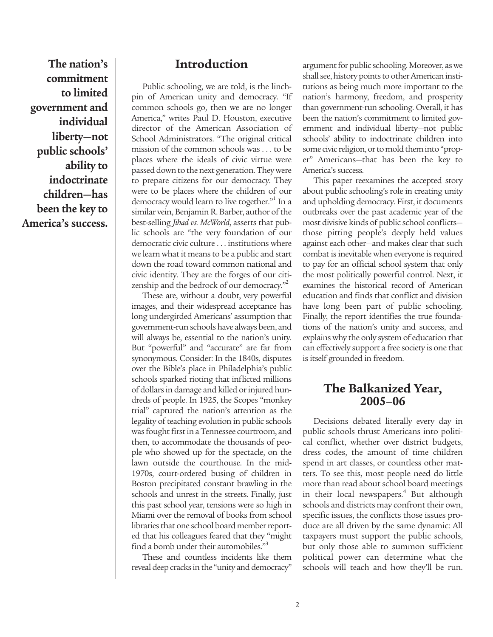**The nation's commitment to limited government and individual liberty—not public schools' ability to indoctrinate children—has been the key to America's success.**

# **Introduction**

Public schooling, we are told, is the linchpin of American unity and democracy. "If common schools go, then we are no longer America," writes Paul D. Houston, executive director of the American Association of School Administrators. "The original critical mission of the common schools was . . . to be places where the ideals of civic virtue were passed down to the next generation. They were to prepare citizens for our democracy. They were to be places where the children of our democracy would learn to live together."<sup>1</sup> In a similar vein, Benjamin R. Barber, author of the best-selling *Jihad vs. McWorld*, asserts that public schools are "the very foundation of our democratic civic culture . . . institutions where we learn what it means to be a public and start down the road toward common national and civic identity. They are the forges of our citizenship and the bedrock of our democracy."

These are, without a doubt, very powerful images, and their widespread acceptance has long undergirded Americans' assumption that government-run schools have always been, and will always be, essential to the nation's unity. But "powerful" and "accurate" are far from synonymous. Consider: In the 1840s, disputes over the Bible's place in Philadelphia's public schools sparked rioting that inflicted millions of dollars in damage and killed or injured hundreds of people. In 1925, the Scopes "monkey trial" captured the nation's attention as the legality of teaching evolution in public schools was fought first in a Tennessee courtroom, and then, to accommodate the thousands of people who showed up for the spectacle, on the lawn outside the courthouse. In the mid-1970s, court-ordered busing of children in Boston precipitated constant brawling in the schools and unrest in the streets. Finally, just this past school year, tensions were so high in Miami over the removal of books from school libraries that one school board member reported that his colleagues feared that they "might find a bomb under their automobiles."<sup>3</sup>

These and countless incidents like them reveal deep cracks in the "unity and democracy" argument for public schooling. Moreover, as we shall see, history points to other American institutions as being much more important to the nation's harmony, freedom, and prosperity than government-run schooling. Overall, it has been the nation's commitment to limited government and individual liberty—not public schools' ability to indoctrinate children into some civic religion, or to mold them into "proper" Americans—that has been the key to America's success.

This paper reexamines the accepted story about public schooling's role in creating unity and upholding democracy. First, it documents outbreaks over the past academic year of the most divisive kinds of public school conflicts those pitting people's deeply held values against each other—and makes clear that such combat is inevitable when everyone is required to pay for an official school system that only the most politically powerful control. Next, it examines the historical record of American education and finds that conflict and division have long been part of public schooling. Finally, the report identifies the true foundations of the nation's unity and success, and explains why the only system of education that can effectively support a free society is one that is itself grounded in freedom.

# **The Balkanized Year, 2005–06**

Decisions debated literally every day in public schools thrust Americans into political conflict, whether over district budgets, dress codes, the amount of time children spend in art classes, or countless other matters. To see this, most people need do little more than read about school board meetings in their local newspapers.<sup>4</sup> But although schools and districts may confront their own, specific issues, the conflicts those issues produce are all driven by the same dynamic: All taxpayers must support the public schools, but only those able to summon sufficient political power can determine what the schools will teach and how they'll be run.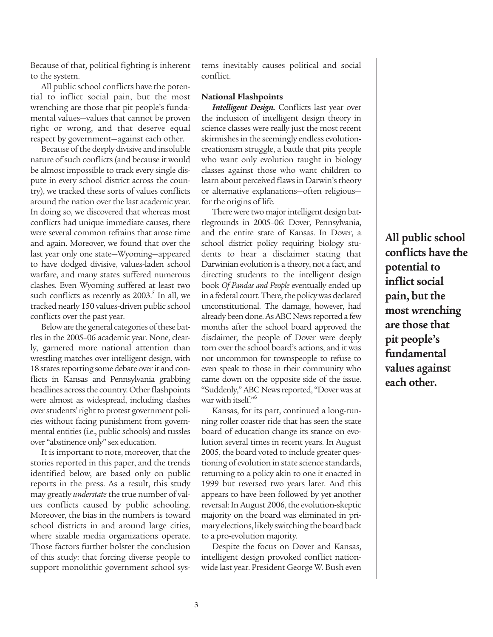Because of that, political fighting is inherent to the system.

All public school conflicts have the potential to inflict social pain, but the most wrenching are those that pit people's fundamental values—values that cannot be proven right or wrong, and that deserve equal respect by government—against each other.

Because of the deeply divisive and insoluble nature of such conflicts (and because it would be almost impossible to track every single dispute in every school district across the country), we tracked these sorts of values conflicts around the nation over the last academic year. In doing so, we discovered that whereas most conflicts had unique immediate causes, there were several common refrains that arose time and again. Moreover, we found that over the last year only one state—Wyoming—appeared to have dodged divisive, values-laden school warfare, and many states suffered numerous clashes. Even Wyoming suffered at least two such conflicts as recently as  $2003$ .<sup>5</sup> In all, we tracked nearly 150 values-driven public school conflicts over the past year.

Below are the general categories of these battles in the 2005–06 academic year. None, clearly, garnered more national attention than wrestling matches over intelligent design, with 18 states reporting some debate over it and conflicts in Kansas and Pennsylvania grabbing headlines across the country. Other flashpoints were almost as widespread, including clashes over students' right to protest government policies without facing punishment from governmental entities (i.e., public schools) and tussles over "abstinence only" sex education.

It is important to note, moreover, that the stories reported in this paper, and the trends identified below, are based only on public reports in the press. As a result, this study may greatly *understate* the true number of values conflicts caused by public schooling. Moreover, the bias in the numbers is toward school districts in and around large cities, where sizable media organizations operate. Those factors further bolster the conclusion of this study: that forcing diverse people to support monolithic government school systems inevitably causes political and social conflict.

## **National Flashpoints**

*Intelligent Design.* Conflicts last year over the inclusion of intelligent design theory in science classes were really just the most recent skirmishes in the seemingly endless evolutioncreationism struggle, a battle that pits people who want only evolution taught in biology classes against those who want children to learn about perceived flaws in Darwin's theory or alternative explanations—often religious for the origins of life.

There were two major intelligent design battlegrounds in 2005–06: Dover, Pennsylvania, and the entire state of Kansas. In Dover, a school district policy requiring biology students to hear a disclaimer stating that Darwinian evolution is a theory, not a fact, and directing students to the intelligent design book *Of Pandas and People* eventually ended up in a federal court. There, the policy was declared unconstitutional. The damage, however, had already been done. As ABC News reported a few months after the school board approved the disclaimer, the people of Dover were deeply torn over the school board's actions, and it was not uncommon for townspeople to refuse to even speak to those in their community who came down on the opposite side of the issue. "Suddenly," ABC News reported, "Dover was at war with itself."<sup>6</sup>

Kansas, for its part, continued a long-running roller coaster ride that has seen the state board of education change its stance on evolution several times in recent years. In August 2005, the board voted to include greater questioning of evolution in state science standards, returning to a policy akin to one it enacted in 1999 but reversed two years later. And this appears to have been followed by yet another reversal: In August 2006, the evolution-skeptic majority on the board was eliminated in primary elections, likely switching the board back to a pro-evolution majority.

Despite the focus on Dover and Kansas, intelligent design provoked conflict nationwide last year. President George W. Bush even

**All public school conflicts have the potential to inflict social pain, but the most wrenching are those that pit people's fundamental values against each other.**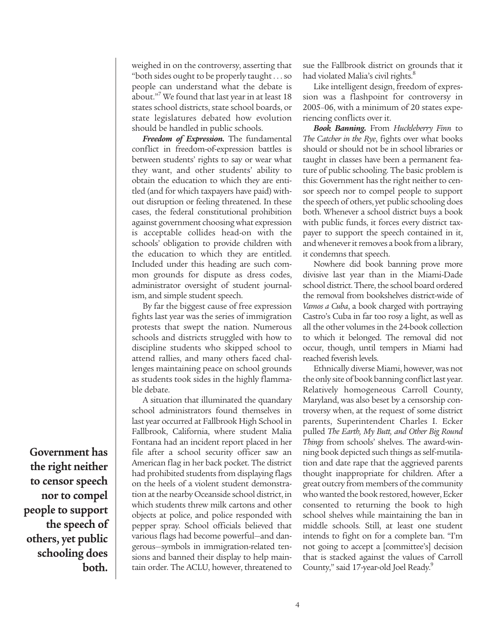weighed in on the controversy, asserting that "both sides ought to be properly taught . . . so people can understand what the debate is about."<sup>7</sup> We found that last year in at least 18 states school districts, state school boards, or state legislatures debated how evolution should be handled in public schools.

*Freedom of Expression.* The fundamental conflict in freedom-of-expression battles is between students' rights to say or wear what they want, and other students' ability to obtain the education to which they are entitled (and for which taxpayers have paid) without disruption or feeling threatened. In these cases, the federal constitutional prohibition against government choosing what expression is acceptable collides head-on with the schools' obligation to provide children with the education to which they are entitled. Included under this heading are such common grounds for dispute as dress codes, administrator oversight of student journalism, and simple student speech.

By far the biggest cause of free expression fights last year was the series of immigration protests that swept the nation. Numerous schools and districts struggled with how to discipline students who skipped school to attend rallies, and many others faced challenges maintaining peace on school grounds as students took sides in the highly flammable debate.

A situation that illuminated the quandary school administrators found themselves in last year occurred at Fallbrook High School in Fallbrook, California, where student Malia Fontana had an incident report placed in her file after a school security officer saw an American flag in her back pocket. The district had prohibited students from displaying flags on the heels of a violent student demonstration at the nearby Oceanside school district, in which students threw milk cartons and other objects at police, and police responded with pepper spray. School officials believed that various flags had become powerful—and dangerous—symbols in immigration-related tensions and banned their display to help maintain order. The ACLU, however, threatened to

sue the Fallbrook district on grounds that it had violated Malia's civil rights.<sup>8</sup>

Like intelligent design, freedom of expression was a flashpoint for controversy in 2005–06, with a minimum of 20 states experiencing conflicts over it.

*Book Banning.* From *Huckleberry Finn* to *The Catcher in the Rye*, fights over what books should or should not be in school libraries or taught in classes have been a permanent feature of public schooling. The basic problem is this: Government has the right neither to censor speech nor to compel people to support the speech of others, yet public schooling does both. Whenever a school district buys a book with public funds, it forces every district taxpayer to support the speech contained in it, and whenever it removes a book from a library, it condemns that speech.

Nowhere did book banning prove more divisive last year than in the Miami-Dade school district. There, the school board ordered the removal from bookshelves district-wide of *Vamos a Cuba*, a book charged with portraying Castro's Cuba in far too rosy a light, as well as all the other volumes in the 24-book collection to which it belonged. The removal did not occur, though, until tempers in Miami had reached feverish levels.

Ethnically diverse Miami, however, was not the only site of book banning conflict last year. Relatively homogeneous Carroll County, Maryland, was also beset by a censorship controversy when, at the request of some district parents, Superintendent Charles I. Ecker pulled *The Earth, My Butt, and Other Big Round Things* from schools' shelves. The award-winning book depicted such things as self-mutilation and date rape that the aggrieved parents thought inappropriate for children. After a great outcry from members of the community who wanted the book restored, however, Ecker consented to returning the book to high school shelves while maintaining the ban in middle schools. Still, at least one student intends to fight on for a complete ban. "I'm not going to accept a [committee's] decision that is stacked against the values of Carroll County," said 17-year-old Joel Ready.<sup>9</sup>

**Government has the right neither to censor speech nor to compel people to support the speech of others, yet public schooling does both.**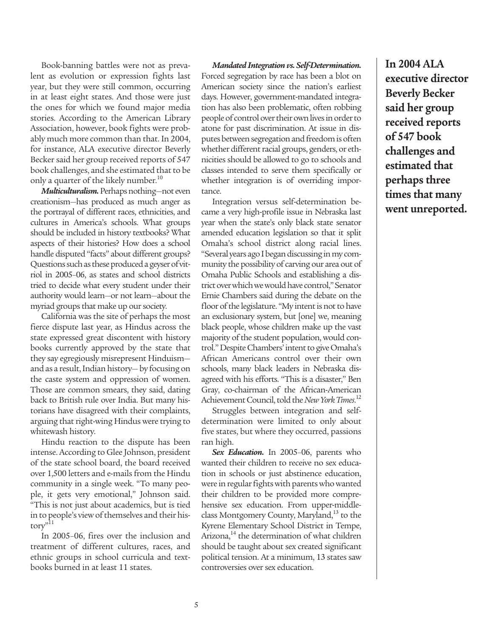Book-banning battles were not as prevalent as evolution or expression fights last year, but they were still common, occurring in at least eight states. And those were just the ones for which we found major media stories. According to the American Library Association, however, book fights were probably much more common than that. In 2004, for instance, ALA executive director Beverly Becker said her group received reports of 547 book challenges, and she estimated that to be only a quarter of the likely number.<sup>10</sup>

*Multiculturalism.*Perhaps nothing—not even creationism—has produced as much anger as the portrayal of different races, ethnicities, and cultures in America's schools. What groups should be included in history textbooks? What aspects of their histories? How does a school handle disputed "facts" about different groups? Questions such as these produced a geyser of vitriol in 2005–06, as states and school districts tried to decide what every student under their authority would learn—or not learn—about the myriad groups that make up our society.

California was the site of perhaps the most fierce dispute last year, as Hindus across the state expressed great discontent with history books currently approved by the state that they say egregiously misrepresent Hinduism and as a result, Indian history— by focusing on the caste system and oppression of women. Those are common smears, they said, dating back to British rule over India. But many historians have disagreed with their complaints, arguing that right-wing Hindus were trying to whitewash history.

Hindu reaction to the dispute has been intense. According to Glee Johnson, president of the state school board, the board received over 1,500 letters and e-mails from the Hindu community in a single week. "To many people, it gets very emotional," Johnson said. "This is not just about academics, but is tied in to people's view of themselves and their history"<sup>11</sup>

In 2005–06, fires over the inclusion and treatment of different cultures, races, and ethnic groups in school curricula and textbooks burned in at least 11 states.

*Mandated Integration vs. Self-Determination.* Forced segregation by race has been a blot on American society since the nation's earliest days. However, government-mandated integration has also been problematic, often robbing people of control over their own lives in order to atone for past discrimination. At issue in disputes between segregation and freedom is often whether different racial groups, genders, or ethnicities should be allowed to go to schools and classes intended to serve them specifically or whether integration is of overriding importance.

Integration versus self-determination became a very high-profile issue in Nebraska last year when the state's only black state senator amended education legislation so that it split Omaha's school district along racial lines. "Several years ago I began discussing in my community the possibility of carving our area out of Omaha Public Schools and establishing a district over which we would have control," Senator Ernie Chambers said during the debate on the floor of the legislature. "My intent is not to have an exclusionary system, but [one] we, meaning black people, whose children make up the vast majority of the student population, would control." Despite Chambers' intent to give Omaha's African Americans control over their own schools, many black leaders in Nebraska disagreed with his efforts. "This is a disaster," Ben Gray, co-chairman of the African-American Achievement Council, told the *New York Times*. 12

Struggles between integration and selfdetermination were limited to only about five states, but where they occurred, passions ran high.

*Sex Education.* In 2005–06, parents who wanted their children to receive no sex education in schools or just abstinence education, were in regular fights with parents who wanted their children to be provided more comprehensive sex education. From upper-middleclass Montgomery County, Maryland,<sup>13</sup> to the Kyrene Elementary School District in Tempe, Arizona, $14$  the determination of what children should be taught about sex created significant political tension. At a minimum, 13 states saw controversies over sex education.

**In 2004 ALA executive director Beverly Becker said her group received reports of 547 book challenges and estimated that perhaps three times that many went unreported.**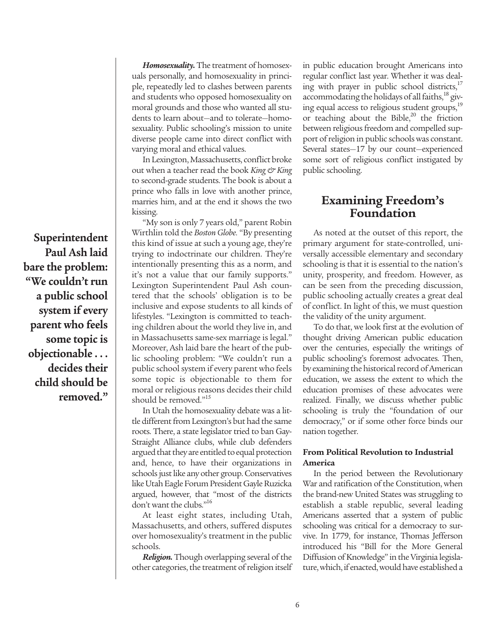**Superintendent Paul Ash laid bare the problem: "We couldn't run a public school system if every parent who feels some topic is objectionable . . . decides their child should be removed."** 

*Homosexuality.* The treatment of homosexuals personally, and homosexuality in principle, repeatedly led to clashes between parents and students who opposed homosexuality on moral grounds and those who wanted all students to learn about—and to tolerate—homosexuality. Public schooling's mission to unite diverse people came into direct conflict with varying moral and ethical values.

In Lexington, Massachusetts, conflict broke out when a teacher read the book *King & King* to second-grade students. The book is about a prince who falls in love with another prince, marries him, and at the end it shows the two kissing.

"My son is only 7 years old," parent Robin Wirthlin told the *Boston Globe.* "By presenting this kind of issue at such a young age, they're trying to indoctrinate our children. They're intentionally presenting this as a norm, and it's not a value that our family supports." Lexington Superintendent Paul Ash countered that the schools' obligation is to be inclusive and expose students to all kinds of lifestyles. "Lexington is committed to teaching children about the world they live in, and in Massachusetts same-sex marriage is legal." Moreover, Ash laid bare the heart of the public schooling problem: "We couldn't run a public school system if every parent who feels some topic is objectionable to them for moral or religious reasons decides their child should be removed."<sup>15</sup>

In Utah the homosexuality debate was a little different from Lexington's but had the same roots. There, a state legislator tried to ban Gay-Straight Alliance clubs, while club defenders argued that they are entitled to equal protection and, hence, to have their organizations in schools just like any other group. Conservatives like Utah Eagle Forum President Gayle Ruzicka argued, however, that "most of the districts don't want the clubs."<sup>16</sup>

At least eight states, including Utah, Massachusetts, and others, suffered disputes over homosexuality's treatment in the public schools.

*Religion.* Though overlapping several of the other categories, the treatment of religion itself in public education brought Americans into regular conflict last year. Whether it was dealing with prayer in public school districts, $17$ accommodating the holidays of all faiths, $^{18}$  giving equal access to religious student groups,<sup>19</sup> or teaching about the Bible, $20$  the friction between religious freedom and compelled support of religion in public schools was constant. Several states—17 by our count—experienced some sort of religious conflict instigated by public schooling.

# **Examining Freedom's Foundation**

As noted at the outset of this report, the primary argument for state-controlled, universally accessible elementary and secondary schooling is that it is essential to the nation's unity, prosperity, and freedom. However, as can be seen from the preceding discussion, public schooling actually creates a great deal of conflict. In light of this, we must question the validity of the unity argument.

To do that, we look first at the evolution of thought driving American public education over the centuries, especially the writings of public schooling's foremost advocates. Then, by examining the historical record of American education, we assess the extent to which the education promises of these advocates were realized. Finally, we discuss whether public schooling is truly the "foundation of our democracy," or if some other force binds our nation together.

## **From Political Revolution to Industrial America**

In the period between the Revolutionary War and ratification of the Constitution, when the brand-new United States was struggling to establish a stable republic, several leading Americans asserted that a system of public schooling was critical for a democracy to survive. In 1779, for instance, Thomas Jefferson introduced his "Bill for the More General Diffusion of Knowledge" in the Virginia legislature, which, if enacted, would have established a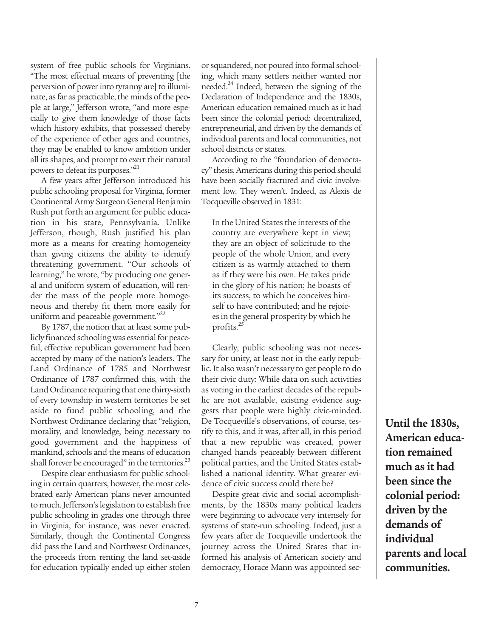system of free public schools for Virginians. "The most effectual means of preventing [the perversion of power into tyranny are] to illuminate, as far as practicable, the minds of the people at large," Jefferson wrote, "and more especially to give them knowledge of those facts which history exhibits, that possessed thereby of the experience of other ages and countries, they may be enabled to know ambition under all its shapes, and prompt to exert their natural powers to defeat its purposes."<sup>21</sup>

A few years after Jefferson introduced his public schooling proposal for Virginia, former Continental Army Surgeon General Benjamin Rush put forth an argument for public education in his state, Pennsylvania. Unlike Jefferson, though, Rush justified his plan more as a means for creating homogeneity than giving citizens the ability to identify threatening government. "Our schools of learning," he wrote, "by producing one general and uniform system of education, will render the mass of the people more homogeneous and thereby fit them more easily for uniform and peaceable government."<sup>22</sup>

By 1787, the notion that at least some publicly financed schooling was essential for peaceful, effective republican government had been accepted by many of the nation's leaders. The Land Ordinance of 1785 and Northwest Ordinance of 1787 confirmed this, with the Land Ordinance requiring that one thirty-sixth of every township in western territories be set aside to fund public schooling, and the Northwest Ordinance declaring that "religion, morality, and knowledge, being necessary to good government and the happiness of mankind, schools and the means of education shall forever be encouraged" in the territories.<sup>23</sup>

Despite clear enthusiasm for public schooling in certain quarters, however, the most celebrated early American plans never amounted to much. Jefferson's legislation to establish free public schooling in grades one through three in Virginia, for instance, was never enacted. Similarly, though the Continental Congress did pass the Land and Northwest Ordinances, the proceeds from renting the land set-aside for education typically ended up either stolen

or squandered, not poured into formal schooling, which many settlers neither wanted nor needed.24 Indeed, between the signing of the Declaration of Independence and the 1830s, American education remained much as it had been since the colonial period: decentralized, entrepreneurial, and driven by the demands of individual parents and local communities, not school districts or states.

According to the "foundation of democracy" thesis, Americans during this period should have been socially fractured and civic involvement low. They weren't. Indeed, as Alexis de Tocqueville observed in 1831:

In the United States the interests of the country are everywhere kept in view; they are an object of solicitude to the people of the whole Union, and every citizen is as warmly attached to them as if they were his own. He takes pride in the glory of his nation; he boasts of its success, to which he conceives himself to have contributed; and he rejoices in the general prosperity by which he profits.<sup>25</sup>

Clearly, public schooling was not necessary for unity, at least not in the early republic. It also wasn't necessary to get people to do their civic duty: While data on such activities as voting in the earliest decades of the republic are not available, existing evidence suggests that people were highly civic-minded. De Tocqueville's observations, of course, testify to this, and it was, after all, in this period that a new republic was created, power changed hands peaceably between different political parties, and the United States established a national identity. What greater evidence of civic success could there be?

Despite great civic and social accomplishments, by the 1830s many political leaders were beginning to advocate very intensely for systems of state-run schooling. Indeed, just a few years after de Tocqueville undertook the journey across the United States that informed his analysis of American society and democracy, Horace Mann was appointed sec-

**Until the 1830s, American education remained much as it had been since the colonial period: driven by the demands of individual parents and local communities.**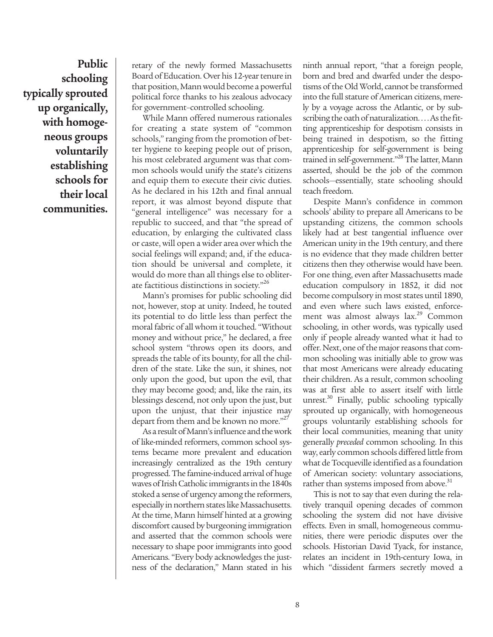**Public schooling typically sprouted up organically, with homogeneous groups voluntarily establishing schools for their local communities.**

retary of the newly formed Massachusetts Board of Education. Over his 12-year tenure in that position, Mann would become a powerful political force thanks to his zealous advocacy for government–controlled schooling.

While Mann offered numerous rationales for creating a state system of "common schools," ranging from the promotion of better hygiene to keeping people out of prison, his most celebrated argument was that common schools would unify the state's citizens and equip them to execute their civic duties. As he declared in his 12th and final annual report, it was almost beyond dispute that "general intelligence" was necessary for a republic to succeed, and that "the spread of education, by enlarging the cultivated class or caste, will open a wider area over which the social feelings will expand; and, if the education should be universal and complete, it would do more than all things else to obliterate factitious distinctions in society."26

Mann's promises for public schooling did not, however, stop at unity. Indeed, he touted its potential to do little less than perfect the moral fabric of all whom it touched. "Without money and without price," he declared, a free school system "throws open its doors, and spreads the table of its bounty, for all the children of the state. Like the sun, it shines, not only upon the good, but upon the evil, that they may become good; and, like the rain, its blessings descend, not only upon the just, but upon the unjust, that their injustice may depart from them and be known no more."<sup>27</sup>

As a result of Mann's influence and the work of like-minded reformers, common school systems became more prevalent and education increasingly centralized as the 19th century progressed. The famine-induced arrival of huge waves of Irish Catholic immigrants in the 1840s stoked a sense of urgency among the reformers, especially in northern states like Massachusetts. At the time, Mann himself hinted at a growing discomfort caused by burgeoning immigration and asserted that the common schools were necessary to shape poor immigrants into good Americans. "Every body acknowledges the justness of the declaration," Mann stated in his

ninth annual report, "that a foreign people, born and bred and dwarfed under the despotisms of the Old World, cannot be transformed into the full stature of American citizens, merely by a voyage across the Atlantic, or by subscribing the oath of naturalization. . . . As the fitting apprenticeship for despotism consists in being trained in despotism, so the fitting apprenticeship for self-government is being trained in self-government."28 The latter, Mann asserted, should be the job of the common schools—essentially, state schooling should teach freedom.

Despite Mann's confidence in common schools' ability to prepare all Americans to be upstanding citizens, the common schools likely had at best tangential influence over American unity in the 19th century, and there is no evidence that they made children better citizens then they otherwise would have been. For one thing, even after Massachusetts made education compulsory in 1852, it did not become compulsory in most states until 1890, and even where such laws existed, enforcement was almost always lax.<sup>29</sup> Common schooling, in other words, was typically used only if people already wanted what it had to offer. Next, one of the major reasons that common schooling was initially able to grow was that most Americans were already educating their children. As a result, common schooling was at first able to assert itself with little unrest. $30$  Finally, public schooling typically sprouted up organically, with homogeneous groups voluntarily establishing schools for their local communities, meaning that unity generally *preceded* common schooling. In this way, early common schools differed little from what de Tocqueville identified as a foundation of American society: voluntary associations, rather than systems imposed from above.<sup>31</sup>

This is not to say that even during the relatively tranquil opening decades of common schooling the system did not have divisive effects. Even in small, homogeneous communities, there were periodic disputes over the schools. Historian David Tyack, for instance, relates an incident in 19th-century Iowa, in which "dissident farmers secretly moved a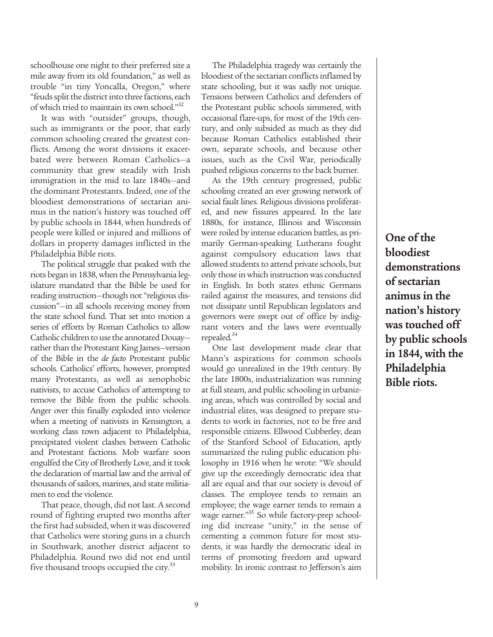schoolhouse one night to their preferred site a mile away from its old foundation," as well as trouble "in tiny Yoncalla, Oregon," where "feuds split the district into three factions, each of which tried to maintain its own school."32

It was with "outsider" groups, though, such as immigrants or the poor, that early common schooling created the greatest conflicts. Among the worst divisions it exacerbated were between Roman Catholics—a community that grew steadily with Irish immigration in the mid to late 1840s—and the dominant Protestants. Indeed, one of the bloodiest demonstrations of sectarian animus in the nation's history was touched off by public schools in 1844, when hundreds of people were killed or injured and millions of dollars in property damages inflicted in the Philadelphia Bible riots.

The political struggle that peaked with the riots began in 1838, when the Pennsylvania legislature mandated that the Bible be used for reading instruction—though not "religious discussion"—in all schools receiving money from the state school fund. That set into motion a series of efforts by Roman Catholics to allow Catholic children to use the annotated Douay rather than the Protestant King James—version of the Bible in the *de facto* Protestant public schools. Catholics' efforts, however, prompted many Protestants, as well as xenophobic nativists, to accuse Catholics of attempting to remove the Bible from the public schools. Anger over this finally exploded into violence when a meeting of nativists in Kensington, a working class town adjacent to Philadelphia, precipitated violent clashes between Catholic and Protestant factions. Mob warfare soon engulfed the City of Brotherly Love, and it took the declaration of martial law and the arrival of thousands of sailors, marines, and state militiamen to end the violence.

That peace, though, did not last. A second round of fighting erupted two months after the first had subsided, when it was discovered that Catholics were storing guns in a church in Southwark, another district adjacent to Philadelphia. Round two did not end until five thousand troops occupied the city.<sup>33</sup>

The Philadelphia tragedy was certainly the bloodiest of the sectarian conflicts inflamed by state schooling, but it was sadly not unique. Tensions between Catholics and defenders of the Protestant public schools simmered, with occasional flare-ups, for most of the 19th century, and only subsided as much as they did because Roman Catholics established their own, separate schools, and because other issues, such as the Civil War, periodically pushed religious concerns to the back burner.

As the 19th century progressed, public schooling created an ever growing network of social fault lines. Religious divisions proliferated, and new fissures appeared. In the late 1880s, for instance, Illinois and Wisconsin were roiled by intense education battles, as primarily German-speaking Lutherans fought against compulsory education laws that allowed students to attend private schools, but only those in which instruction was conducted in English. In both states ethnic Germans railed against the measures, and tensions did not dissipate until Republican legislators and governors were swept out of office by indignant voters and the laws were eventually repealed.<sup>34</sup>

One last development made clear that Mann's aspirations for common schools would go unrealized in the 19th century. By the late 1800s, industrialization was running at full steam, and public schooling in urbanizing areas, which was controlled by social and industrial elites, was designed to prepare students to work in factories, not to be free and responsible citizens. Ellwood Cubberley, dean of the Stanford School of Education, aptly summarized the ruling public education philosophy in 1916 when he wrote: "We should give up the exceedingly democratic idea that all are equal and that our society is devoid of classes. The employee tends to remain an employee; the wage earner tends to remain a wage earner."<sup>35</sup> So while factory-prep schooling did increase "unity," in the sense of cementing a common future for most students, it was hardly the democratic ideal in terms of promoting freedom and upward mobility. In ironic contrast to Jefferson's aim

**One of the bloodiest demonstrations of sectarian animus in the nation's history was touched off by public schools in 1844, with the Philadelphia Bible riots.**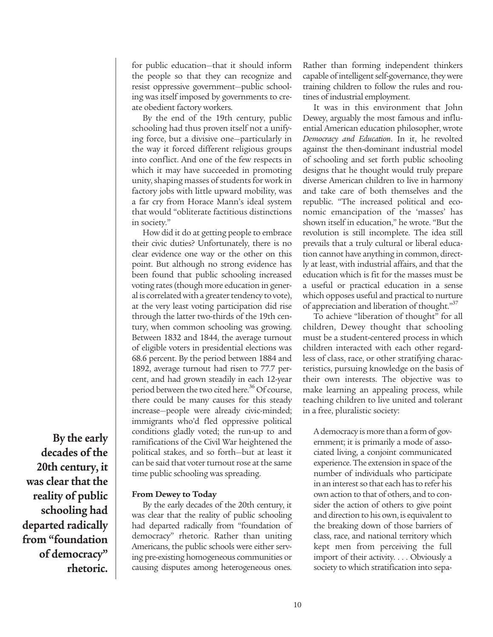for public education—that it should inform the people so that they can recognize and resist oppressive government—public schooling was itself imposed by governments to create obedient factory workers.

By the end of the 19th century, public schooling had thus proven itself not a unifying force, but a divisive one—particularly in the way it forced different religious groups into conflict. And one of the few respects in which it may have succeeded in promoting unity, shaping masses of students for work in factory jobs with little upward mobility, was a far cry from Horace Mann's ideal system that would "obliterate factitious distinctions in society."

How did it do at getting people to embrace their civic duties? Unfortunately, there is no clear evidence one way or the other on this point. But although no strong evidence has been found that public schooling increased voting rates (though more education in general is correlated with a greater tendency to vote), at the very least voting participation did rise through the latter two-thirds of the 19th century, when common schooling was growing. Between 1832 and 1844, the average turnout of eligible voters in presidential elections was 68.6 percent. By the period between 1884 and 1892, average turnout had risen to 77.7 percent, and had grown steadily in each 12-year period between the two cited here.<sup>36</sup> Of course, there could be many causes for this steady increase—people were already civic-minded; immigrants who'd fled oppressive political conditions gladly voted; the run-up to and ramifications of the Civil War heightened the political stakes, and so forth—but at least it can be said that voter turnout rose at the same time public schooling was spreading.

**From Dewey to Today**

By the early decades of the 20th century, it was clear that the reality of public schooling had departed radically from "foundation of democracy" rhetoric. Rather than uniting Americans, the public schools were either serving pre-existing homogeneous communities or causing disputes among heterogeneous ones.

Rather than forming independent thinkers capable of intelligent self-governance, they were training children to follow the rules and routines of industrial employment.

It was in this environment that John Dewey, arguably the most famous and influential American education philosopher, wrote *Democracy and Education*. In it, he revolted against the then-dominant industrial model of schooling and set forth public schooling designs that he thought would truly prepare diverse American children to live in harmony and take care of both themselves and the republic. "The increased political and economic emancipation of the 'masses' has shown itself in education," he wrote. "But the revolution is still incomplete. The idea still prevails that a truly cultural or liberal education cannot have anything in common, directly at least, with industrial affairs, and that the education which is fit for the masses must be a useful or practical education in a sense which opposes useful and practical to nurture of appreciation and liberation of thought."<sup>37</sup>

To achieve "liberation of thought" for all children, Dewey thought that schooling must be a student-centered process in which children interacted with each other regardless of class, race, or other stratifying characteristics, pursuing knowledge on the basis of their own interests. The objective was to make learning an appealing process, while teaching children to live united and tolerant in a free, pluralistic society:

A democracy is more than a form of government; it is primarily a mode of associated living, a conjoint communicated experience. The extension in space of the number of individuals who participate in an interest so that each has to refer his own action to that of others, and to consider the action of others to give point and direction to his own, is equivalent to the breaking down of those barriers of class, race, and national territory which kept men from perceiving the full import of their activity. . . . Obviously a society to which stratification into sepa-

**By the early decades of the 20th century, it was clear that the reality of public schooling had departed radically from "foundation of democracy" rhetoric.**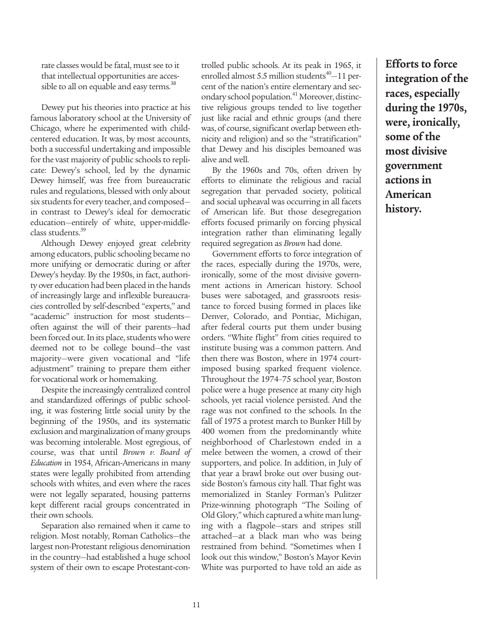rate classes would be fatal, must see to it that intellectual opportunities are accessible to all on equable and easy terms.<sup>38</sup>

Dewey put his theories into practice at his famous laboratory school at the University of Chicago, where he experimented with childcentered education. It was, by most accounts, both a successful undertaking and impossible for the vast majority of public schools to replicate: Dewey's school, led by the dynamic Dewey himself, was free from bureaucratic rules and regulations, blessed with only about six students for every teacher, and composed in contrast to Dewey's ideal for democratic education—entirely of white, upper-middleclass students.<sup>39</sup>

Although Dewey enjoyed great celebrity among educators, public schooling became no more unifying or democratic during or after Dewey's heyday. By the 1950s, in fact, authority over education had been placed in the hands of increasingly large and inflexible bureaucracies controlled by self-described "experts," and "academic" instruction for most students often against the will of their parents—had been forced out. In its place, students who were deemed not to be college bound—the vast majority—were given vocational and "life adjustment" training to prepare them either for vocational work or homemaking.

Despite the increasingly centralized control and standardized offerings of public schooling, it was fostering little social unity by the beginning of the 1950s, and its systematic exclusion and marginalization of many groups was becoming intolerable. Most egregious, of course, was that until *Brown v. Board of Education* in 1954, African-Americans in many states were legally prohibited from attending schools with whites, and even where the races were not legally separated, housing patterns kept different racial groups concentrated in their own schools.

Separation also remained when it came to religion. Most notably, Roman Catholics—the largest non-Protestant religious denomination in the country—had established a huge school system of their own to escape Protestant-controlled public schools. At its peak in 1965, it enrolled almost 5.5 million students $40-11$  percent of the nation's entire elementary and secondary school population.<sup>41</sup> Moreover, distinctive religious groups tended to live together just like racial and ethnic groups (and there was, of course, significant overlap between ethnicity and religion) and so the "stratification" that Dewey and his disciples bemoaned was alive and well.

By the 1960s and 70s, often driven by efforts to eliminate the religious and racial segregation that pervaded society, political and social upheaval was occurring in all facets of American life. But those desegregation efforts focused primarily on forcing physical integration rather than eliminating legally required segregation as *Brown* had done.

Government efforts to force integration of the races, especially during the 1970s, were, ironically, some of the most divisive government actions in American history. School buses were sabotaged, and grassroots resistance to forced busing formed in places like Denver, Colorado, and Pontiac, Michigan, after federal courts put them under busing orders. "White flight" from cities required to institute busing was a common pattern. And then there was Boston, where in 1974 courtimposed busing sparked frequent violence. Throughout the 1974–75 school year, Boston police were a huge presence at many city high schools, yet racial violence persisted. And the rage was not confined to the schools. In the fall of 1975 a protest march to Bunker Hill by 400 women from the predominantly white neighborhood of Charlestown ended in a melee between the women, a crowd of their supporters, and police. In addition, in July of that year a brawl broke out over busing outside Boston's famous city hall. That fight was memorialized in Stanley Forman's Pulitzer Prize-winning photograph "The Soiling of Old Glory," which captured a white man lunging with a flagpole—stars and stripes still attached—at a black man who was being restrained from behind. "Sometimes when I look out this window," Boston's Mayor Kevin White was purported to have told an aide as

**Efforts to force integration of the races, especially during the 1970s, were, ironically, some of the most divisive government actions in American history.**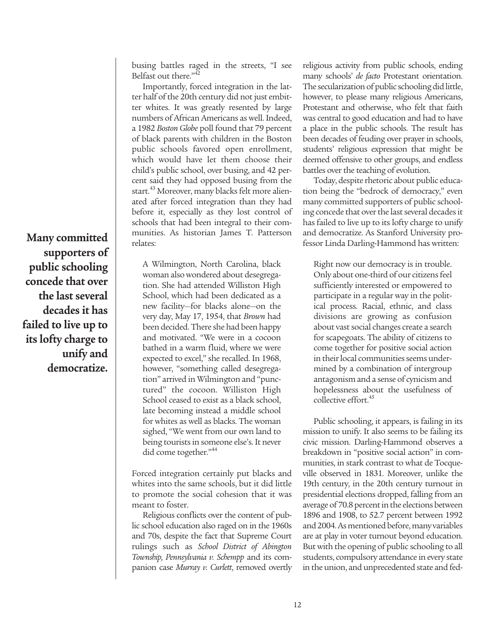busing battles raged in the streets, "I see Belfast out there."<sup>42</sup>

Importantly, forced integration in the latter half of the 20th century did not just embitter whites. It was greatly resented by large numbers of African Americans as well. Indeed, a 1982 *Boston Globe* poll found that 79 percent of black parents with children in the Boston public schools favored open enrollment, which would have let them choose their child's public school, over busing, and 42 percent said they had opposed busing from the start.<sup>43</sup> Moreover, many blacks felt more alienated after forced integration than they had before it, especially as they lost control of schools that had been integral to their communities. As historian James T. Patterson relates:

A Wilmington, North Carolina, black woman also wondered about desegregation. She had attended Williston High School, which had been dedicated as a new facility—for blacks alone—on the very day, May 17, 1954, that *Brown* had been decided. There she had been happy and motivated. "We were in a cocoon bathed in a warm fluid, where we were expected to excel," she recalled. In 1968, however, "something called desegregation" arrived in Wilmington and "punctured" the cocoon. Williston High School ceased to exist as a black school, late becoming instead a middle school for whites as well as blacks. The woman sighed, "We went from our own land to being tourists in someone else's. It never did come together."<sup>44</sup>

Forced integration certainly put blacks and whites into the same schools, but it did little to promote the social cohesion that it was meant to foster.

Religious conflicts over the content of public school education also raged on in the 1960s and 70s, despite the fact that Supreme Court rulings such as *School District of Abington Township, Pennsylvania v. Schempp* and its companion case *Murray v. Curlett*, removed overtly religious activity from public schools, ending many schools' *de facto* Protestant orientation. The secularization of public schooling did little, however, to please many religious Americans, Protestant and otherwise, who felt that faith was central to good education and had to have a place in the public schools. The result has been decades of feuding over prayer in schools, students' religious expression that might be deemed offensive to other groups, and endless battles over the teaching of evolution.

Today, despite rhetoric about public education being the "bedrock of democracy," even many committed supporters of public schooling concede that over the last several decades it has failed to live up to its lofty charge to unify and democratize. As Stanford University professor Linda Darling-Hammond has written:

Right now our democracy is in trouble. Only about one-third of our citizens feel sufficiently interested or empowered to participate in a regular way in the political process. Racial, ethnic, and class divisions are growing as confusion about vast social changes create a search for scapegoats. The ability of citizens to come together for positive social action in their local communities seems undermined by a combination of intergroup antagonism and a sense of cynicism and hopelessness about the usefulness of collective effort.<sup>45</sup>

Public schooling, it appears, is failing in its mission to unify. It also seems to be failing its civic mission. Darling-Hammond observes a breakdown in "positive social action" in communities, in stark contrast to what de Tocqueville observed in 1831. Moreover, unlike the 19th century, in the 20th century turnout in presidential elections dropped, falling from an average of 70.8 percent in the elections between 1896 and 1908, to 52.7 percent between 1992 and 2004. As mentioned before, many variables are at play in voter turnout beyond education. But with the opening of public schooling to all students, compulsory attendance in every state in the union, and unprecedented state and fed-

**Many committed supporters of public schooling concede that over the last several decades it has failed to live up to its lofty charge to unify and democratize.**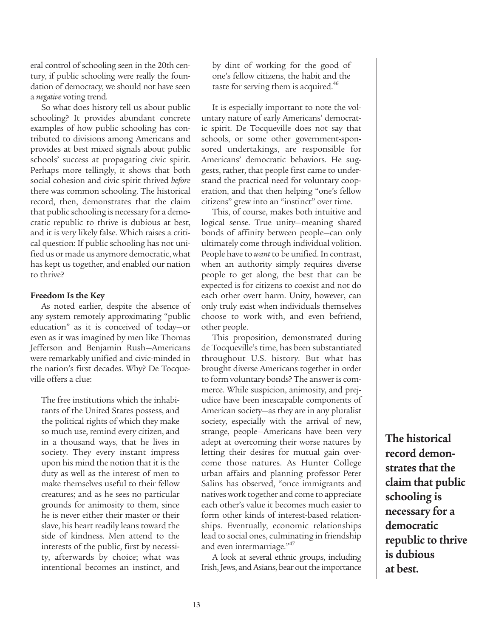eral control of schooling seen in the 20th century, if public schooling were really the foundation of democracy, we should not have seen a *negative* voting trend.

So what does history tell us about public schooling? It provides abundant concrete examples of how public schooling has contributed to divisions among Americans and provides at best mixed signals about public schools' success at propagating civic spirit. Perhaps more tellingly, it shows that both social cohesion and civic spirit thrived *before* there was common schooling. The historical record, then, demonstrates that the claim that public schooling is necessary for a democratic republic to thrive is dubious at best, and it is very likely false. Which raises a critical question: If public schooling has not unified us or made us anymore democratic, what has kept us together, and enabled our nation to thrive?

## **Freedom Is the Key**

As noted earlier, despite the absence of any system remotely approximating "public education" as it is conceived of today—or even as it was imagined by men like Thomas Jefferson and Benjamin Rush—Americans were remarkably unified and civic-minded in the nation's first decades. Why? De Tocqueville offers a clue:

The free institutions which the inhabitants of the United States possess, and the political rights of which they make so much use, remind every citizen, and in a thousand ways, that he lives in society. They every instant impress upon his mind the notion that it is the duty as well as the interest of men to make themselves useful to their fellow creatures; and as he sees no particular grounds for animosity to them, since he is never either their master or their slave, his heart readily leans toward the side of kindness. Men attend to the interests of the public, first by necessity, afterwards by choice; what was intentional becomes an instinct, and by dint of working for the good of one's fellow citizens, the habit and the taste for serving them is acquired.<sup>46</sup>

It is especially important to note the voluntary nature of early Americans' democratic spirit. De Tocqueville does not say that schools, or some other government-sponsored undertakings, are responsible for Americans' democratic behaviors. He suggests, rather, that people first came to understand the practical need for voluntary cooperation, and that then helping "one's fellow citizens" grew into an "instinct" over time.

This, of course, makes both intuitive and logical sense. True unity—meaning shared bonds of affinity between people—can only ultimately come through individual volition. People have to *want*to be unified. In contrast, when an authority simply requires diverse people to get along, the best that can be expected is for citizens to coexist and not do each other overt harm. Unity, however, can only truly exist when individuals themselves choose to work with, and even befriend, other people.

This proposition, demonstrated during de Tocqueville's time, has been substantiated throughout U.S. history. But what has brought diverse Americans together in order to form voluntary bonds? The answer is commerce. While suspicion, animosity, and prejudice have been inescapable components of American society—as they are in any pluralist society, especially with the arrival of new, strange, people—Americans have been very adept at overcoming their worse natures by letting their desires for mutual gain overcome those natures. As Hunter College urban affairs and planning professor Peter Salins has observed, "once immigrants and natives work together and come to appreciate each other's value it becomes much easier to form other kinds of interest-based relationships. Eventually, economic relationships lead to social ones, culminating in friendship and even intermarriage."<sup>47</sup>

A look at several ethnic groups, including Irish, Jews, and Asians, bear out the importance

**The historical record demonstrates that the claim that public schooling is necessary for a democratic republic to thrive is dubious at best.**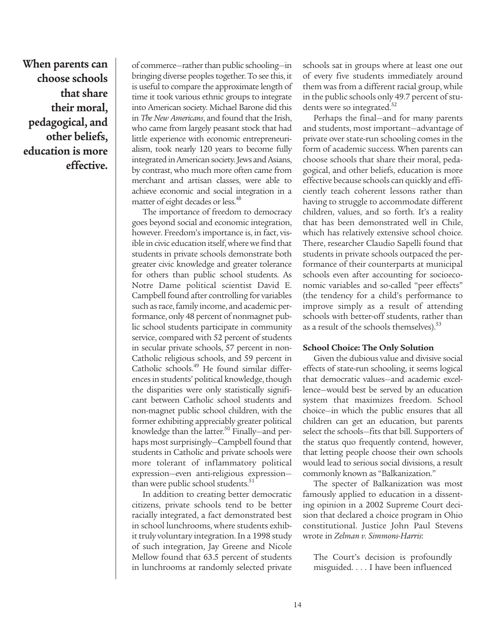**When parents can choose schools that share their moral, pedagogical, and other beliefs, education is more effective.**

of commerce—rather than public schooling—in bringing diverse peoples together. To see this, it is useful to compare the approximate length of time it took various ethnic groups to integrate into American society. Michael Barone did this in *The New Americans*, and found that the Irish, who came from largely peasant stock that had little experience with economic entrepreneurialism, took nearly 120 years to become fully integrated in American society. Jews and Asians, by contrast, who much more often came from merchant and artisan classes, were able to achieve economic and social integration in a matter of eight decades or less.<sup>48</sup>

The importance of freedom to democracy goes beyond social and economic integration, however. Freedom's importance is, in fact, visible in civic education itself, where we find that students in private schools demonstrate both greater civic knowledge and greater tolerance for others than public school students. As Notre Dame political scientist David E. Campbell found after controlling for variables such as race, family income, and academic performance, only 48 percent of nonmagnet public school students participate in community service, compared with 52 percent of students in secular private schools, 57 percent in non-Catholic religious schools, and 59 percent in Catholic schools.49 He found similar differences in students' political knowledge, though the disparities were only statistically significant between Catholic school students and non-magnet public school children, with the former exhibiting appreciably greater political knowledge than the latter. $50$  Finally—and perhaps most surprisingly—Campbell found that students in Catholic and private schools were more tolerant of inflammatory political expression—even anti-religious expression than were public school students.<sup>51</sup>

In addition to creating better democratic citizens, private schools tend to be better racially integrated, a fact demonstrated best in school lunchrooms, where students exhibit truly voluntary integration. In a 1998 study of such integration, Jay Greene and Nicole Mellow found that 63.5 percent of students in lunchrooms at randomly selected private

schools sat in groups where at least one out of every five students immediately around them was from a different racial group, while in the public schools only 49.7 percent of students were so integrated.<sup>52</sup>

Perhaps the final—and for many parents and students, most important—advantage of private over state-run schooling comes in the form of academic success. When parents can choose schools that share their moral, pedagogical, and other beliefs, education is more effective because schools can quickly and efficiently teach coherent lessons rather than having to struggle to accommodate different children, values, and so forth. It's a reality that has been demonstrated well in Chile, which has relatively extensive school choice. There, researcher Claudio Sapelli found that students in private schools outpaced the performance of their counterparts at municipal schools even after accounting for socioeconomic variables and so-called "peer effects" (the tendency for a child's performance to improve simply as a result of attending schools with better-off students, rather than as a result of the schools themselves).<sup>53</sup>

#### **School Choice: The Only Solution**

Given the dubious value and divisive social effects of state-run schooling, it seems logical that democratic values—and academic excellence—would best be served by an education system that maximizes freedom. School choice—in which the public ensures that all children can get an education, but parents select the schools—fits that bill. Supporters of the status quo frequently contend, however, that letting people choose their own schools would lead to serious social divisions, a result commonly known as "Balkanization."

The specter of Balkanization was most famously applied to education in a dissenting opinion in a 2002 Supreme Court decision that declared a choice program in Ohio constitutional. Justice John Paul Stevens wrote in *Zelman v. Simmons-Harris*:

The Court's decision is profoundly misguided. . . . I have been influenced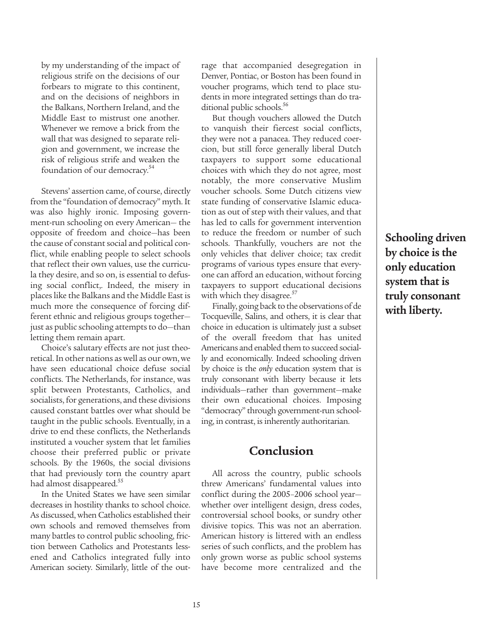by my understanding of the impact of religious strife on the decisions of our forbears to migrate to this continent, and on the decisions of neighbors in the Balkans, Northern Ireland, and the Middle East to mistrust one another. Whenever we remove a brick from the wall that was designed to separate religion and government, we increase the risk of religious strife and weaken the foundation of our democracy.<sup>54</sup>

Stevens' assertion came, of course, directly from the "foundation of democracy" myth. It was also highly ironic. Imposing government-run schooling on every American— the opposite of freedom and choice—has been the cause of constant social and political conflict, while enabling people to select schools that reflect their own values, use the curricula they desire, and so on, is essential to defusing social conflict,. Indeed, the misery in places like the Balkans and the Middle East is much more the consequence of forcing different ethnic and religious groups together just as public schooling attempts to do—than letting them remain apart.

Choice's salutary effects are not just theoretical. In other nations as well as our own, we have seen educational choice defuse social conflicts. The Netherlands, for instance, was split between Protestants, Catholics, and socialists, for generations, and these divisions caused constant battles over what should be taught in the public schools. Eventually, in a drive to end these conflicts, the Netherlands instituted a voucher system that let families choose their preferred public or private schools. By the 1960s, the social divisions that had previously torn the country apart had almost disappeared.<sup>55</sup>

In the United States we have seen similar decreases in hostility thanks to school choice. As discussed, when Catholics established their own schools and removed themselves from many battles to control public schooling, friction between Catholics and Protestants lessened and Catholics integrated fully into American society. Similarly, little of the outrage that accompanied desegregation in Denver, Pontiac, or Boston has been found in voucher programs, which tend to place students in more integrated settings than do traditional public schools.<sup>56</sup>

But though vouchers allowed the Dutch to vanquish their fiercest social conflicts, they were not a panacea. They reduced coercion, but still force generally liberal Dutch taxpayers to support some educational choices with which they do not agree, most notably, the more conservative Muslim voucher schools. Some Dutch citizens view state funding of conservative Islamic education as out of step with their values, and that has led to calls for government intervention to reduce the freedom or number of such schools. Thankfully, vouchers are not the only vehicles that deliver choice; tax credit programs of various types ensure that everyone can afford an education, without forcing taxpayers to support educational decisions with which they disagree.<sup>57</sup>

Finally, going back to the observations of de Tocqueville, Salins, and others, it is clear that choice in education is ultimately just a subset of the overall freedom that has united Americans and enabled them to succeed socially and economically. Indeed schooling driven by choice is the *only* education system that is truly consonant with liberty because it lets individuals—rather than government—make their own educational choices. Imposing "democracy" through government-run schooling, in contrast, is inherently authoritarian.

# **Conclusion**

All across the country, public schools threw Americans' fundamental values into conflict during the 2005–2006 school year whether over intelligent design, dress codes, controversial school books, or sundry other divisive topics. This was not an aberration. American history is littered with an endless series of such conflicts, and the problem has only grown worse as public school systems have become more centralized and the

**Schooling driven by choice is the only education system that is truly consonant with liberty.**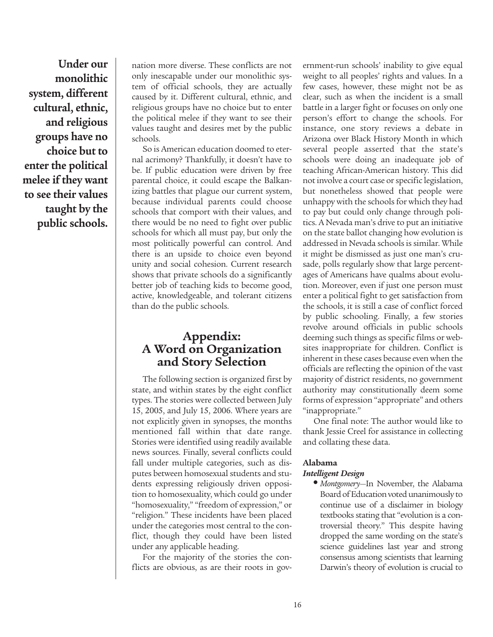**Under our monolithic system, different cultural, ethnic, and religious groups have no choice but to enter the political melee if they want to see their values taught by the public schools.**

nation more diverse. These conflicts are not only inescapable under our monolithic system of official schools, they are actually caused by it. Different cultural, ethnic, and religious groups have no choice but to enter the political melee if they want to see their values taught and desires met by the public schools.

So is American education doomed to eternal acrimony? Thankfully, it doesn't have to be. If public education were driven by free parental choice, it could escape the Balkanizing battles that plague our current system, because individual parents could choose schools that comport with their values, and there would be no need to fight over public schools for which all must pay, but only the most politically powerful can control. And there is an upside to choice even beyond unity and social cohesion. Current research shows that private schools do a significantly better job of teaching kids to become good, active, knowledgeable, and tolerant citizens than do the public schools.

# **Appendix: A Word on Organization and Story Selection**

The following section is organized first by state, and within states by the eight conflict types. The stories were collected between July 15, 2005, and July 15, 2006. Where years are not explicitly given in synopses, the months mentioned fall within that date range. Stories were identified using readily available news sources. Finally, several conflicts could fall under multiple categories, such as disputes between homosexual students and students expressing religiously driven opposition to homosexuality, which could go under "homosexuality," "freedom of expression," or "religion." These incidents have been placed under the categories most central to the conflict, though they could have been listed under any applicable heading.

For the majority of the stories the conflicts are obvious, as are their roots in government-run schools' inability to give equal weight to all peoples' rights and values. In a few cases, however, these might not be as clear, such as when the incident is a small battle in a larger fight or focuses on only one person's effort to change the schools. For instance, one story reviews a debate in Arizona over Black History Month in which several people asserted that the state's schools were doing an inadequate job of teaching African-American history. This did not involve a court case or specific legislation, but nonetheless showed that people were unhappy with the schools for which they had to pay but could only change through politics. A Nevada man's drive to put an initiative on the state ballot changing how evolution is addressed in Nevada schools is similar. While it might be dismissed as just one man's crusade, polls regularly show that large percentages of Americans have qualms about evolution. Moreover, even if just one person must enter a political fight to get satisfaction from the schools, it is still a case of conflict forced by public schooling. Finally, a few stories revolve around officials in public schools deeming such things as specific films or websites inappropriate for children. Conflict is inherent in these cases because even when the officials are reflecting the opinion of the vast majority of district residents, no government authority may constitutionally deem some forms of expression "appropriate" and others "inappropriate."

One final note: The author would like to thank Jessie Creel for assistance in collecting and collating these data.

## **Alabama**

## *Intelligent Design*

**•** *Montgomery*—In November, the Alabama Board of Education voted unanimously to continue use of a disclaimer in biology textbooks stating that "evolution is a controversial theory." This despite having dropped the same wording on the state's science guidelines last year and strong consensus among scientists that learning Darwin's theory of evolution is crucial to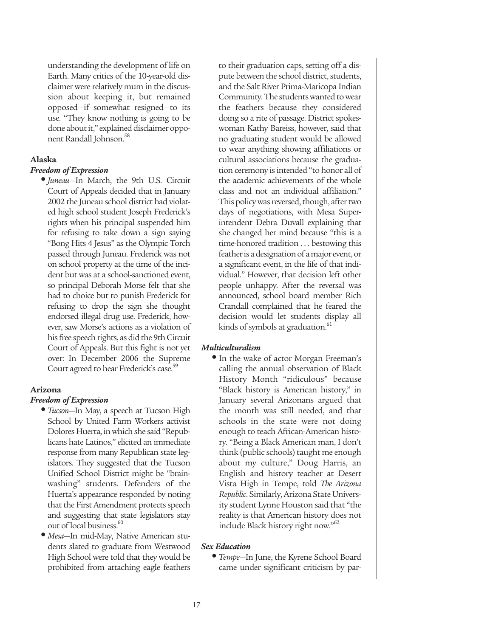understanding the development of life on Earth. Many critics of the 10-year-old disclaimer were relatively mum in the discussion about keeping it, but remained opposed—if somewhat resigned—to its use. "They know nothing is going to be done about it," explained disclaimer opponent Randall Johnson.<sup>58</sup>

## **Alaska**

## *Freedom of Expression*

**•** *Juneau*—In March, the 9th U.S. Circuit Court of Appeals decided that in January 2002 the Juneau school district had violated high school student Joseph Frederick's rights when his principal suspended him for refusing to take down a sign saying "Bong Hits 4 Jesus" as the Olympic Torch passed through Juneau. Frederick was not on school property at the time of the incident but was at a school-sanctioned event, so principal Deborah Morse felt that she had to choice but to punish Frederick for refusing to drop the sign she thought endorsed illegal drug use. Frederick, however, saw Morse's actions as a violation of his free speech rights, as did the 9th Circuit Court of Appeals. But this fight is not yet over: In December 2006 the Supreme Court agreed to hear Frederick's case.<sup>59</sup>

## **Arizona**

#### *Freedom of Expression*

- *Tucson*—In May, a speech at Tucson High School by United Farm Workers activist Dolores Huerta, in which she said "Republicans hate Latinos," elicited an immediate response from many Republican state legislators. They suggested that the Tucson Unified School District might be "brainwashing" students. Defenders of the Huerta's appearance responded by noting that the First Amendment protects speech and suggesting that state legislators stay out of local business.<sup>60</sup>
- *Mesa*—In mid-May, Native American students slated to graduate from Westwood High School were told that they would be prohibited from attaching eagle feathers

to their graduation caps, setting off a dispute between the school district, students, and the Salt River Prima-Maricopa Indian Community. The students wanted to wear the feathers because they considered doing so a rite of passage. District spokeswoman Kathy Bareiss, however, said that no graduating student would be allowed to wear anything showing affiliations or cultural associations because the graduation ceremony is intended "to honor all of the academic achievements of the whole class and not an individual affiliation." This policy was reversed, though, after two days of negotiations, with Mesa Superintendent Debra Duvall explaining that she changed her mind because "this is a time-honored tradition . . . bestowing this feather is a designation of a major event, or a significant event, in the life of that individual." However, that decision left other people unhappy. After the reversal was announced, school board member Rich Crandall complained that he feared the decision would let students display all kinds of symbols at graduation.<sup>61</sup>

### *Multiculturalism*

**•** In the wake of actor Morgan Freeman's calling the annual observation of Black History Month "ridiculous" because "Black history is American history," in January several Arizonans argued that the month was still needed, and that schools in the state were not doing enough to teach African-American history. "Being a Black American man, I don't think (public schools) taught me enough about my culture," Doug Harris, an English and history teacher at Desert Vista High in Tempe, told *The Arizona Republic*. Similarly, Arizona State University student Lynne Houston said that "the reality is that American history does not include Black history right now."62

#### *Sex Education*

**•** *Tempe*—In June, the Kyrene School Board came under significant criticism by par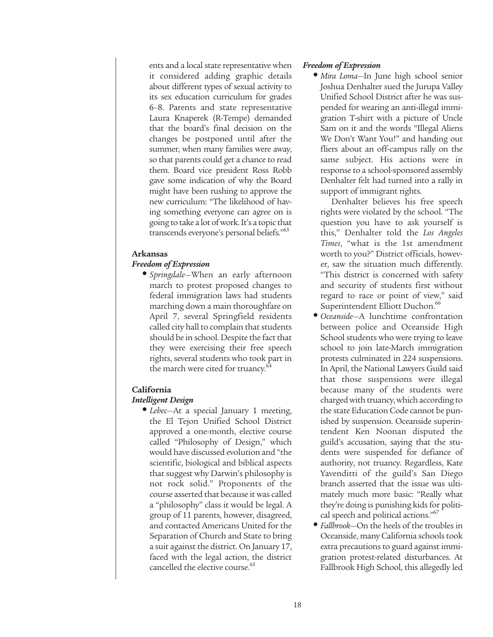ents and a local state representative when it considered adding graphic details about different types of sexual activity to its sex education curriculum for grades 6–8. Parents and state representative Laura Knaperek (R-Tempe) demanded that the board's final decision on the changes be postponed until after the summer, when many families were away, so that parents could get a chance to read them. Board vice president Ross Robb gave some indication of why the Board might have been rushing to approve the new curriculum: "The likelihood of having something everyone can agree on is going to take a lot of work. It's a topic that transcends everyone's personal beliefs."<sup>63</sup>

## **Arkansas**

## *Freedom of Expression*

**•** *Springdale*—When an early afternoon march to protest proposed changes to federal immigration laws had students marching down a main thoroughfare on April 7, several Springfield residents called city hall to complain that students should be in school. Despite the fact that they were exercising their free speech rights, several students who took part in the march were cited for truancy.<sup>6</sup>

#### **California**

#### *Intelligent Design*

**•** *Lebec*—At a special January 1 meeting, the El Tejon Unified School District approved a one-month, elective course called "Philosophy of Design," which would have discussed evolution and "the scientific, biological and biblical aspects that suggest why Darwin's philosophy is not rock solid." Proponents of the course asserted that because it was called a "philosophy" class it would be legal. A group of 11 parents, however, disagreed, and contacted Americans United for the Separation of Church and State to bring a suit against the district. On January 17, faced with the legal action, the district cancelled the elective course.<sup>65</sup>

## *Freedom of Expression*

**•** *Mira Loma*—In June high school senior Joshua Denhalter sued the Jurupa Valley Unified School District after he was suspended for wearing an anti-illegal immigration T-shirt with a picture of Uncle Sam on it and the words "Illegal Aliens We Don't Want You!" and handing out fliers about an off-campus rally on the same subject. His actions were in response to a school-sponsored assembly Denhalter felt had turned into a rally in support of immigrant rights.

Denhalter believes his free speech rights were violated by the school. "The question you have to ask yourself is this," Denhalter told the *Los Angeles Times*, "what is the 1st amendment worth to you?" District officials, however, saw the situation much differently. "This district is concerned with safety and security of students first without regard to race or point of view," said Superintendent Elliott Duchon.<sup>66</sup>

- *Oceanside*—A lunchtime confrontation between police and Oceanside High School students who were trying to leave school to join late-March immigration protests culminated in 224 suspensions. In April, the National Lawyers Guild said that those suspensions were illegal because many of the students were charged with truancy, which according to the state Education Code cannot be punished by suspension. Oceanside superintendent Ken Noonan disputed the guild's accusation, saying that the students were suspended for defiance of authority, not truancy. Regardless, Kate Yavenditti of the guild's San Diego branch asserted that the issue was ultimately much more basic: "Really what they're doing is punishing kids for political speech and political actions."<sup>67</sup>
- *Fallbrook*—On the heels of the troubles in Oceanside, many California schools took extra precautions to guard against immigration protest-related disturbances. At Fallbrook High School, this allegedly led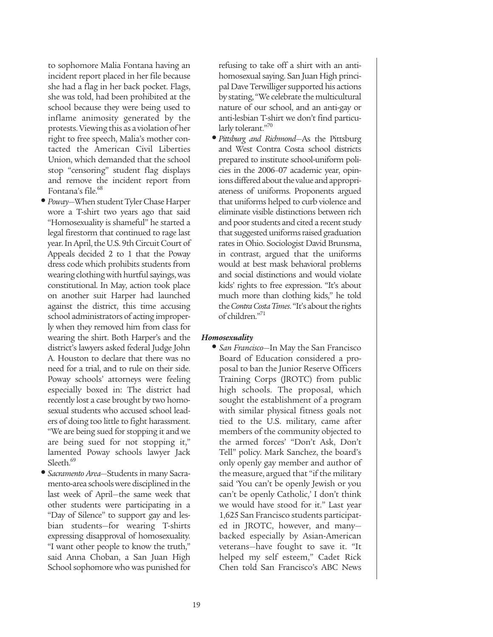to sophomore Malia Fontana having an incident report placed in her file because she had a flag in her back pocket. Flags, she was told, had been prohibited at the school because they were being used to inflame animosity generated by the protests. Viewing this as a violation of her right to free speech, Malia's mother contacted the American Civil Liberties Union, which demanded that the school stop "censoring" student flag displays and remove the incident report from Fontana's file.<sup>68</sup>

- *Poway*—When student Tyler Chase Harper wore a T-shirt two years ago that said "Homosexuality is shameful" he started a legal firestorm that continued to rage last year. In April, the U.S. 9th Circuit Court of Appeals decided 2 to 1 that the Poway dress code which prohibits students from wearing clothing with hurtful sayings, was constitutional. In May, action took place on another suit Harper had launched against the district, this time accusing school administrators of acting improperly when they removed him from class for wearing the shirt. Both Harper's and the district's lawyers asked federal Judge John A. Houston to declare that there was no need for a trial, and to rule on their side. Poway schools' attorneys were feeling especially boxed in: The district had recently lost a case brought by two homosexual students who accused school leaders of doing too little to fight harassment. "We are being sued for stopping it and we are being sued for not stopping it," lamented Poway schools lawyer Jack Sleeth.<sup>69</sup>
- *Sacramento Area*—Students in many Sacramento-area schools were disciplined in the last week of April—the same week that other students were participating in a "Day of Silence" to support gay and lesbian students—for wearing T-shirts expressing disapproval of homosexuality. "I want other people to know the truth," said Anna Choban, a San Juan High School sophomore who was punished for

refusing to take off a shirt with an antihomosexual saying. San Juan High principal Dave Terwilliger supported his actions by stating, "We celebrate the multicultural nature of our school, and an anti-gay or anti-lesbian T-shirt we don't find particularly tolerant."<sup>70</sup>

**•** *Pittsburg and Richmond*—As the Pittsburg and West Contra Costa school districts prepared to institute school-uniform policies in the 2006–07 academic year, opinions differed about the value and appropriateness of uniforms. Proponents argued that uniforms helped to curb violence and eliminate visible distinctions between rich and poor students and cited a recent study that suggested uniforms raised graduation rates in Ohio. Sociologist David Brunsma, in contrast, argued that the uniforms would at best mask behavioral problems and social distinctions and would violate kids' rights to free expression. "It's about much more than clothing kids," he told the *Contra Costa Times*. "It's about the rights of children."<sup>71</sup>

## *Homosexuality*

**•** *San Francisco*—In May the San Francisco Board of Education considered a proposal to ban the Junior Reserve Officers Training Corps (JROTC) from public high schools. The proposal, which sought the establishment of a program with similar physical fitness goals not tied to the U.S. military, came after members of the community objected to the armed forces' "Don't Ask, Don't Tell" policy. Mark Sanchez, the board's only openly gay member and author of the measure, argued that "if the military said 'You can't be openly Jewish or you can't be openly Catholic,' I don't think we would have stood for it." Last year 1,625 San Francisco students participated in JROTC, however, and many backed especially by Asian-American veterans—have fought to save it. "It helped my self esteem," Cadet Rick Chen told San Francisco's ABC News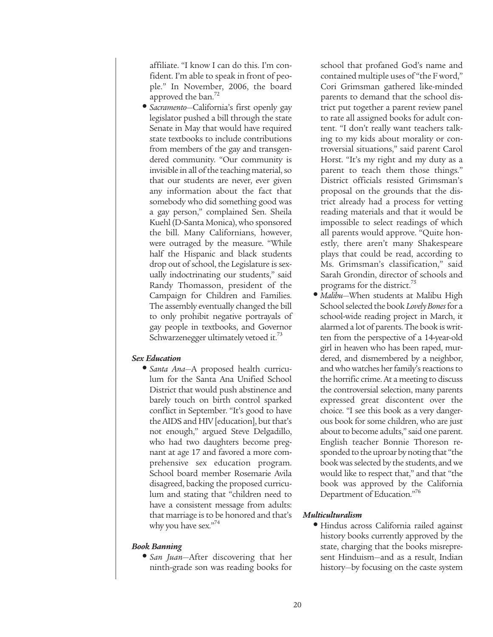affiliate. "I know I can do this. I'm confident. I'm able to speak in front of people." In November, 2006, the board approved the ban.<sup>72</sup>

**•** *Sacramento*—California's first openly gay legislator pushed a bill through the state Senate in May that would have required state textbooks to include contributions from members of the gay and transgendered community. "Our community is invisible in all of the teaching material, so that our students are never, ever given any information about the fact that somebody who did something good was a gay person," complained Sen. Sheila Kuehl (D-Santa Monica), who sponsored the bill. Many Californians, however, were outraged by the measure. "While half the Hispanic and black students drop out of school, the Legislature is sexually indoctrinating our students," said Randy Thomasson, president of the Campaign for Children and Families. The assembly eventually changed the bill to only prohibit negative portrayals of gay people in textbooks, and Governor Schwarzenegger ultimately vetoed it.<sup>73</sup>

## *Sex Education*

**•** *Santa Ana*—A proposed health curriculum for the Santa Ana Unified School District that would push abstinence and barely touch on birth control sparked conflict in September. "It's good to have the AIDS and HIV [education], but that's not enough," argued Steve Delgadillo, who had two daughters become pregnant at age 17 and favored a more comprehensive sex education program. School board member Rosemarie Avila disagreed, backing the proposed curriculum and stating that "children need to have a consistent message from adults: that marriage is to be honored and that's why you have sex."<sup>74</sup>

## *Book Banning*

**•** *San Juan*—After discovering that her ninth-grade son was reading books for school that profaned God's name and contained multiple uses of "the F word," Cori Grimsman gathered like-minded parents to demand that the school district put together a parent review panel to rate all assigned books for adult content. "I don't really want teachers talking to my kids about morality or controversial situations," said parent Carol Horst. "It's my right and my duty as a parent to teach them those things." District officials resisted Grimsman's proposal on the grounds that the district already had a process for vetting reading materials and that it would be impossible to select readings of which all parents would approve. "Quite honestly, there aren't many Shakespeare plays that could be read, according to Ms. Grimsman's classification," said Sarah Grondin, director of schools and programs for the district.<sup>75</sup>

**•** *Malibu*—When students at Malibu High School selected the book *Lovely Bones*for a school-wide reading project in March, it alarmed a lot of parents. The book is written from the perspective of a 14-year-old girl in heaven who has been raped, murdered, and dismembered by a neighbor, and who watches her family's reactions to the horrific crime. At a meeting to discuss the controversial selection, many parents expressed great discontent over the choice. "I see this book as a very dangerous book for some children, who are just about to become adults," said one parent. English teacher Bonnie Thoreson responded to the uproar by noting that "the book was selected by the students, and we would like to respect that," and that "the book was approved by the California Department of Education."76

## *Multiculturalism*

**•** Hindus across California railed against history books currently approved by the state, charging that the books misrepresent Hinduism—and as a result, Indian history—by focusing on the caste system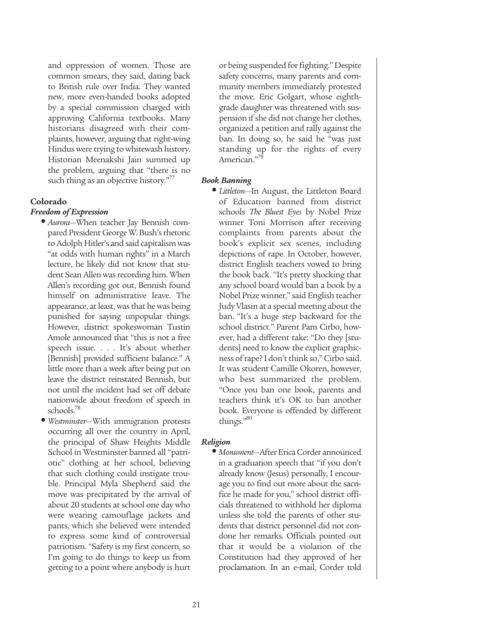and oppression of women. Those are common smears, they said, dating back to British rule over India. They wanted new, more even-handed books adopted by a special commission charged with approving California textbooks. Many historians disagreed with their complaints, however, arguing that right-wing Hindus were trying to whitewash history. Historian Meenakshi Jain summed up the problem, arguing that "there is no such thing as an objective history."<sup>77</sup>

## **Colorado**

## *Freedom of Expression*

- *Aurora*—When teacher Jay Bennish compared President George W. Bush's rhetoric to Adolph Hitler's and said capitalism was "at odds with human rights" in a March lecture, he likely did not know that student Sean Allen was recording him. When Allen's recording got out, Bennish found himself on administrative leave. The appearance, at least, was that he was being punished for saying unpopular things. However, district spokeswoman Tustin Amole announced that "this is not a free speech issue. . . . It's about whether [Bennish] provided sufficient balance." A little more than a week after being put on leave the district reinstated Bennish, but not until the incident had set off debate nationwide about freedom of speech in schools.78
- *Westminster*—With immigration protests occurring all over the country in April, the principal of Shaw Heights Middle School in Westminster banned all "patriotic" clothing at her school, believing that such clothing could instigate trouble. Principal Myla Shepherd said the move was precipitated by the arrival of about 20 students at school one day who were wearing camouflage jackets and pants, which she believed were intended to express some kind of controversial patriotism. "Safety is my first concern, so I'm going to do things to keep us from getting to a point where anybody is hurt

or being suspended for fighting." Despite safety concerns, many parents and community members immediately protested the move. Eric Golgart, whose eighthgrade daughter was threatened with suspension if she did not change her clothes, organized a petition and rally against the ban. In doing so, he said he "was just standing up for the rights of every American."<sup>79</sup>

#### *Book Banning*

**•** *Littleton*—In August, the Littleton Board of Education banned from district schools *The Bluest Eyes* by Nobel Prize winner Toni Morrison after receiving complaints from parents about the book's explicit sex scenes, including depictions of rape. In October, however, district English teachers vowed to bring the book back. "It's pretty shocking that any school board would ban a book by a Nobel Prize winner," said English teacher Judy Vlasin at a special meeting about the ban. "It's a huge step backward for the school district." Parent Pam Cirbo, however, had a different take: "Do they [students] need to know the explicit graphicness of rape? I don't think so," Cirbo said. It was student Camille Okoren, however, who best summarized the problem. "Once you ban one book, parents and teachers think it's OK to ban another book. Everyone is offended by different things."80

#### *Religion*

**•** *Monument*—After Erica Corder announced in a graduation speech that "if you don't already know (Jesus) personally, I encourage you to find out more about the sacrifice he made for you," school district officials threatened to withhold her diploma unless she told the parents of other students that district personnel did not condone her remarks. Officials pointed out that it would be a violation of the Constitution had they approved of her proclamation. In an e-mail, Corder told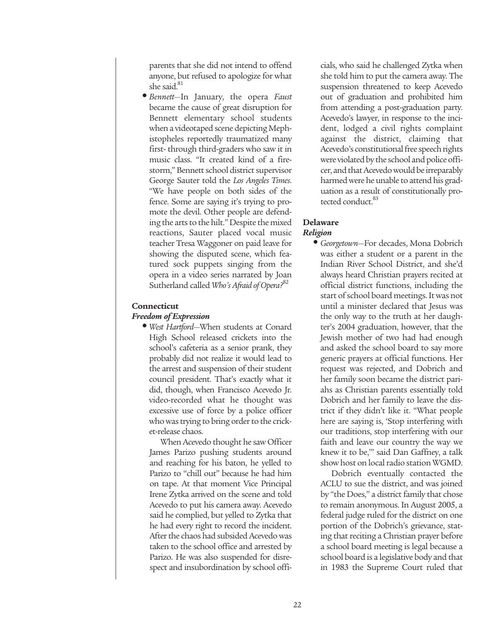parents that she did not intend to offend anyone, but refused to apologize for what she said.<sup>81</sup>

**•** *Bennett*—In January, the opera *Faust* became the cause of great disruption for Bennett elementary school students when a videotaped scene depicting Mephistopheles reportedly traumatized many first- through third-graders who saw it in music class. "It created kind of a firestorm," Bennett school district supervisor George Sauter told the *Los Angeles Times*. "We have people on both sides of the fence. Some are saying it's trying to promote the devil. Other people are defending the arts to the hilt." Despite the mixed reactions, Sauter placed vocal music teacher Tresa Waggoner on paid leave for showing the disputed scene, which featured sock puppets singing from the opera in a video series narrated by Joan Sutherland called *Who's Afraid of Opera?*<sup>82</sup>

# **Connecticut**

## *Freedom of Expression*

**•** *West Hartford*—When students at Conard High School released crickets into the school's cafeteria as a senior prank, they probably did not realize it would lead to the arrest and suspension of their student council president. That's exactly what it did, though, when Francisco Acevedo Jr. video-recorded what he thought was excessive use of force by a police officer who was trying to bring order to the cricket-release chaos.

When Acevedo thought he saw Officer James Parizo pushing students around and reaching for his baton, he yelled to Parizo to "chill out" because he had him on tape. At that moment Vice Principal Irene Zytka arrived on the scene and told Acevedo to put his camera away. Acevedo said he complied, but yelled to Zytka that he had every right to record the incident. After the chaos had subsided Acevedo was taken to the school office and arrested by Parizo. He was also suspended for disrespect and insubordination by school officials, who said he challenged Zytka when she told him to put the camera away. The suspension threatened to keep Acevedo out of graduation and prohibited him from attending a post-graduation party. Acevedo's lawyer, in response to the incident, lodged a civil rights complaint against the district, claiming that Acevedo's constitutional free speech rights were violated by the school and police officer, and that Acevedo would be irreparably harmed were he unable to attend his graduation as a result of constitutionally protected conduct.<sup>83</sup>

## **Delaware**  *Religion*

**•** *Georgetown*—For decades, Mona Dobrich was either a student or a parent in the Indian River School District, and she'd always heard Christian prayers recited at official district functions, including the start of school board meetings. It was not until a minister declared that Jesus was the only way to the truth at her daughter's 2004 graduation, however, that the Jewish mother of two had had enough and asked the school board to say more generic prayers at official functions. Her request was rejected, and Dobrich and her family soon became the district pariahs as Christian parents essentially told Dobrich and her family to leave the district if they didn't like it. "What people here are saying is, 'Stop interfering with our traditions, stop interfering with our faith and leave our country the way we knew it to be,'" said Dan Gaffney, a talk show host on local radio station WGMD.

Dobrich eventually contacted the ACLU to sue the district, and was joined by "the Does," a district family that chose to remain anonymous. In August 2005, a federal judge ruled for the district on one portion of the Dobrich's grievance, stating that reciting a Christian prayer before a school board meeting is legal because a school board is a legislative body and that in 1983 the Supreme Court ruled that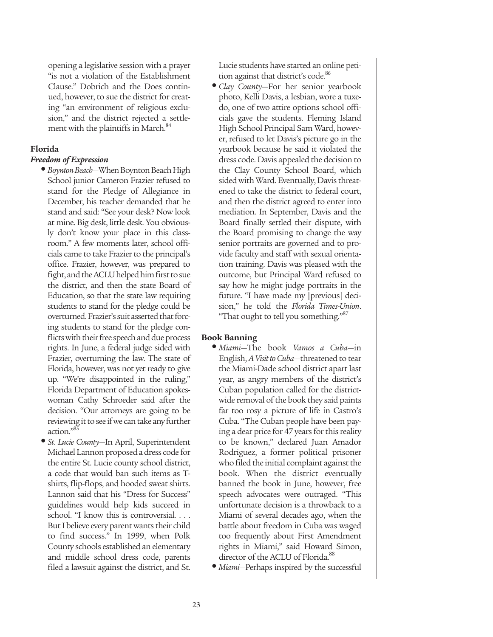opening a legislative session with a prayer "is not a violation of the Establishment Clause." Dobrich and the Does continued, however, to sue the district for creating "an environment of religious exclusion," and the district rejected a settlement with the plaintiffs in March.<sup>84</sup>

## **Florida**

## *Freedom of Expression*

- *Boynton Beach*—When Boynton Beach High School junior Cameron Frazier refused to stand for the Pledge of Allegiance in December, his teacher demanded that he stand and said: "See your desk? Now look at mine. Big desk, little desk. You obviously don't know your place in this classroom." A few moments later, school officials came to take Frazier to the principal's office. Frazier, however, was prepared to fight, and the ACLU helped him first to sue the district, and then the state Board of Education, so that the state law requiring students to stand for the pledge could be overturned. Frazier's suit asserted that forcing students to stand for the pledge conflicts with their free speech and due process rights. In June, a federal judge sided with Frazier, overturning the law. The state of Florida, however, was not yet ready to give up. "We're disappointed in the ruling," Florida Department of Education spokeswoman Cathy Schroeder said after the decision. "Our attorneys are going to be reviewing it to see if we can take any further action."85
- *St. Lucie County*—In April, Superintendent Michael Lannon proposed a dress code for the entire St. Lucie county school district, a code that would ban such items as Tshirts, flip-flops, and hooded sweat shirts. Lannon said that his "Dress for Success" guidelines would help kids succeed in school. "I know this is controversial. . . . But I believe every parent wants their child to find success." In 1999, when Polk County schools established an elementary and middle school dress code, parents filed a lawsuit against the district, and St.

Lucie students have started an online petition against that district's code.<sup>86</sup>

**•** *Clay County*—For her senior yearbook photo, Kelli Davis, a lesbian, wore a tuxedo, one of two attire options school officials gave the students. Fleming Island High School Principal Sam Ward, however, refused to let Davis's picture go in the yearbook because he said it violated the dress code. Davis appealed the decision to the Clay County School Board, which sided with Ward. Eventually, Davis threatened to take the district to federal court, and then the district agreed to enter into mediation. In September, Davis and the Board finally settled their dispute, with the Board promising to change the way senior portraits are governed and to provide faculty and staff with sexual orientation training. Davis was pleased with the outcome, but Principal Ward refused to say how he might judge portraits in the future. "I have made my [previous] decision," he told the *Florida Times-Union*. "That ought to tell you something."

## **Book Banning**

- *Miami*—The book *Vamos a Cuba*—in English, *A Visit to Cuba*—threatened to tear the Miami-Dade school district apart last year, as angry members of the district's Cuban population called for the districtwide removal of the book they said paints far too rosy a picture of life in Castro's Cuba. "The Cuban people have been paying a dear price for 47 years for this reality to be known," declared Juan Amador Rodriguez, a former political prisoner who filed the initial complaint against the book. When the district eventually banned the book in June, however, free speech advocates were outraged. "This unfortunate decision is a throwback to a Miami of several decades ago, when the battle about freedom in Cuba was waged too frequently about First Amendment rights in Miami," said Howard Simon, director of the ACLU of Florida.<sup>88</sup>
- *Miami*—Perhaps inspired by the successful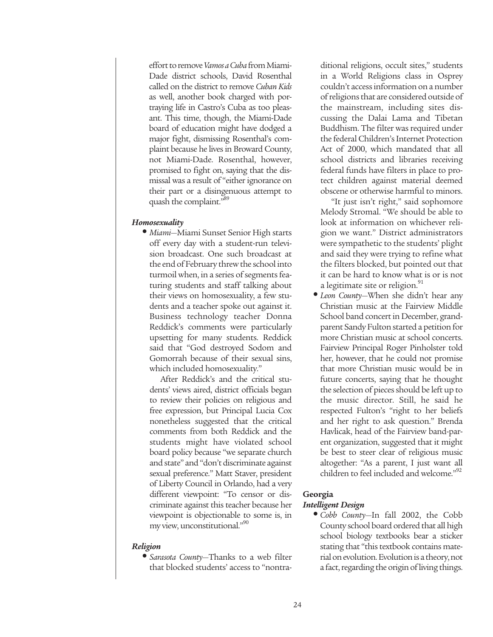effort to remove *Vamos a Cuba* from Miami-Dade district schools, David Rosenthal called on the district to remove *Cuban Kids* as well, another book charged with portraying life in Castro's Cuba as too pleasant. This time, though, the Miami-Dade board of education might have dodged a major fight, dismissing Rosenthal's complaint because he lives in Broward County, not Miami-Dade. Rosenthal, however, promised to fight on, saying that the dismissal was a result of "either ignorance on their part or a disingenuous attempt to quash the complaint."<sup>89</sup>

## *Homosexuality*

**•** *Miami*—Miami Sunset Senior High starts off every day with a student-run television broadcast. One such broadcast at the end of February threw the school into turmoil when, in a series of segments featuring students and staff talking about their views on homosexuality, a few students and a teacher spoke out against it. Business technology teacher Donna Reddick's comments were particularly upsetting for many students. Reddick said that "God destroyed Sodom and Gomorrah because of their sexual sins, which included homosexuality."

After Reddick's and the critical students' views aired, district officials began to review their policies on religious and free expression, but Principal Lucia Cox nonetheless suggested that the critical comments from both Reddick and the students might have violated school board policy because "we separate church and state" and "don't discriminate against sexual preference." Matt Staver, president of Liberty Council in Orlando, had a very different viewpoint: "To censor or discriminate against this teacher because her viewpoint is objectionable to some is, in my view, unconstitutional."<sup>90</sup>

#### *Religion*

**•** *Sarasota County*—Thanks to a web filter that blocked students' access to "nontraditional religions, occult sites," students in a World Religions class in Osprey couldn't access information on a number of religions that are considered outside of the mainstream, including sites discussing the Dalai Lama and Tibetan Buddhism. The filter was required under the federal Children's Internet Protection Act of 2000, which mandated that all school districts and libraries receiving federal funds have filters in place to protect children against material deemed obscene or otherwise harmful to minors.

"It just isn't right," said sophomore Melody Stromal. "We should be able to look at information on whichever religion we want." District administrators were sympathetic to the students' plight and said they were trying to refine what the filters blocked, but pointed out that it can be hard to know what is or is not a legitimate site or religion.<sup>91</sup>

**•** *Leon County*—When she didn't hear any Christian music at the Fairview Middle School band concert in December, grandparent Sandy Fulton started a petition for more Christian music at school concerts. Fairview Principal Roger Pinholster told her, however, that he could not promise that more Christian music would be in future concerts, saying that he thought the selection of pieces should be left up to the music director. Still, he said he respected Fulton's "right to her beliefs and her right to ask question." Brenda Havlicak, head of the Fairview band-parent organization, suggested that it might be best to steer clear of religious music altogether: "As a parent, I just want all children to feel included and welcome."<sup>92</sup>

## **Georgia**

#### *Intelligent Design*

**•** *Cobb County*—In fall 2002, the Cobb County school board ordered that all high school biology textbooks bear a sticker stating that "this textbook contains material on evolution. Evolution is a theory, not a fact, regarding the origin of living things.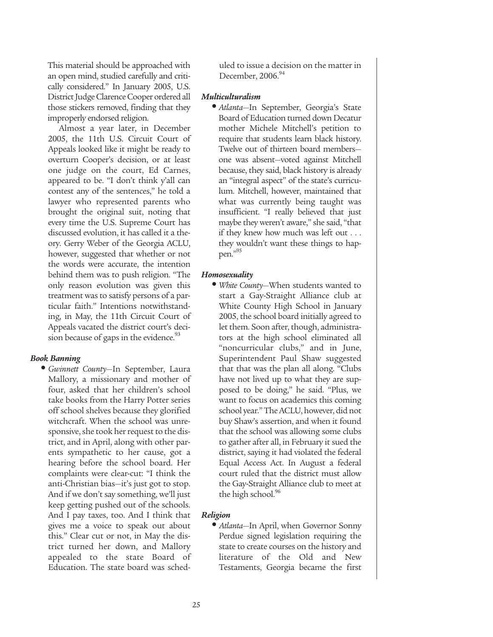This material should be approached with an open mind, studied carefully and critically considered." In January 2005, U.S. District Judge Clarence Cooper ordered all those stickers removed, finding that they improperly endorsed religion.

Almost a year later, in December 2005, the 11th U.S. Circuit Court of Appeals looked like it might be ready to overturn Cooper's decision, or at least one judge on the court, Ed Carnes, appeared to be. "I don't think y'all can contest any of the sentences," he told a lawyer who represented parents who brought the original suit, noting that every time the U.S. Supreme Court has discussed evolution, it has called it a theory. Gerry Weber of the Georgia ACLU, however, suggested that whether or not the words were accurate, the intention behind them was to push religion. "The only reason evolution was given this treatment was to satisfy persons of a particular faith." Intentions notwithstanding, in May, the 11th Circuit Court of Appeals vacated the district court's decision because of gaps in the evidence.<sup>93</sup>

## *Book Banning*

**•** *Gwinnett County*—In September, Laura Mallory, a missionary and mother of four, asked that her children's school take books from the Harry Potter series off school shelves because they glorified witchcraft. When the school was unresponsive, she took her request to the district, and in April, along with other parents sympathetic to her cause, got a hearing before the school board. Her complaints were clear-cut: "I think the anti-Christian bias—it's just got to stop. And if we don't say something, we'll just keep getting pushed out of the schools. And I pay taxes, too. And I think that gives me a voice to speak out about this." Clear cut or not, in May the district turned her down, and Mallory appealed to the state Board of Education. The state board was scheduled to issue a decision on the matter in December,  $2006.<sup>94</sup>$ 

## *Multiculturalism*

**•** *Atlanta*—In September, Georgia's State Board of Education turned down Decatur mother Michele Mitchell's petition to require that students learn black history. Twelve out of thirteen board members one was absent—voted against Mitchell because, they said, black history is already an "integral aspect" of the state's curriculum. Mitchell, however, maintained that what was currently being taught was insufficient. "I really believed that just maybe they weren't aware," she said, "that if they knew how much was left out . . . they wouldn't want these things to happen."95

## *Homosexuality*

**•** *White County*—When students wanted to start a Gay-Straight Alliance club at White County High School in January 2005, the school board initially agreed to let them. Soon after, though, administrators at the high school eliminated all "noncurricular clubs," and in June, Superintendent Paul Shaw suggested that that was the plan all along. "Clubs have not lived up to what they are supposed to be doing," he said. "Plus, we want to focus on academics this coming school year." The ACLU, however, did not buy Shaw's assertion, and when it found that the school was allowing some clubs to gather after all, in February it sued the district, saying it had violated the federal Equal Access Act. In August a federal court ruled that the district must allow the Gay-Straight Alliance club to meet at the high school.<sup>96</sup>

## *Religion*

**•** *Atlanta*—In April, when Governor Sonny Perdue signed legislation requiring the state to create courses on the history and literature of the Old and New Testaments, Georgia became the first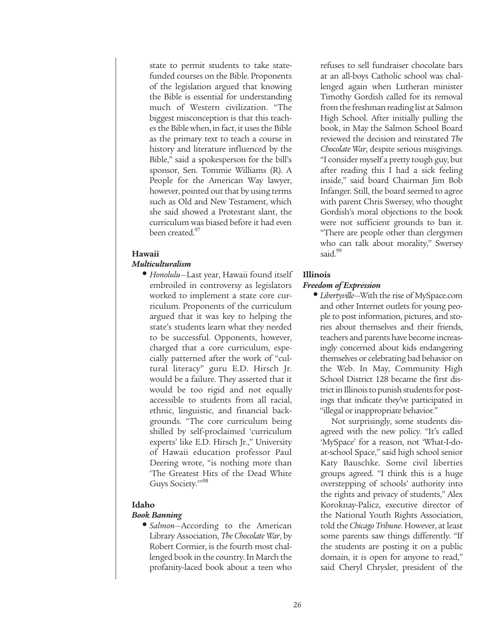state to permit students to take statefunded courses on the Bible. Proponents of the legislation argued that knowing the Bible is essential for understanding much of Western civilization. "The biggest misconception is that this teaches the Bible when, in fact, it uses the Bible as the primary text to teach a course in history and literature influenced by the Bible," said a spokesperson for the bill's sponsor, Sen. Tommie Williams (R). A People for the American Way lawyer, however, pointed out that by using terms such as Old and New Testament, which she said showed a Protestant slant, the curriculum was biased before it had even been created.<sup>97</sup>

## **Hawaii**

## *Multiculturalism*

**•** *Honolulu*—Last year, Hawaii found itself embroiled in controversy as legislators worked to implement a state core curriculum. Proponents of the curriculum argued that it was key to helping the state's students learn what they needed to be successful. Opponents, however, charged that a core curriculum, especially patterned after the work of "cultural literacy" guru E.D. Hirsch Jr. would be a failure. They asserted that it would be too rigid and not equally accessible to students from all racial, ethnic, linguistic, and financial backgrounds. "The core curriculum being shilled by self-proclaimed 'curriculum experts' like E.D. Hirsch Jr.," University of Hawaii education professor Paul Deering wrote, "is nothing more than 'The Greatest Hits of the Dead White Guys Society."<sup>98</sup>

## **Idaho**

## *Book Banning*

**•** *Salmon*—According to the American Library Association, *The Chocolate War*, by Robert Cormier, is the fourth most challenged book in the country. In March the profanity-laced book about a teen who refuses to sell fundraiser chocolate bars at an all-boys Catholic school was challenged again when Lutheran minister Timothy Gordish called for its removal from the freshman reading list at Salmon High School. After initially pulling the book, in May the Salmon School Board reviewed the decision and reinstated *The Chocolate War*, despite serious misgivings. "I consider myself a pretty tough guy, but after reading this I had a sick feeling inside," said board Chairman Jim Bob Infanger. Still, the board seemed to agree with parent Chris Swersey, who thought Gordish's moral objections to the book were not sufficient grounds to ban it. "There are people other than clergymen who can talk about morality," Swersey said.<sup>99</sup>

## **Illinois**

#### *Freedom of Expression*

**•** *Libertyville*—With the rise of MySpace.com and other Internet outlets for young people to post information, pictures, and stories about themselves and their friends, teachers and parents have become increasingly concerned about kids endangering themselves or celebrating bad behavior on the Web. In May, Community High School District 128 became the first district in Illinois to punish students for postings that indicate they've participated in "illegal or inappropriate behavior."

Not surprisingly, some students disagreed with the new policy. "It's called 'MySpace' for a reason, not 'What-I-doat-school Space," said high school senior Katy Bauschke. Some civil liberties groups agreed. "I think this is a huge overstepping of schools' authority into the rights and privacy of students," Alex Koroknay-Palicz, executive director of the National Youth Rights Association, told the *Chicago Tribune*. However, at least some parents saw things differently. "If the students are posting it on a public domain, it is open for anyone to read," said Cheryl Chrysler, president of the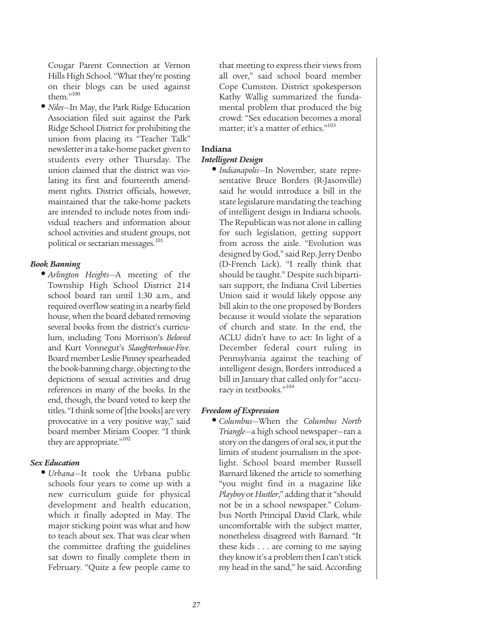Cougar Parent Connection at Vernon Hills High School. "What they're posting on their blogs can be used against them."100

**•** *Niles*—In May, the Park Ridge Education Association filed suit against the Park Ridge School District for prohibiting the union from placing its "Teacher Talk" newsletter in a take-home packet given to students every other Thursday. The union claimed that the district was violating its first and fourteenth amendment rights. District officials, however, maintained that the take-home packets are intended to include notes from individual teachers and information about school activities and student groups, not political or sectarian messages.<sup>101</sup>

## *Book Banning*

**•** *Arlington Heights*—A meeting of the Township High School District 214 school board ran until 1:30 a.m., and required overflow seating in a nearby field house, when the board debated removing several books from the district's curriculum, including Toni Morrison's *Beloved* and Kurt Vonnegut's *Slaughterhouse-Five*. Board member Leslie Pinney spearheaded the book-banning charge, objecting to the depictions of sexual activities and drug references in many of the books. In the end, though, the board voted to keep the titles. "I think some of [the books] are very provocative in a very positive way," said board member Miriam Cooper. "I think they are appropriate."<sup>102</sup>

## *Sex Education*

**•** *Urbana*—It took the Urbana public schools four years to come up with a new curriculum guide for physical development and health education, which it finally adopted in May. The major sticking point was what and how to teach about sex. That was clear when the committee drafting the guidelines sat down to finally complete them in February. "Quite a few people came to that meeting to express their views from all over," said school board member Cope Cumston. District spokesperson Kathy Wallig summarized the fundamental problem that produced the big crowd: "Sex education becomes a moral matter; it's a matter of ethics."<sup>103</sup>

## **Indiana**

## *Intelligent Design*

**•** *Indianapolis*—In November, state representative Bruce Borders (R-Jasonville) said he would introduce a bill in the state legislature mandating the teaching of intelligent design in Indiana schools. The Republican was not alone in calling for such legislation, getting support from across the aisle. "Evolution was designed by God," said Rep. Jerry Denbo (D-French Lick). "I really think that should be taught." Despite such bipartisan support, the Indiana Civil Liberties Union said it would likely oppose any bill akin to the one proposed by Borders because it would violate the separation of church and state. In the end, the ACLU didn't have to act: In light of a December federal court ruling in Pennsylvania against the teaching of intelligent design, Borders introduced a bill in January that called only for "accuracy in textbooks."104

## *Freedom of Expression*

**•** *Columbus*—When the *Columbus North Triangle*—a high school newspaper—ran a story on the dangers of oral sex, it put the limits of student journalism in the spotlight. School board member Russell Barnard likened the article to something "you might find in a magazine like *Playboy* or *Hustler*," adding that it "should not be in a school newspaper." Columbus North Principal David Clark, while uncomfortable with the subject matter, nonetheless disagreed with Barnard. "It these kids . . . are coming to me saying they know it's a problem then I can't stick my head in the sand," he said. According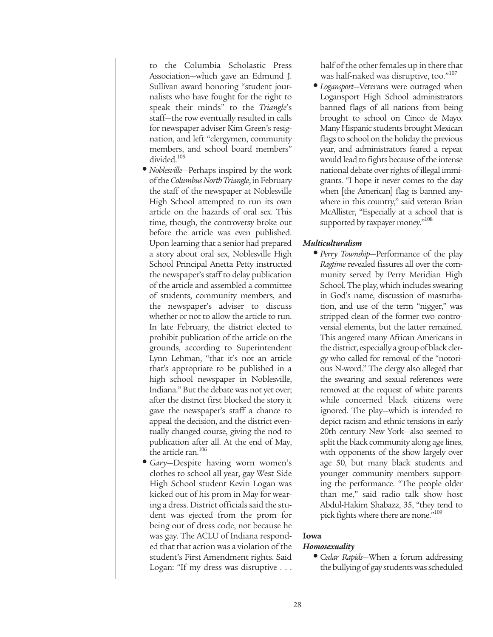to the Columbia Scholastic Press Association—which gave an Edmund J. Sullivan award honoring "student journalists who have fought for the right to speak their minds" to the *Triangle*'s staff—the row eventually resulted in calls for newspaper adviser Kim Green's resignation, and left "clergymen, community members, and school board members" divided.<sup>105</sup>

- *Noblesville*—Perhaps inspired by the work of the *Columbus North Triangle*, in February the staff of the newspaper at Noblesville High School attempted to run its own article on the hazards of oral sex. This time, though, the controversy broke out before the article was even published. Upon learning that a senior had prepared a story about oral sex, Noblesville High School Principal Anetta Petty instructed the newspaper's staff to delay publication of the article and assembled a committee of students, community members, and the newspaper's adviser to discuss whether or not to allow the article to run. In late February, the district elected to prohibit publication of the article on the grounds, according to Superintendent Lynn Lehman, "that it's not an article that's appropriate to be published in a high school newspaper in Noblesville, Indiana." But the debate was not yet over; after the district first blocked the story it gave the newspaper's staff a chance to appeal the decision, and the district eventually changed course, giving the nod to publication after all. At the end of May, the article ran.<sup>106</sup>
- *Gary*—Despite having worn women's clothes to school all year, gay West Side High School student Kevin Logan was kicked out of his prom in May for wearing a dress. District officials said the student was ejected from the prom for being out of dress code, not because he was gay. The ACLU of Indiana responded that that action was a violation of the student's First Amendment rights. Said Logan: "If my dress was disruptive . . .

half of the other females up in there that was half-naked was disruptive, too."<sup>107</sup>

**•** *Logansport*—Veterans were outraged when Logansport High School administrators banned flags of all nations from being brought to school on Cinco de Mayo. Many Hispanic students brought Mexican flags to school on the holiday the previous year, and administrators feared a repeat would lead to fights because of the intense national debate over rights of illegal immigrants. "I hope it never comes to the day when [the American] flag is banned anywhere in this country," said veteran Brian McAllister, "Especially at a school that is supported by taxpayer money."<sup>108</sup>

## *Multiculturalism*

**•** *Perry Township*—Performance of the play *Ragtime* revealed fissures all over the community served by Perry Meridian High School. The play, which includes swearing in God's name, discussion of masturbation, and use of the term "nigger," was stripped clean of the former two controversial elements, but the latter remained. This angered many African Americans in the district, especially a group of black clergy who called for removal of the "notorious N-word." The clergy also alleged that the swearing and sexual references were removed at the request of white parents while concerned black citizens were ignored. The play—which is intended to depict racism and ethnic tensions in early 20th century New York—also seemed to split the black community along age lines, with opponents of the show largely over age 50, but many black students and younger community members supporting the performance. "The people older than me," said radio talk show host Abdul-Hakim Shabazz, 35, "they tend to pick fights where there are none."<sup>109</sup>

#### **Iowa**

#### *Homosexuality*

**•** *Cedar Rapids*—When a forum addressing the bullying of gay students was scheduled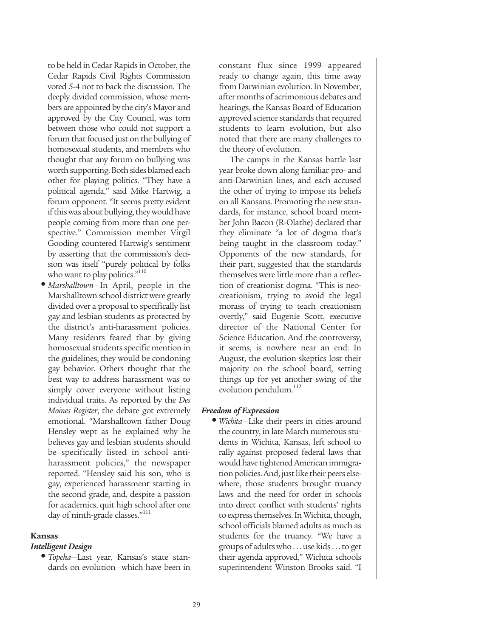to be held in Cedar Rapids in October, the Cedar Rapids Civil Rights Commission voted 5-4 not to back the discussion. The deeply divided commission, whose members are appointed by the city's Mayor and approved by the City Council, was torn between those who could not support a forum that focused just on the bullying of homosexual students, and members who thought that any forum on bullying was worth supporting. Both sides blamed each other for playing politics. "They have a political agenda," said Mike Hartwig, a forum opponent. "It seems pretty evident if this was about bullying, they would have people coming from more than one perspective." Commission member Virgil Gooding countered Hartwig's sentiment by asserting that the commission's decision was itself "purely political by folks who want to play politics."<sup>110</sup>

**•** *Marshalltown*—In April, people in the Marshalltown school district were greatly divided over a proposal to specifically list gay and lesbian students as protected by the district's anti-harassment policies. Many residents feared that by giving homosexual students specific mention in the guidelines, they would be condoning gay behavior. Others thought that the best way to address harassment was to simply cover everyone without listing individual traits. As reported by the *Des Moines Register*, the debate got extremely emotional. "Marshalltown father Doug Hensley wept as he explained why he believes gay and lesbian students should be specifically listed in school antiharassment policies," the newspaper reported. "Hensley said his son, who is gay, experienced harassment starting in the second grade, and, despite a passion for academics, quit high school after one day of ninth-grade classes."<sup>111</sup>

#### **Kansas**

## *Intelligent Design*

**•** *Topeka*—Last year, Kansas's state standards on evolution—which have been in constant flux since 1999—appeared ready to change again, this time away from Darwinian evolution. In November, after months of acrimonious debates and hearings, the Kansas Board of Education approved science standards that required students to learn evolution, but also noted that there are many challenges to the theory of evolution.

The camps in the Kansas battle last year broke down along familiar pro- and anti-Darwinian lines, and each accused the other of trying to impose its beliefs on all Kansans. Promoting the new standards, for instance, school board member John Bacon (R-Olathe) declared that they eliminate "a lot of dogma that's being taught in the classroom today." Opponents of the new standards, for their part, suggested that the standards themselves were little more than a reflection of creationist dogma. "This is neocreationism, trying to avoid the legal morass of trying to teach creationism overtly," said Eugenie Scott, executive director of the National Center for Science Education. And the controversy, it seems, is nowhere near an end: In August, the evolution-skeptics lost their majority on the school board, setting things up for yet another swing of the evolution pendulum.<sup>112</sup>

## *Freedom of Expression*

**•** *Wichita*—Like their peers in cities around the country, in late March numerous students in Wichita, Kansas, left school to rally against proposed federal laws that would have tightened American immigration policies. And, just like their peers elsewhere, those students brought truancy laws and the need for order in schools into direct conflict with students' rights to express themselves. In Wichita, though, school officials blamed adults as much as students for the truancy. "We have a groups of adults who . . . use kids . . . to get their agenda approved," Wichita schools superintendent Winston Brooks said. "I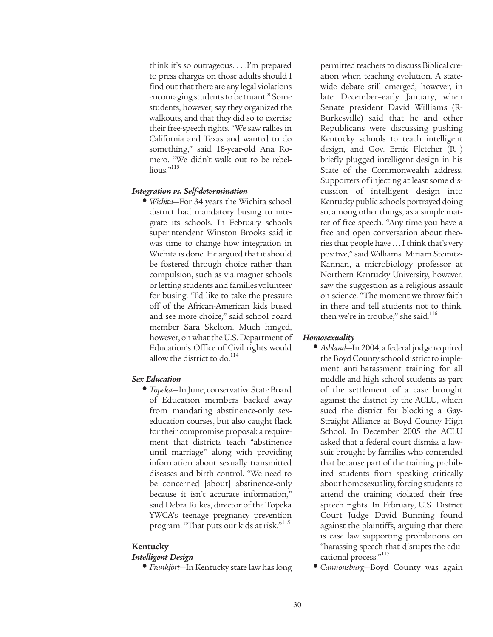think it's so outrageous. . . .I'm prepared to press charges on those adults should I find out that there are any legal violations encouraging students to be truant." Some students, however, say they organized the walkouts, and that they did so to exercise their free-speech rights. "We saw rallies in California and Texas and wanted to do something," said 18-year-old Ana Romero. "We didn't walk out to be rebellious."113

## *Integration vs. Self-determination*

**•** *Wichita*—For 34 years the Wichita school district had mandatory busing to integrate its schools. In February schools superintendent Winston Brooks said it was time to change how integration in Wichita is done. He argued that it should be fostered through choice rather than compulsion, such as via magnet schools or letting students and families volunteer for busing. "I'd like to take the pressure off of the African-American kids bused and see more choice," said school board member Sara Skelton. Much hinged, however, on what the U.S. Department of Education's Office of Civil rights would allow the district to do. $114$ 

#### *Sex Education*

**•** *Topeka*—In June, conservative State Board of Education members backed away from mandating abstinence-only sexeducation courses, but also caught flack for their compromise proposal: a requirement that districts teach "abstinence until marriage" along with providing information about sexually transmitted diseases and birth control. "We need to be concerned [about] abstinence-only because it isn't accurate information," said Debra Rukes, director of the Topeka YWCA's teenage pregnancy prevention program. "That puts our kids at risk."<sup>115</sup>

#### **Kentucky**

### *Intelligent Design*

**•** *Frankfort*—In Kentucky state law has long

permitted teachers to discuss Biblical creation when teaching evolution. A statewide debate still emerged, however, in late December–early January, when Senate president David Williams (R-Burkesville) said that he and other Republicans were discussing pushing Kentucky schools to teach intelligent design, and Gov. Ernie Fletcher (R ) briefly plugged intelligent design in his State of the Commonwealth address. Supporters of injecting at least some discussion of intelligent design into Kentucky public schools portrayed doing so, among other things, as a simple matter of free speech. "Any time you have a free and open conversation about theories that people have . . . I think that's very positive," said Williams. Miriam Steinitz-Kannan, a microbiology professor at Northern Kentucky University, however, saw the suggestion as a religious assault on science. "The moment we throw faith in there and tell students not to think, then we're in trouble," she said.<sup>116</sup>

### *Homosexuality*

- *Ashland*—In 2004, a federal judge required the Boyd County school district to implement anti-harassment training for all middle and high school students as part of the settlement of a case brought against the district by the ACLU, which sued the district for blocking a Gay-Straight Alliance at Boyd County High School. In December 2005 the ACLU asked that a federal court dismiss a lawsuit brought by families who contended that because part of the training prohibited students from speaking critically about homosexuality, forcing students to attend the training violated their free speech rights. In February, U.S. District Court Judge David Bunning found against the plaintiffs, arguing that there is case law supporting prohibitions on "harassing speech that disrupts the educational process."117
- *Cannonsburg*—Boyd County was again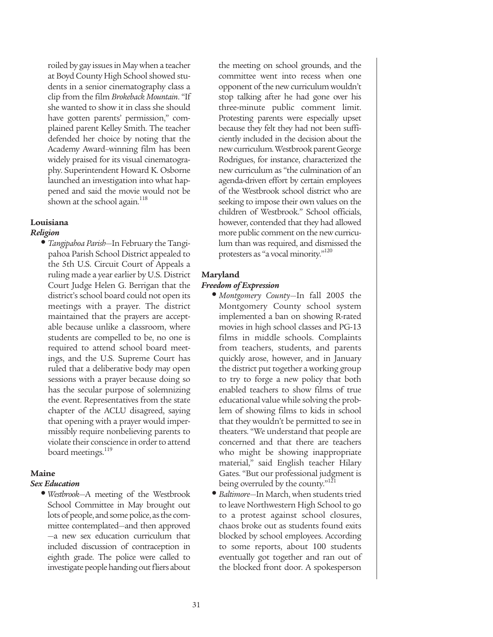roiled by gay issues in May when a teacher at Boyd County High School showed students in a senior cinematography class a clip from the film *Brokeback Mountain*. "If she wanted to show it in class she should have gotten parents' permission," complained parent Kelley Smith. The teacher defended her choice by noting that the Academy Award–winning film has been widely praised for its visual cinematography. Superintendent Howard K. Osborne launched an investigation into what happened and said the movie would not be shown at the school again.<sup>118</sup>

## **Louisiana**

## *Religion*

**•** *Tangipahoa Parish*—In February the Tangipahoa Parish School District appealed to the 5th U.S. Circuit Court of Appeals a ruling made a year earlier by U.S. District Court Judge Helen G. Berrigan that the district's school board could not open its meetings with a prayer. The district maintained that the prayers are acceptable because unlike a classroom, where students are compelled to be, no one is required to attend school board meetings, and the U.S. Supreme Court has ruled that a deliberative body may open sessions with a prayer because doing so has the secular purpose of solemnizing the event. Representatives from the state chapter of the ACLU disagreed, saying that opening with a prayer would impermissibly require nonbelieving parents to violate their conscience in order to attend board meetings.<sup>119</sup>

## **Maine**

## *Sex Education*

**•** *Westbrook*—A meeting of the Westbrook School Committee in May brought out lots of people, and some police, as the committee contemplated—and then approved —a new sex education curriculum that included discussion of contraception in eighth grade. The police were called to investigate people handing out fliers about the meeting on school grounds, and the committee went into recess when one opponent of the new curriculum wouldn't stop talking after he had gone over his three-minute public comment limit. Protesting parents were especially upset because they felt they had not been sufficiently included in the decision about the new curriculum. Westbrook parent George Rodrigues, for instance, characterized the new curriculum as "the culmination of an agenda-driven effort by certain employees of the Westbrook school district who are seeking to impose their own values on the children of Westbrook." School officials, however, contended that they had allowed more public comment on the new curriculum than was required, and dismissed the protesters as "a vocal minority."<sup>120</sup>

## **Maryland**

## *Freedom of Expression*

- *Montgomery County*—In fall 2005 the Montgomery County school system implemented a ban on showing R-rated movies in high school classes and PG-13 films in middle schools. Complaints from teachers, students, and parents quickly arose, however, and in January the district put together a working group to try to forge a new policy that both enabled teachers to show films of true educational value while solving the problem of showing films to kids in school that they wouldn't be permitted to see in theaters. "We understand that people are concerned and that there are teachers who might be showing inappropriate material," said English teacher Hilary Gates. "But our professional judgment is being overruled by the county."<sup>121</sup>
- *Baltimore*—In March, when students tried to leave Northwestern High School to go to a protest against school closures, chaos broke out as students found exits blocked by school employees. According to some reports, about 100 students eventually got together and ran out of the blocked front door. A spokesperson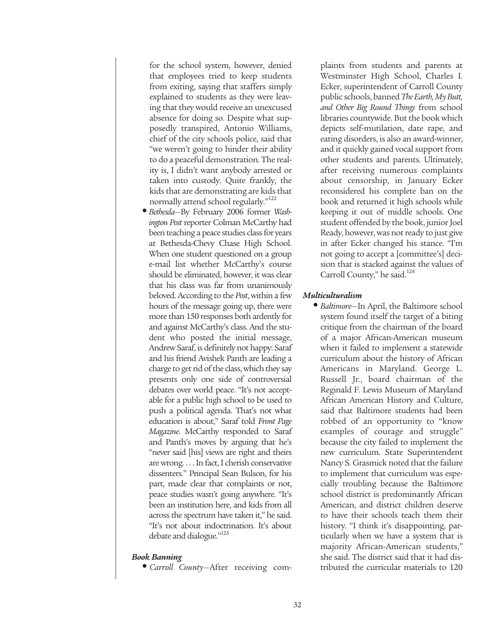for the school system, however, denied that employees tried to keep students from exiting, saying that staffers simply explained to students as they were leaving that they would receive an unexcused absence for doing so. Despite what supposedly transpired, Antonio Williams, chief of the city schools police, said that "we weren't going to hinder their ability to do a peaceful demonstration. The reality is, I didn't want anybody arrested or taken into custody. Quite frankly, the kids that are demonstrating are kids that normally attend school regularly."<sup>122</sup>

**•** *Bethesda*—By February 2006 former *Washington Post* reporter Colman McCarthy had been teaching a peace studies class for years at Bethesda-Chevy Chase High School. When one student questioned on a group e-mail list whether McCarthy's course should be eliminated, however, it was clear that his class was far from unanimously beloved. According to the *Post*, within a few hours of the message going up, there were more than 150 responses both ardently for and against McCarthy's class. And the student who posted the initial message, Andrew Saraf, is definitely not happy: Saraf and his friend Avishek Panth are leading a charge to get rid of the class, which they say presents only one side of controversial debates over world peace. "It's not acceptable for a public high school to be used to push a political agenda. That's not what education is about," Saraf told *Front Page Magazine*. McCarthy responded to Saraf and Panth's moves by arguing that he's "never said [his] views are right and theirs are wrong. . . . In fact, I cherish conservative dissenters." Principal Sean Bulson, for his part, made clear that complaints or not, peace studies wasn't going anywhere. "It's been an institution here, and kids from all across the spectrum have taken it," he said. "It's not about indoctrination. It's about debate and dialogue."<sup>123</sup>

#### *Book Banning*

**•** *Carroll County*—After receiving com-

plaints from students and parents at Westminster High School, Charles I. Ecker, superintendent of Carroll County public schools, banned *The Earth, My Butt, and Other Big Round Things* from school libraries countywide. But the book which depicts self-mutilation, date rape, and eating disorders, is also an award-winner, and it quickly gained vocal support from other students and parents. Ultimately, after receiving numerous complaints about censorship, in January Ecker reconsidered his complete ban on the book and returned it high schools while keeping it out of middle schools. One student offended by the book, junior Joel Ready, however, was not ready to just give in after Ecker changed his stance. "I'm not going to accept a [committee's] decision that is stacked against the values of Carroll County," he said.<sup>124</sup>

## *Multiculturalism*

**•** *Baltimore*—In April, the Baltimore school system found itself the target of a biting critique from the chairman of the board of a major African-American museum when it failed to implement a statewide curriculum about the history of African Americans in Maryland. George L. Russell Jr., board chairman of the Reginald F. Lewis Museum of Maryland African American History and Culture, said that Baltimore students had been robbed of an opportunity to "know examples of courage and struggle" because the city failed to implement the new curriculum. State Superintendent Nancy S. Grasmick noted that the failure to implement that curriculum was especially troubling because the Baltimore school district is predominantly African American, and district children deserve to have their schools teach them their history. "I think it's disappointing, particularly when we have a system that is majority African-American students," she said. The district said that it had distributed the curricular materials to 120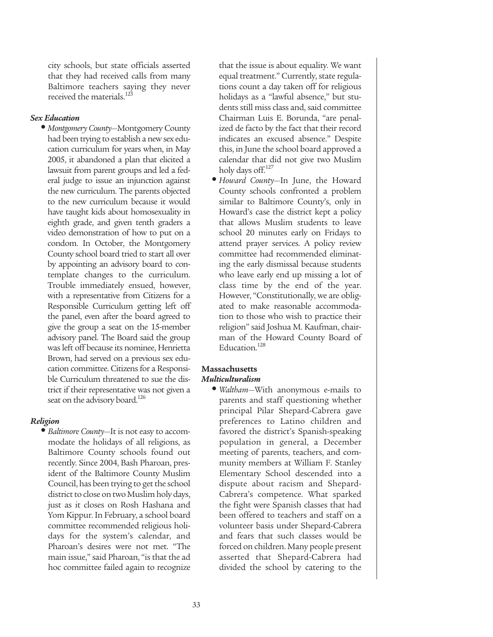city schools, but state officials asserted that they had received calls from many Baltimore teachers saying they never received the materials.<sup>125</sup>

## *Sex Education*

**•** *Montgomery County*—Montgomery County had been trying to establish a new sex education curriculum for years when, in May 2005, it abandoned a plan that elicited a lawsuit from parent groups and led a federal judge to issue an injunction against the new curriculum. The parents objected to the new curriculum because it would have taught kids about homosexuality in eighth grade, and given tenth graders a video demonstration of how to put on a condom. In October, the Montgomery County school board tried to start all over by appointing an advisory board to contemplate changes to the curriculum. Trouble immediately ensued, however, with a representative from Citizens for a Responsible Curriculum getting left off the panel, even after the board agreed to give the group a seat on the 15-member advisory panel. The Board said the group was left off because its nominee, Henrietta Brown, had served on a previous sex education committee. Citizens for a Responsible Curriculum threatened to sue the district if their representative was not given a seat on the advisory board.<sup>126</sup>

#### *Religion*

**•** *Baltimore County*—It is not easy to accommodate the holidays of all religions, as Baltimore County schools found out recently. Since 2004, Bash Pharoan, president of the Baltimore County Muslim Council, has been trying to get the school district to close on two Muslim holy days, just as it closes on Rosh Hashana and Yom Kippur. In February, a school board committee recommended religious holidays for the system's calendar, and Pharoan's desires were not met. "The main issue," said Pharoan, "is that the ad hoc committee failed again to recognize

that the issue is about equality. We want equal treatment." Currently, state regulations count a day taken off for religious holidays as a "lawful absence," but students still miss class and, said committee Chairman Luis E. Borunda, "are penalized de facto by the fact that their record indicates an excused absence." Despite this, in June the school board approved a calendar that did not give two Muslim holy days off.<sup>127</sup>

**•** *Howard County*—In June, the Howard County schools confronted a problem similar to Baltimore County's, only in Howard's case the district kept a policy that allows Muslim students to leave school 20 minutes early on Fridays to attend prayer services. A policy review committee had recommended eliminating the early dismissal because students who leave early end up missing a lot of class time by the end of the year. However, "Constitutionally, we are obligated to make reasonable accommodation to those who wish to practice their religion" said Joshua M. Kaufman, chairman of the Howard County Board of Education.<sup>128</sup>

## **Massachusetts**

## *Multiculturalism*

**•** *Waltham*—With anonymous e-mails to parents and staff questioning whether principal Pilar Shepard-Cabrera gave preferences to Latino children and favored the district's Spanish-speaking population in general, a December meeting of parents, teachers, and community members at William F. Stanley Elementary School descended into a dispute about racism and Shepard-Cabrera's competence. What sparked the fight were Spanish classes that had been offered to teachers and staff on a volunteer basis under Shepard-Cabrera and fears that such classes would be forced on children. Many people present asserted that Shepard-Cabrera had divided the school by catering to the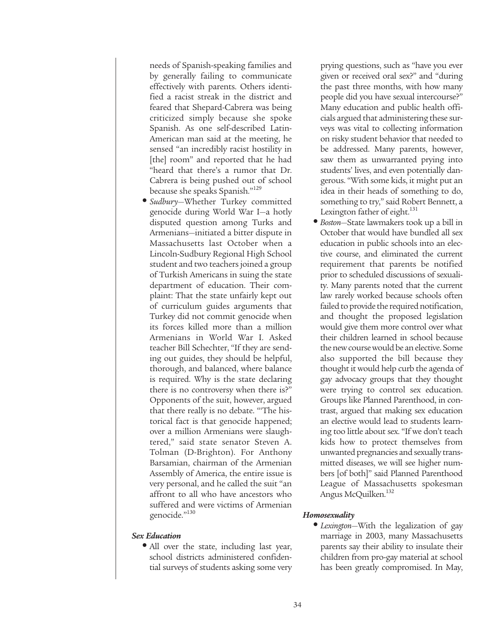needs of Spanish-speaking families and by generally failing to communicate effectively with parents. Others identified a racist streak in the district and feared that Shepard-Cabrera was being criticized simply because she spoke Spanish. As one self-described Latin-American man said at the meeting, he sensed "an incredibly racist hostility in [the] room" and reported that he had "heard that there's a rumor that Dr. Cabrera is being pushed out of school because she speaks Spanish."<sup>129</sup>

**•** *Sudbury*—Whether Turkey committed genocide during World War I—a hotly disputed question among Turks and Armenians—initiated a bitter dispute in Massachusetts last October when a Lincoln-Sudbury Regional High School student and two teachers joined a group of Turkish Americans in suing the state department of education. Their complaint: That the state unfairly kept out of curriculum guides arguments that Turkey did not commit genocide when its forces killed more than a million Armenians in World War I. Asked teacher Bill Schechter, "If they are sending out guides, they should be helpful, thorough, and balanced, where balance is required. Why is the state declaring there is no controversy when there is?" Opponents of the suit, however, argued that there really is no debate. "'The historical fact is that genocide happened; over a million Armenians were slaughtered," said state senator Steven A. Tolman (D-Brighton). For Anthony Barsamian, chairman of the Armenian Assembly of America, the entire issue is very personal, and he called the suit "an affront to all who have ancestors who suffered and were victims of Armenian genocide."<sup>130</sup>

## *Sex Education*

• All over the state, including last year, school districts administered confidential surveys of students asking some very prying questions, such as "have you ever given or received oral sex?" and "during the past three months, with how many people did you have sexual intercourse?" Many education and public health officials argued that administering these surveys was vital to collecting information on risky student behavior that needed to be addressed. Many parents, however, saw them as unwarranted prying into students' lives, and even potentially dangerous. "With some kids, it might put an idea in their heads of something to do, something to try," said Robert Bennett, a Lexington father of eight.<sup>131</sup>

**•** *Boston*—State lawmakers took up a bill in October that would have bundled all sex education in public schools into an elective course, and eliminated the current requirement that parents be notified prior to scheduled discussions of sexuality. Many parents noted that the current law rarely worked because schools often failed to provide the required notification, and thought the proposed legislation would give them more control over what their children learned in school because the new course would be an elective. Some also supported the bill because they thought it would help curb the agenda of gay advocacy groups that they thought were trying to control sex education. Groups like Planned Parenthood, in contrast, argued that making sex education an elective would lead to students learning too little about sex. "If we don't teach kids how to protect themselves from unwanted pregnancies and sexually transmitted diseases, we will see higher numbers [of both]" said Planned Parenthood League of Massachusetts spokesman Angus McQuilken.<sup>132</sup>

## *Homosexuality*

**•** *Lexington*—With the legalization of gay marriage in 2003, many Massachusetts parents say their ability to insulate their children from pro-gay material at school has been greatly compromised. In May,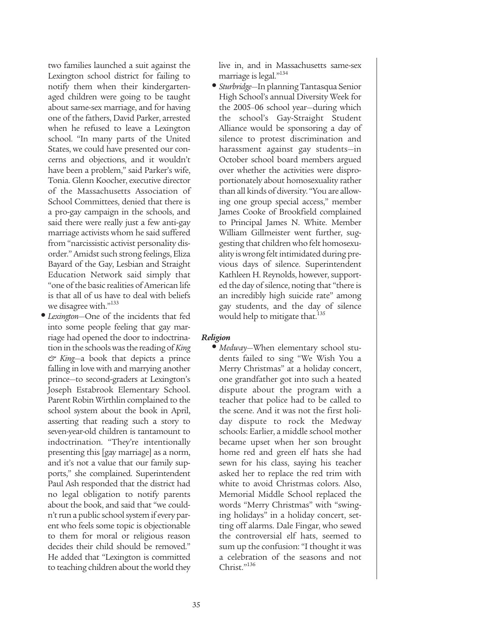two families launched a suit against the Lexington school district for failing to notify them when their kindergartenaged children were going to be taught about same-sex marriage, and for having one of the fathers, David Parker, arrested when he refused to leave a Lexington school. "In many parts of the United States, we could have presented our concerns and objections, and it wouldn't have been a problem," said Parker's wife, Tonia. Glenn Koocher, executive director of the Massachusetts Association of School Committees, denied that there is a pro-gay campaign in the schools, and said there were really just a few anti-gay marriage activists whom he said suffered from "narcissistic activist personality disorder." Amidst such strong feelings, Eliza Bayard of the Gay, Lesbian and Straight Education Network said simply that "one of the basic realities of American life is that all of us have to deal with beliefs we disagree with."133

**•** *Lexington*—One of the incidents that fed into some people feeling that gay marriage had opened the door to indoctrination in the schools was the reading of *King & King*—a book that depicts a prince falling in love with and marrying another prince—to second-graders at Lexington's Joseph Estabrook Elementary School. Parent Robin Wirthlin complained to the school system about the book in April, asserting that reading such a story to seven-year-old children is tantamount to indoctrination. "They're intentionally presenting this [gay marriage] as a norm, and it's not a value that our family supports," she complained. Superintendent Paul Ash responded that the district had no legal obligation to notify parents about the book, and said that "we couldn't run a public school system if every parent who feels some topic is objectionable to them for moral or religious reason decides their child should be removed." He added that "Lexington is committed to teaching children about the world they

live in, and in Massachusetts same-sex marriage is legal."<sup>134</sup>

**•** *Sturbridge*—In planning Tantasqua Senior High School's annual Diversity Week for the 2005–06 school year—during which the school's Gay-Straight Student Alliance would be sponsoring a day of silence to protest discrimination and harassment against gay students—in October school board members argued over whether the activities were disproportionately about homosexuality rather than all kinds of diversity. "You are allowing one group special access," member James Cooke of Brookfield complained to Principal James N. White. Member William Gillmeister went further, suggesting that children who felt homosexuality is wrong felt intimidated during previous days of silence. Superintendent Kathleen H. Reynolds, however, supported the day of silence, noting that "there is an incredibly high suicide rate" among gay students, and the day of silence would help to mitigate that.<sup>135</sup>

## *Religion*

**•** *Medway*—When elementary school students failed to sing "We Wish You a Merry Christmas" at a holiday concert, one grandfather got into such a heated dispute about the program with a teacher that police had to be called to the scene. And it was not the first holiday dispute to rock the Medway schools: Earlier, a middle school mother became upset when her son brought home red and green elf hats she had sewn for his class, saying his teacher asked her to replace the red trim with white to avoid Christmas colors. Also, Memorial Middle School replaced the words "Merry Christmas" with "swinging holidays" in a holiday concert, setting off alarms. Dale Fingar, who sewed the controversial elf hats, seemed to sum up the confusion: "I thought it was a celebration of the seasons and not Christ."136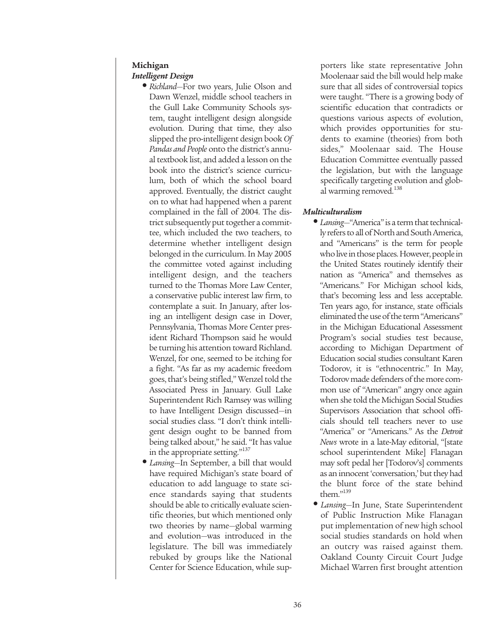## **Michigan**

## *Intelligent Design*

- *Richland*—For two years, Julie Olson and Dawn Wenzel, middle school teachers in the Gull Lake Community Schools system, taught intelligent design alongside evolution. During that time, they also slipped the pro-intelligent design book *Of Pandas and People* onto the district's annual textbook list, and added a lesson on the book into the district's science curriculum, both of which the school board approved. Eventually, the district caught on to what had happened when a parent complained in the fall of 2004. The district subsequently put together a committee, which included the two teachers, to determine whether intelligent design belonged in the curriculum. In May 2005 the committee voted against including intelligent design, and the teachers turned to the Thomas More Law Center, a conservative public interest law firm, to contemplate a suit. In January, after losing an intelligent design case in Dover, Pennsylvania, Thomas More Center president Richard Thompson said he would be turning his attention toward Richland. Wenzel, for one, seemed to be itching for a fight. "As far as my academic freedom goes, that's being stifled," Wenzel told the Associated Press in January. Gull Lake Superintendent Rich Ramsey was willing to have Intelligent Design discussed—in social studies class. "I don't think intelligent design ought to be banned from being talked about," he said. "It has value in the appropriate setting."<sup>137</sup>
- *Lansing*—In September, a bill that would have required Michigan's state board of education to add language to state science standards saying that students should be able to critically evaluate scientific theories, but which mentioned only two theories by name—global warming and evolution—was introduced in the legislature. The bill was immediately rebuked by groups like the National Center for Science Education, while sup-

porters like state representative John Moolenaar said the bill would help make sure that all sides of controversial topics were taught. "There is a growing body of scientific education that contradicts or questions various aspects of evolution, which provides opportunities for students to examine (theories) from both sides," Moolenaar said. The House Education Committee eventually passed the legislation, but with the language specifically targeting evolution and global warming removed.<sup>138</sup>

## *Multiculturalism*

- *Lansing*—"America" is a term that technically refers to all of North and South America, and "Americans" is the term for people who live in those places. However, people in the United States routinely identify their nation as "America" and themselves as "Americans." For Michigan school kids, that's becoming less and less acceptable. Ten years ago, for instance, state officials eliminated the use of the term "Americans" in the Michigan Educational Assessment Program's social studies test because, according to Michigan Department of Education social studies consultant Karen Todorov, it is "ethnocentric." In May, Todorov made defenders of the more common use of "American" angry once again when she told the Michigan Social Studies Supervisors Association that school officials should tell teachers never to use "America" or "Americans." As the *Detroit News* wrote in a late-May editorial, "[state school superintendent Mike] Flanagan may soft pedal her [Todorov's] comments as an innocent 'conversation,' but they had the blunt force of the state behind them."139
- *Lansing*—In June, State Superintendent of Public Instruction Mike Flanagan put implementation of new high school social studies standards on hold when an outcry was raised against them. Oakland County Circuit Court Judge Michael Warren first brought attention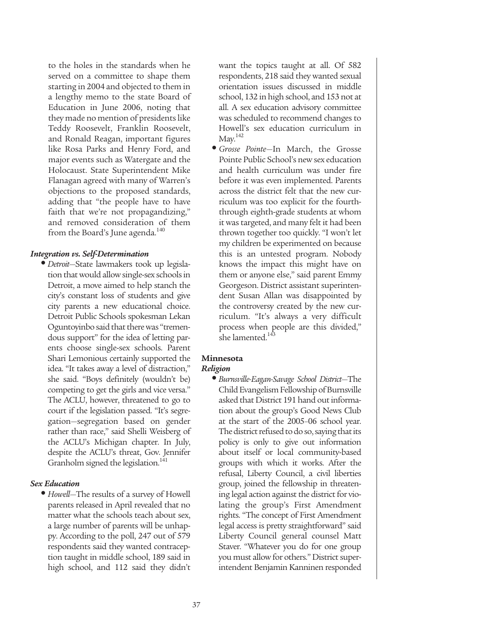to the holes in the standards when he served on a committee to shape them starting in 2004 and objected to them in a lengthy memo to the state Board of Education in June 2006, noting that they made no mention of presidents like Teddy Roosevelt, Franklin Roosevelt, and Ronald Reagan, important figures like Rosa Parks and Henry Ford, and major events such as Watergate and the Holocaust. State Superintendent Mike Flanagan agreed with many of Warren's objections to the proposed standards, adding that "the people have to have faith that we're not propagandizing," and removed consideration of them from the Board's June agenda.<sup>140</sup>

## *Integration vs. Self-Determination*

**•** *Detroit*—State lawmakers took up legislation that would allow single-sex schools in Detroit, a move aimed to help stanch the city's constant loss of students and give city parents a new educational choice. Detroit Public Schools spokesman Lekan Oguntoyinbo said that there was "tremendous support" for the idea of letting parents choose single-sex schools. Parent Shari Lemonious certainly supported the idea. "It takes away a level of distraction," she said. "Boys definitely (wouldn't be) competing to get the girls and vice versa." The ACLU, however, threatened to go to court if the legislation passed. "It's segregation—segregation based on gender rather than race," said Shelli Weisberg of the ACLU's Michigan chapter. In July, despite the ACLU's threat, Gov. Jennifer Granholm signed the legislation.<sup>141</sup>

## *Sex Education*

**•** *Howell*—The results of a survey of Howell parents released in April revealed that no matter what the schools teach about sex, a large number of parents will be unhappy. According to the poll, 247 out of 579 respondents said they wanted contraception taught in middle school, 189 said in high school, and 112 said they didn't

want the topics taught at all. Of 582 respondents, 218 said they wanted sexual orientation issues discussed in middle school, 132 in high school, and 153 not at all. A sex education advisory committee was scheduled to recommend changes to Howell's sex education curriculum in  $May.<sup>142</sup>$ 

**•** *Grosse Pointe*—In March, the Grosse Pointe Public School's new sex education and health curriculum was under fire before it was even implemented. Parents across the district felt that the new curriculum was too explicit for the fourththrough eighth-grade students at whom it was targeted, and many felt it had been thrown together too quickly. "I won't let my children be experimented on because this is an untested program. Nobody knows the impact this might have on them or anyone else," said parent Emmy Georgeson. District assistant superintendent Susan Allan was disappointed by the controversy created by the new curriculum. "It's always a very difficult process when people are this divided," she lamented.<sup>14</sup>

## **Minnesota**

## *Religion*

**•** *Burnsville-Eagan-Savage School District*—The Child Evangelism Fellowship of Burnsville asked that District 191 hand out information about the group's Good News Club at the start of the 2005–06 school year. The district refused to do so, saying that its policy is only to give out information about itself or local community-based groups with which it works. After the refusal, Liberty Council, a civil liberties group, joined the fellowship in threatening legal action against the district for violating the group's First Amendment rights. "The concept of First Amendment legal access is pretty straightforward" said Liberty Council general counsel Matt Staver. "Whatever you do for one group you must allow for others." District superintendent Benjamin Kanninen responded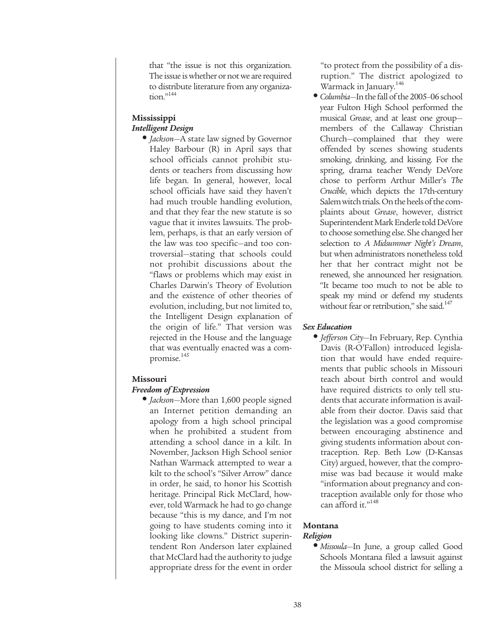that "the issue is not this organization. The issue is whether or not we are required to distribute literature from any organization."<sup>144</sup>

## **Mississippi** *Intelligent Design*

**•** *Jackson*—A state law signed by Governor Haley Barbour (R) in April says that school officials cannot prohibit students or teachers from discussing how life began. In general, however, local school officials have said they haven't had much trouble handling evolution, and that they fear the new statute is so vague that it invites lawsuits. The problem, perhaps, is that an early version of the law was too specific—and too controversial—stating that schools could not prohibit discussions about the "flaws or problems which may exist in Charles Darwin's Theory of Evolution and the existence of other theories of evolution, including, but not limited to, the Intelligent Design explanation of the origin of life." That version was rejected in the House and the language that was eventually enacted was a compromise.<sup>145</sup>

## **Missouri**

## *Freedom of Expression*

**•** *Jackson*—More than 1,600 people signed an Internet petition demanding an apology from a high school principal when he prohibited a student from attending a school dance in a kilt. In November, Jackson High School senior Nathan Warmack attempted to wear a kilt to the school's "Silver Arrow" dance in order, he said, to honor his Scottish heritage. Principal Rick McClard, however, told Warmack he had to go change because "this is my dance, and I'm not going to have students coming into it looking like clowns." District superintendent Ron Anderson later explained that McClard had the authority to judge appropriate dress for the event in order

"to protect from the possibility of a disruption." The district apologized to Warmack in January.<sup>146</sup>

**•** *Columbia*—In the fall of the 2005–06 school year Fulton High School performed the musical *Grease*, and at least one group members of the Callaway Christian Church—complained that they were offended by scenes showing students smoking, drinking, and kissing. For the spring, drama teacher Wendy DeVore chose to perform Arthur Miller's *The Crucible*, which depicts the 17th-century Salem witch trials. On the heels of the complaints about *Grease*, however, district Superintendent Mark Enderle told DeVore to choose something else. She changed her selection to *A Midsummer Night's Dream*, but when administrators nonetheless told her that her contract might not be renewed, she announced her resignation. "It became too much to not be able to speak my mind or defend my students without fear or retribution," she said.<sup>147</sup>

## *Sex Education*

**•** *Jefferson City*—In February, Rep. Cynthia Davis (R-O'Fallon) introduced legislation that would have ended requirements that public schools in Missouri teach about birth control and would have required districts to only tell students that accurate information is available from their doctor. Davis said that the legislation was a good compromise between encouraging abstinence and giving students information about contraception. Rep. Beth Low (D-Kansas City) argued, however, that the compromise was bad because it would make "information about pregnancy and contraception available only for those who can afford it."<sup>148</sup>

## **Montana**

## *Religion*

**•** *Missoula*—In June, a group called Good Schools Montana filed a lawsuit against the Missoula school district for selling a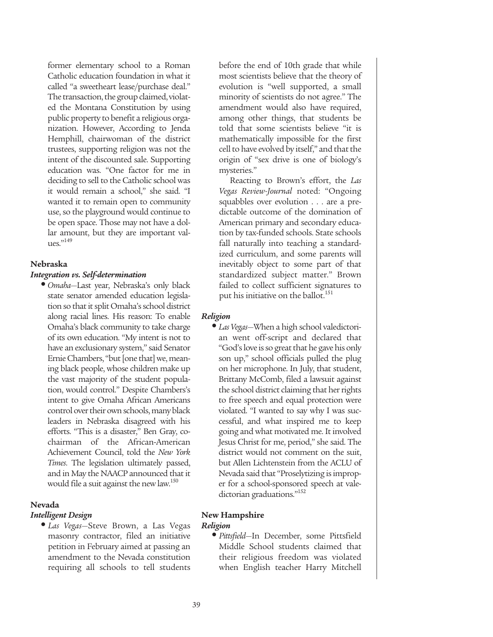former elementary school to a Roman Catholic education foundation in what it called "a sweetheart lease/purchase deal." The transaction, the group claimed, violated the Montana Constitution by using public property to benefit a religious organization. However, According to Jenda Hemphill, chairwoman of the district trustees, supporting religion was not the intent of the discounted sale. Supporting education was. "One factor for me in deciding to sell to the Catholic school was it would remain a school," she said. "I wanted it to remain open to community use, so the playground would continue to be open space. Those may not have a dollar amount, but they are important values."149

## **Nebraska**

## *Integration vs. Self-determination*

**•** *Omaha*—Last year, Nebraska's only black state senator amended education legislation so that it split Omaha's school district along racial lines. His reason: To enable Omaha's black community to take charge of its own education. "My intent is not to have an exclusionary system," said Senator Ernie Chambers, "but [one that] we, meaning black people, whose children make up the vast majority of the student population, would control." Despite Chambers's intent to give Omaha African Americans control over their own schools, many black leaders in Nebraska disagreed with his efforts. "This is a disaster," Ben Gray, cochairman of the African-American Achievement Council, told the *New York Times*. The legislation ultimately passed, and in May the NAACP announced that it would file a suit against the new law.<sup>150</sup>

## **Nevada**

#### *Intelligent Design*

**•** *Las Vegas*—Steve Brown, a Las Vegas masonry contractor, filed an initiative petition in February aimed at passing an amendment to the Nevada constitution requiring all schools to tell students before the end of 10th grade that while most scientists believe that the theory of evolution is "well supported, a small minority of scientists do not agree." The amendment would also have required, among other things, that students be told that some scientists believe "it is mathematically impossible for the first cell to have evolved by itself," and that the origin of "sex drive is one of biology's mysteries."

Reacting to Brown's effort, the *Las Vegas Review-Journal* noted: "Ongoing squabbles over evolution . . . are a predictable outcome of the domination of American primary and secondary education by tax-funded schools. State schools fall naturally into teaching a standardized curriculum, and some parents will inevitably object to some part of that standardized subject matter." Brown failed to collect sufficient signatures to put his initiative on the ballot.<sup>151</sup>

## *Religion*

**•** *Las Vegas*—When a high school valedictorian went off-script and declared that "God's love is so great that he gave his only son up," school officials pulled the plug on her microphone. In July, that student, Brittany McComb, filed a lawsuit against the school district claiming that her rights to free speech and equal protection were violated. "I wanted to say why I was successful, and what inspired me to keep going and what motivated me. It involved Jesus Christ for me, period," she said. The district would not comment on the suit, but Allen Lichtenstein from the ACLU of Nevada said that "Proselytizing is improper for a school-sponsored speech at valedictorian graduations."<sup>152</sup>

## **New Hampshire**

## *Religion*

**•** *Pittsfield*—In December, some Pittsfield Middle School students claimed that their religious freedom was violated when English teacher Harry Mitchell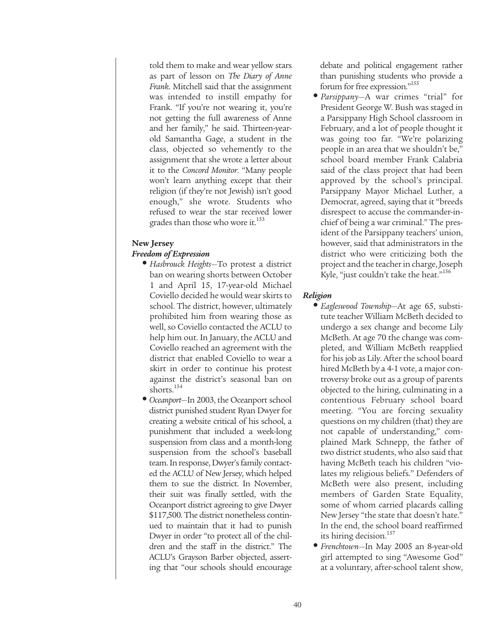told them to make and wear yellow stars as part of lesson on *The Diary of Anne Frank*. Mitchell said that the assignment was intended to instill empathy for Frank. "If you're not wearing it, you're not getting the full awareness of Anne and her family," he said. Thirteen-yearold Samantha Gage, a student in the class, objected so vehemently to the assignment that she wrote a letter about it to the *Concord Monitor*. "Many people won't learn anything except that their religion (if they're not Jewish) isn't good enough," she wrote. Students who refused to wear the star received lower grades than those who wore it.<sup>153</sup>

## **New Jersey** *Freedom of Expression*

- *Hasbrouck Heights*—To protest a district ban on wearing shorts between October 1 and April 15, 17-year-old Michael Coviello decided he would wear skirts to school. The district, however, ultimately prohibited him from wearing those as well, so Coviello contacted the ACLU to help him out. In January, the ACLU and Coviello reached an agreement with the district that enabled Coviello to wear a skirt in order to continue his protest against the district's seasonal ban on shorts.<sup>154</sup>
- *Oceanport*—In 2003, the Oceanport school district punished student Ryan Dwyer for creating a website critical of his school, a punishment that included a week-long suspension from class and a month-long suspension from the school's baseball team. In response, Dwyer's family contacted the ACLU of New Jersey, which helped them to sue the district. In November, their suit was finally settled, with the Oceanport district agreeing to give Dwyer \$117,500. The district nonetheless continued to maintain that it had to punish Dwyer in order "to protect all of the children and the staff in the district." The ACLU's Grayson Barber objected, asserting that "our schools should encourage

debate and political engagement rather than punishing students who provide a forum for free expression."155

**•** *Parsippany*—A war crimes "trial" for President George W. Bush was staged in a Parsippany High School classroom in February, and a lot of people thought it was going too far. "We're polarizing people in an area that we shouldn't be," school board member Frank Calabria said of the class project that had been approved by the school's principal. Parsippany Mayor Michael Luther, a Democrat, agreed, saying that it "breeds disrespect to accuse the commander-inchief of being a war criminal." The president of the Parsippany teachers' union, however, said that administrators in the district who were criticizing both the project and the teacher in charge, Joseph Kyle, "just couldn't take the heat."<sup>156</sup>

## *Religion*

- *Eagleswood Township*—At age 65, substitute teacher William McBeth decided to undergo a sex change and become Lily McBeth. At age 70 the change was completed, and William McBeth reapplied for his job as Lily. After the school board hired McBeth by a 4-1 vote, a major controversy broke out as a group of parents objected to the hiring, culminating in a contentious February school board meeting. "You are forcing sexuality questions on my children (that) they are not capable of understanding," complained Mark Schnepp, the father of two district students, who also said that having McBeth teach his children "violates my religious beliefs." Defenders of McBeth were also present, including members of Garden State Equality, some of whom carried placards calling New Jersey "the state that doesn't hate." In the end, the school board reaffirmed its hiring decision.<sup>157</sup>
- *Frenchtown*—In May 2005 an 8-year-old girl attempted to sing "Awesome God" at a voluntary, after-school talent show,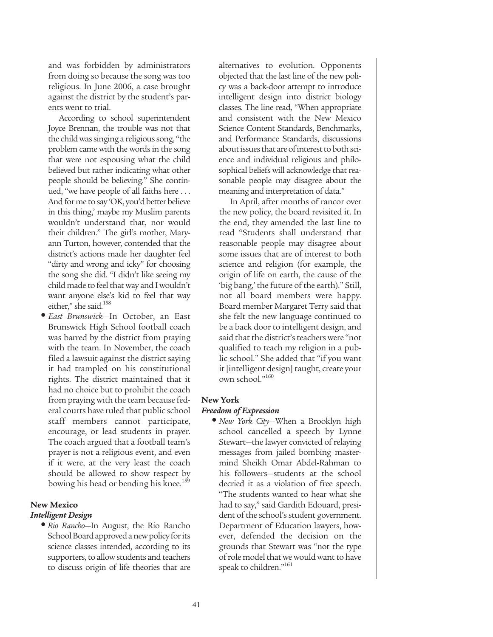and was forbidden by administrators from doing so because the song was too religious. In June 2006, a case brought against the district by the student's parents went to trial.

According to school superintendent Joyce Brennan, the trouble was not that the child was singing a religious song, "the problem came with the words in the song that were not espousing what the child believed but rather indicating what other people should be believing." She continued, "we have people of all faiths here . . . And for me to say 'OK, you'd better believe in this thing,' maybe my Muslim parents wouldn't understand that, nor would their children." The girl's mother, Maryann Turton, however, contended that the district's actions made her daughter feel "dirty and wrong and icky" for choosing the song she did. "I didn't like seeing my child made to feel that way and I wouldn't want anyone else's kid to feel that way either," she said.<sup>158</sup>

**•** *East Brunswick*—In October, an East Brunswick High School football coach was barred by the district from praying with the team. In November, the coach filed a lawsuit against the district saying it had trampled on his constitutional rights. The district maintained that it had no choice but to prohibit the coach from praying with the team because federal courts have ruled that public school staff members cannot participate, encourage, or lead students in prayer. The coach argued that a football team's prayer is not a religious event, and even if it were, at the very least the coach should be allowed to show respect by bowing his head or bending his knee.<sup>159</sup>

## **New Mexico**

#### *Intelligent Design*

**•** *Rio Rancho*—In August, the Rio Rancho School Board approved a new policy for its science classes intended, according to its supporters, to allow students and teachers to discuss origin of life theories that are alternatives to evolution. Opponents objected that the last line of the new policy was a back-door attempt to introduce intelligent design into district biology classes. The line read, "When appropriate and consistent with the New Mexico Science Content Standards, Benchmarks, and Performance Standards, discussions about issues that are of interest to both science and individual religious and philosophical beliefs will acknowledge that reasonable people may disagree about the meaning and interpretation of data."

In April, after months of rancor over the new policy, the board revisited it. In the end, they amended the last line to read "Students shall understand that reasonable people may disagree about some issues that are of interest to both science and religion (for example, the origin of life on earth, the cause of the 'big bang,' the future of the earth)." Still, not all board members were happy. Board member Margaret Terry said that she felt the new language continued to be a back door to intelligent design, and said that the district's teachers were "not qualified to teach my religion in a public school." She added that "if you want it [intelligent design] taught, create your own school."<sup>160</sup>

#### **New York**

#### *Freedom of Expression*

**•** *New York City*—When a Brooklyn high school cancelled a speech by Lynne Stewart—the lawyer convicted of relaying messages from jailed bombing mastermind Sheikh Omar Abdel-Rahman to his followers—students at the school decried it as a violation of free speech. "The students wanted to hear what she had to say," said Gardith Edouard, president of the school's student government. Department of Education lawyers, however, defended the decision on the grounds that Stewart was "not the type of role model that we would want to have speak to children."<sup>161</sup>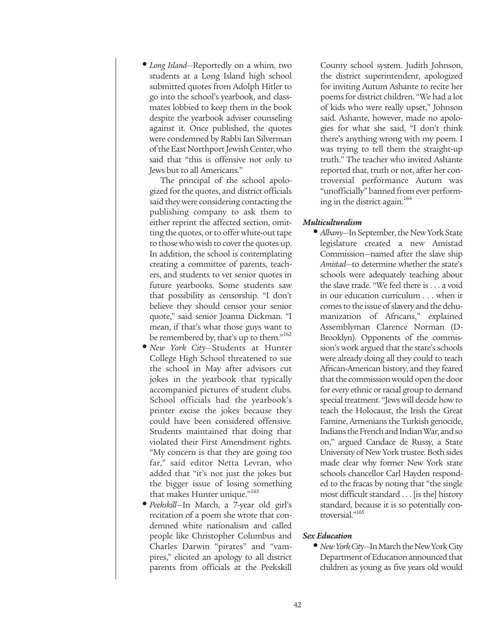**•** *Long Island*—Reportedly on a whim, two students at a Long Island high school submitted quotes from Adolph Hitler to go into the school's yearbook, and classmates lobbied to keep them in the book despite the yearbook adviser counseling against it. Once published, the quotes were condemned by Rabbi Ian Silverman of the East Northport Jewish Center, who said that "this is offensive not only to Jews but to all Americans."

The principal of the school apologized for the quotes, and district officials said they were considering contacting the publishing company to ask them to either reprint the affected section, omitting the quotes, or to offer white-out tape to those who wish to cover the quotes up. In addition, the school is contemplating creating a committee of parents, teachers, and students to vet senior quotes in future yearbooks. Some students saw that possibility as censorship. "I don't believe they should censor your senior quote," said senior Joanna Dickman. "I mean, if that's what those guys want to be remembered by, that's up to them."<sup>162</sup>

- *New York City*—Students at Hunter College High School threatened to sue the school in May after advisors cut jokes in the yearbook that typically accompanied pictures of student clubs. School officials had the yearbook's printer excise the jokes because they could have been considered offensive. Students maintained that doing that violated their First Amendment rights. "My concern is that they are going too far," said editor Netta Levran, who added that "it's not just the jokes but the bigger issue of losing something that makes Hunter unique."<sup>163</sup>
- *Peekskill*—In March, a 7-year old girl's recitation of a poem she wrote that condemned white nationalism and called people like Christopher Columbus and Charles Darwin "pirates" and "vampires," elicited an apology to all district parents from officials at the Peekskill

County school system. Judith Johnson, the district superintendent, apologized for inviting Autum Ashante to recite her poems for district children. "We had a lot of kids who were really upset," Johnson said. Ashante, however, made no apologies for what she said, "I don't think there's anything wrong with my poem. I was trying to tell them the straight-up truth." The teacher who invited Ashante reported that, truth or not, after her controversial performance Autum was "unofficially" banned from ever performing in the district again.<sup>164</sup>

## *Multiculturalism*

**•** *Albany*—In September, the New York State legislature created a new Amistad Commission—named after the slave ship *Amistad*—to determine whether the state's schools were adequately teaching about the slave trade. "We feel there is . . . a void in our education curriculum . . . when it comes to the issue of slavery and the dehumanization of Africans," explained Assemblyman Clarence Norman (D-Brooklyn). Opponents of the commission's work argued that the state's schools were already doing all they could to teach African-American history, and they feared that the commission would open the door for every ethnic or racial group to demand special treatment. "Jews will decide how to teach the Holocaust, the Irish the Great Famine, Armenians the Turkish genocide, Indians the French and Indian War, and so on," argued Candace de Russy, a State University of New York trustee. Both sides made clear why former New York state schools chancellor Carl Hayden responded to the fracas by noting that "the single most difficult standard . . . [is the] history standard, because it is so potentially controversial."<sup>165</sup>

## *Sex Education*

**•** *New York City*—In March the New York City Department of Education announced that children as young as five years old would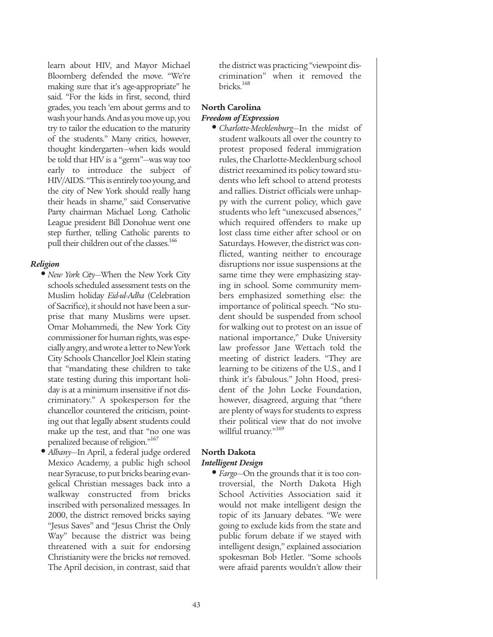learn about HIV, and Mayor Michael Bloomberg defended the move. "We're making sure that it's age-appropriate" he said. "For the kids in first, second, third grades, you teach 'em about germs and to wash your hands. And as you move up, you try to tailor the education to the maturity of the students." Many critics, however, thought kindergarten—when kids would be told that HIV is a "germ"—was way too early to introduce the subject of HIV/AIDS. "This is entirely too young, and the city of New York should really hang their heads in shame," said Conservative Party chairman Michael Long. Catholic League president Bill Donohue went one step further, telling Catholic parents to pull their children out of the classes.<sup>166</sup>

## *Religion*

- *New York City*—When the New York City schools scheduled assessment tests on the Muslim holiday *Eid-ul-Adha* (Celebration of Sacrifice), it should not have been a surprise that many Muslims were upset. Omar Mohammedi, the New York City commissioner for human rights, was especially angry, and wrote a letter to New York City Schools Chancellor Joel Klein stating that "mandating these children to take state testing during this important holiday is at a minimum insensitive if not discriminatory." A spokesperson for the chancellor countered the criticism, pointing out that legally absent students could make up the test, and that "no one was penalized because of religion."<sup>167</sup>
- *Albany*—In April, a federal judge ordered Mexico Academy, a public high school near Syracuse, to put bricks bearing evangelical Christian messages back into a walkway constructed from bricks inscribed with personalized messages. In 2000, the district removed bricks saying "Jesus Saves" and "Jesus Christ the Only Way" because the district was being threatened with a suit for endorsing Christianity were the bricks *not* removed. The April decision, in contrast, said that

the district was practicing "viewpoint discrimination" when it removed the bricks.168

# **North Carolina**

## *Freedom of Expression*

**•** *Charlotte-Mecklenburg*—In the midst of student walkouts all over the country to protest proposed federal immigration rules, the Charlotte-Mecklenburg school district reexamined its policy toward students who left school to attend protests and rallies. District officials were unhappy with the current policy, which gave students who left "unexcused absences," which required offenders to make up lost class time either after school or on Saturdays. However, the district was conflicted, wanting neither to encourage disruptions nor issue suspensions at the same time they were emphasizing staying in school. Some community members emphasized something else: the importance of political speech. "No student should be suspended from school for walking out to protest on an issue of national importance," Duke University law professor Jane Wettach told the meeting of district leaders. "They are learning to be citizens of the U.S., and I think it's fabulous." John Hood, president of the John Locke Foundation, however, disagreed, arguing that "there are plenty of ways for students to express their political view that do not involve willful truancy."<sup>169</sup>

## **North Dakota** *Intelligent Design*

**•** *Fargo*—On the grounds that it is too controversial, the North Dakota High School Activities Association said it would not make intelligent design the topic of its January debates. "We were going to exclude kids from the state and public forum debate if we stayed with intelligent design," explained association spokesman Bob Hetler. "Some schools were afraid parents wouldn't allow their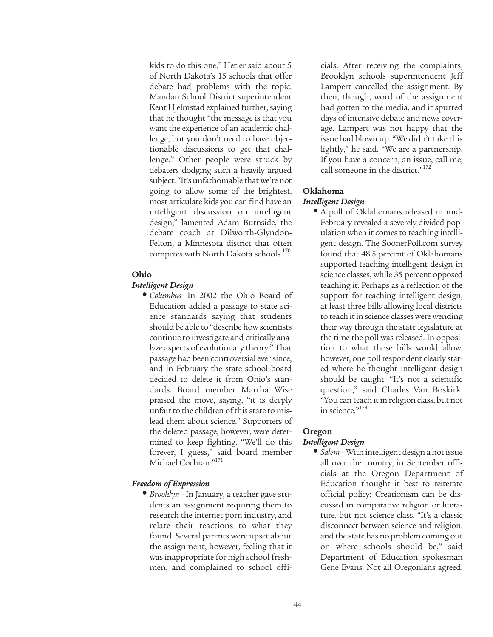kids to do this one." Hetler said about 5 of North Dakota's 15 schools that offer debate had problems with the topic. Mandan School District superintendent Kent Hjelmstad explained further, saying that he thought "the message is that you want the experience of an academic challenge, but you don't need to have objectionable discussions to get that challenge." Other people were struck by debaters dodging such a heavily argued subject. "It's unfathomable that we're not going to allow some of the brightest, most articulate kids you can find have an intelligent discussion on intelligent design," lamented Adam Burnside, the debate coach at Dilworth-Glyndon-Felton, a Minnesota district that often competes with North Dakota schools.<sup>170</sup>

## **Ohio**

## *Intelligent Design*

**•** *Columbus*—In 2002 the Ohio Board of Education added a passage to state science standards saying that students should be able to "describe how scientists continue to investigate and critically analyze aspects of evolutionary theory." That passage had been controversial ever since, and in February the state school board decided to delete it from Ohio's standards. Board member Martha Wise praised the move, saying, "it is deeply unfair to the children of this state to mislead them about science." Supporters of the deleted passage, however, were determined to keep fighting. "We'll do this forever, I guess," said board member Michael Cochran."<sup>171</sup>

## *Freedom of Expression*

**•** *Brooklyn*—In January, a teacher gave students an assignment requiring them to research the internet porn industry, and relate their reactions to what they found. Several parents were upset about the assignment, however, feeling that it was inappropriate for high school freshmen, and complained to school officials. After receiving the complaints, Brooklyn schools superintendent Jeff Lampert cancelled the assignment. By then, though, word of the assignment had gotten to the media, and it spurred days of intensive debate and news coverage. Lampert was not happy that the issue had blown up. "We didn't take this lightly," he said. "We are a partnership. If you have a concern, an issue, call me; call someone in the district."<sup>172</sup>

#### **Oklahoma**

#### *Intelligent Design*

**•** A poll of Oklahomans released in mid-February revealed a severely divided population when it comes to teaching intelligent design. The SoonerPoll.com survey found that 48.5 percent of Oklahomans supported teaching intelligent design in science classes, while 35 percent opposed teaching it. Perhaps as a reflection of the support for teaching intelligent design, at least three bills allowing local districts to teach it in science classes were wending their way through the state legislature at the time the poll was released. In opposition to what those bills would allow, however, one poll respondent clearly stated where he thought intelligent design should be taught. "It's not a scientific question," said Charles Van Boskirk. "You can teach it in religion class, but not in science."<sup>173</sup>

## **Oregon** *Intelligent Design*

**•** *Salem*—With intelligent design a hot issue all over the country, in September officials at the Oregon Department of Education thought it best to reiterate official policy: Creationism can be discussed in comparative religion or literature, but not science class. "It's a classic disconnect between science and religion, and the state has no problem coming out on where schools should be," said Department of Education spokesman Gene Evans. Not all Oregonians agreed.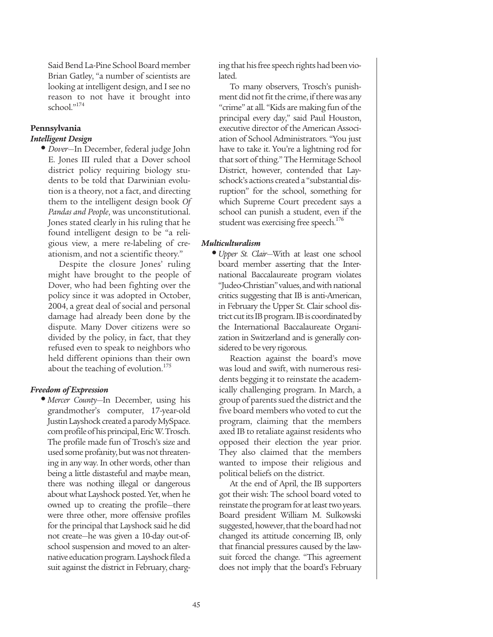Said Bend La-Pine School Board member Brian Gatley, "a number of scientists are looking at intelligent design, and I see no reason to not have it brought into school."174

## **Pennsylvania**

## *Intelligent Design*

**•** *Dover*—In December, federal judge John E. Jones III ruled that a Dover school district policy requiring biology students to be told that Darwinian evolution is a theory, not a fact, and directing them to the intelligent design book *Of Pandas and People*, was unconstitutional. Jones stated clearly in his ruling that he found intelligent design to be "a religious view, a mere re-labeling of creationism, and not a scientific theory."

Despite the closure Jones' ruling might have brought to the people of Dover, who had been fighting over the policy since it was adopted in October, 2004, a great deal of social and personal damage had already been done by the dispute. Many Dover citizens were so divided by the policy, in fact, that they refused even to speak to neighbors who held different opinions than their own about the teaching of evolution.<sup>175</sup>

## *Freedom of Expression*

**•** *Mercer County*—In December, using his grandmother's computer, 17-year-old Justin Layshock created a parody MySpace. com profile of his principal, Eric W. Trosch. The profile made fun of Trosch's size and used some profanity, but was not threatening in any way. In other words, other than being a little distasteful and maybe mean, there was nothing illegal or dangerous about what Layshock posted. Yet, when he owned up to creating the profile—there were three other, more offensive profiles for the principal that Layshock said he did not create—he was given a 10-day out-ofschool suspension and moved to an alternative education program. Layshock filed a suit against the district in February, charg-

ing that his free speech rights had been violated.

To many observers, Trosch's punishment did not fit the crime, if there was any "crime" at all. "Kids are making fun of the principal every day," said Paul Houston, executive director of the American Association of School Administrators. "You just have to take it. You're a lightning rod for that sort of thing." The Hermitage School District, however, contended that Layschock's actions created a "substantial disruption" for the school, something for which Supreme Court precedent says a school can punish a student, even if the student was exercising free speech.<sup>176</sup>

## *Multiculturalism*

**•** *Upper St. Clair*—With at least one school board member asserting that the International Baccalaureate program violates "Judeo-Christian" values, and with national critics suggesting that IB is anti-American, in February the Upper St. Clair school district cut its IB program. IB is coordinated by the International Baccalaureate Organization in Switzerland and is generally considered to be very rigorous.

Reaction against the board's move was loud and swift, with numerous residents begging it to reinstate the academically challenging program. In March, a group of parents sued the district and the five board members who voted to cut the program, claiming that the members axed IB to retaliate against residents who opposed their election the year prior. They also claimed that the members wanted to impose their religious and political beliefs on the district.

At the end of April, the IB supporters got their wish: The school board voted to reinstate the program for at least two years. Board president William M. Sulkowski suggested, however, that the board had not changed its attitude concerning IB, only that financial pressures caused by the lawsuit forced the change. "This agreement does not imply that the board's February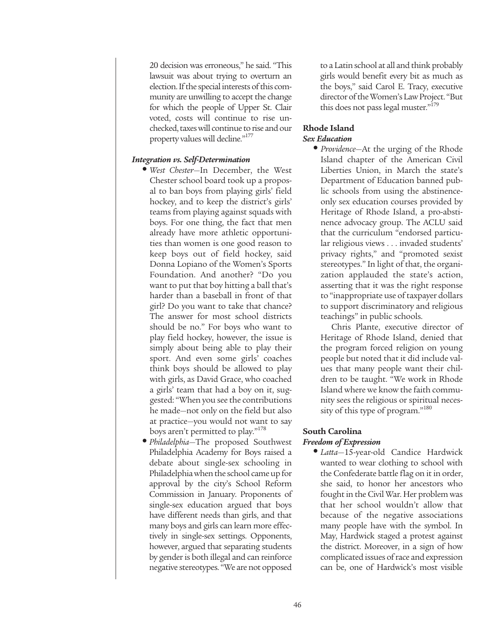20 decision was erroneous," he said. "This lawsuit was about trying to overturn an election. If the special interests of this community are unwilling to accept the change for which the people of Upper St. Clair voted, costs will continue to rise unchecked, taxes will continue to rise and our property values will decline."<sup>177</sup>

## *Integration vs. Self-Determination*

- *West Chester*—In December, the West Chester school board took up a proposal to ban boys from playing girls' field hockey, and to keep the district's girls' teams from playing against squads with boys. For one thing, the fact that men already have more athletic opportunities than women is one good reason to keep boys out of field hockey, said Donna Lopiano of the Women's Sports Foundation. And another? "Do you want to put that boy hitting a ball that's harder than a baseball in front of that girl? Do you want to take that chance? The answer for most school districts should be no." For boys who want to play field hockey, however, the issue is simply about being able to play their sport. And even some girls' coaches think boys should be allowed to play with girls, as David Grace, who coached a girls' team that had a boy on it, suggested: "When you see the contributions he made—not only on the field but also at practice—you would not want to say boys aren't permitted to play."<sup>178</sup>
- *Philadelphia*—The proposed Southwest Philadelphia Academy for Boys raised a debate about single-sex schooling in Philadelphia when the school came up for approval by the city's School Reform Commission in January. Proponents of single-sex education argued that boys have different needs than girls, and that many boys and girls can learn more effectively in single-sex settings. Opponents, however, argued that separating students by gender is both illegal and can reinforce negative stereotypes. "We are not opposed

to a Latin school at all and think probably girls would benefit every bit as much as the boys," said Carol E. Tracy, executive director of the Women's Law Project. "But this does not pass legal muster."<sup>179</sup>

## **Rhode Island** *Sex Education*

**•** *Providence*—At the urging of the Rhode Island chapter of the American Civil Liberties Union, in March the state's Department of Education banned public schools from using the abstinenceonly sex education courses provided by Heritage of Rhode Island, a pro-abstinence advocacy group. The ACLU said that the curriculum "endorsed particular religious views . . . invaded students' privacy rights," and "promoted sexist stereotypes." In light of that, the organization applauded the state's action, asserting that it was the right response to "inappropriate use of taxpayer dollars to support discriminatory and religious teachings" in public schools.

Chris Plante, executive director of Heritage of Rhode Island, denied that the program forced religion on young people but noted that it did include values that many people want their children to be taught. "We work in Rhode Island where we know the faith community sees the religious or spiritual necessity of this type of program."<sup>180</sup>

## **South Carolina**  *Freedom of Expression*

**•** *Latta*—15-year-old Candice Hardwick wanted to wear clothing to school with the Confederate battle flag on it in order, she said, to honor her ancestors who fought in the Civil War. Her problem was that her school wouldn't allow that because of the negative associations many people have with the symbol. In May, Hardwick staged a protest against the district. Moreover, in a sign of how complicated issues of race and expression can be, one of Hardwick's most visible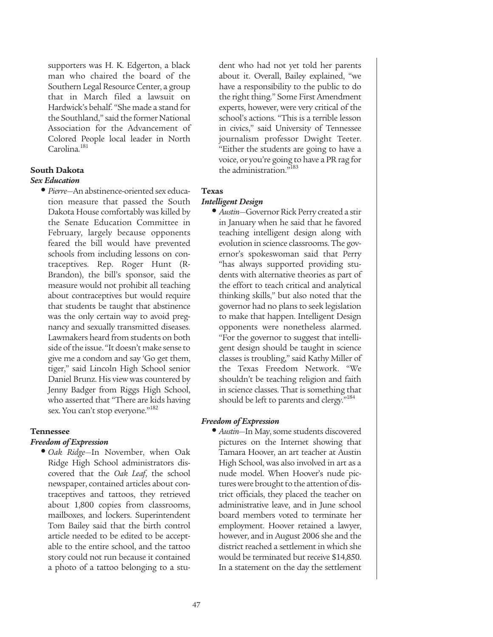supporters was H. K. Edgerton, a black man who chaired the board of the Southern Legal Resource Center, a group that in March filed a lawsuit on Hardwick's behalf. "She made a stand for the Southland," said the former National Association for the Advancement of Colored People local leader in North Carolina.<sup>181</sup>

#### **South Dakota** *Sex Education*

**•** *Pierre*—An abstinence-oriented sex education measure that passed the South Dakota House comfortably was killed by the Senate Education Committee in February, largely because opponents feared the bill would have prevented schools from including lessons on contraceptives. Rep. Roger Hunt (R-Brandon), the bill's sponsor, said the measure would not prohibit all teaching about contraceptives but would require that students be taught that abstinence was the only certain way to avoid pregnancy and sexually transmitted diseases. Lawmakers heard from students on both side of the issue. "It doesn't make sense to give me a condom and say 'Go get them, tiger," said Lincoln High School senior Daniel Brunz. His view was countered by Jenny Badger from Riggs High School, who asserted that "There are kids having sex. You can't stop everyone."<sup>182</sup>

## **Tennessee**

## *Freedom of Expression*

**•** *Oak Ridge*—In November, when Oak Ridge High School administrators discovered that the *Oak Leaf*, the school newspaper, contained articles about contraceptives and tattoos, they retrieved about 1,800 copies from classrooms, mailboxes, and lockers. Superintendent Tom Bailey said that the birth control article needed to be edited to be acceptable to the entire school, and the tattoo story could not run because it contained a photo of a tattoo belonging to a stu-

dent who had not yet told her parents about it. Overall, Bailey explained, "we have a responsibility to the public to do the right thing." Some First Amendment experts, however, were very critical of the school's actions. "This is a terrible lesson in civics," said University of Tennessee journalism professor Dwight Teeter. "Either the students are going to have a voice, or you're going to have a PR rag for the administration."<sup>183</sup>

## **Texas**

## *Intelligent Design*

**•** *Austin*—Governor Rick Perry created a stir in January when he said that he favored teaching intelligent design along with evolution in science classrooms. The governor's spokeswoman said that Perry "has always supported providing students with alternative theories as part of the effort to teach critical and analytical thinking skills," but also noted that the governor had no plans to seek legislation to make that happen. Intelligent Design opponents were nonetheless alarmed. "For the governor to suggest that intelligent design should be taught in science classes is troubling," said Kathy Miller of the Texas Freedom Network. "We shouldn't be teaching religion and faith in science classes. That is something that should be left to parents and clergy."<sup>184</sup>

## *Freedom of Expression*

**•** *Austin*—In May, some students discovered pictures on the Internet showing that Tamara Hoover, an art teacher at Austin High School, was also involved in art as a nude model. When Hoover's nude pictures were brought to the attention of district officials, they placed the teacher on administrative leave, and in June school board members voted to terminate her employment. Hoover retained a lawyer, however, and in August 2006 she and the district reached a settlement in which she would be terminated but receive \$14,850. In a statement on the day the settlement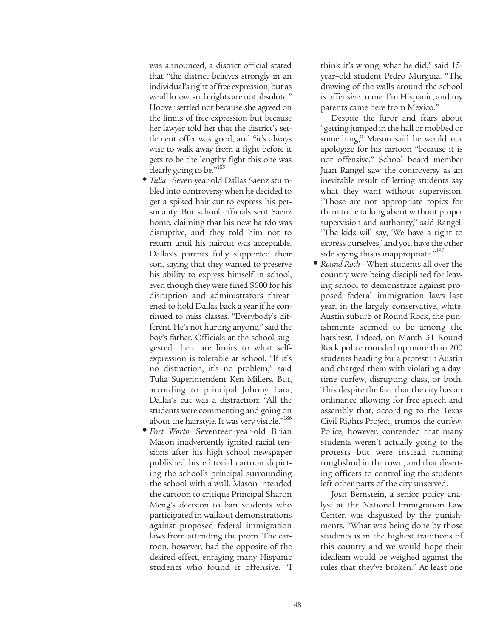was announced, a district official stated that "the district believes strongly in an individual's right of free expression, but as we all know, such rights are not absolute." Hoover settled not because she agreed on the limits of free expression but because her lawyer told her that the district's settlement offer was good, and "it's always wise to walk away from a fight before it gets to be the lengthy fight this one was clearly going to be."<sup>185</sup>

- *Tulia*—Seven-year-old Dallas Saenz stumbled into controversy when he decided to get a spiked hair cut to express his personality. But school officials sent Saenz home, claiming that his new hairdo was disruptive, and they told him not to return until his haircut was acceptable. Dallas's parents fully supported their son, saying that they wanted to preserve his ability to express himself in school, even though they were fined \$600 for his disruption and administrators threatened to hold Dallas back a year if he continued to miss classes. "Everybody's different. He's not hurting anyone," said the boy's father. Officials at the school suggested there are limits to what selfexpression is tolerable at school. "If it's no distraction, it's no problem," said Tulia Superintendent Ken Millers. But, according to principal Johnny Lara, Dallas's cut was a distraction: "All the students were commenting and going on about the hairstyle. It was very visible."<sup>186</sup>
- *Fort Worth*—Seventeen-year-old Brian Mason inadvertently ignited racial tensions after his high school newspaper published his editorial cartoon depicting the school's principal surrounding the school with a wall. Mason intended the cartoon to critique Principal Sharon Meng's decision to ban students who participated in walkout demonstrations against proposed federal immigration laws from attending the prom. The cartoon, however, had the opposite of the desired effect, enraging many Hispanic students who found it offensive. "I

think it's wrong, what he did," said 15 year–old student Pedro Murguia. "The drawing of the walls around the school is offensive to me. I'm Hispanic, and my parents came here from Mexico."

Despite the furor and fears about "getting jumped in the hall or mobbed or something," Mason said he would not apologize for his cartoon "because it is not offensive." School board member Juan Rangel saw the controversy as an inevitable result of letting students say what they want without supervision. "Those are not appropriate topics for them to be talking about without proper supervision and authority," said Rangel. "The kids will say, 'We have a right to express ourselves,' and you have the other side saying this is inappropriate."<sup>187</sup>

**•** *Round Rock*—When students all over the country were being disciplined for leaving school to demonstrate against proposed federal immigration laws last year, in the largely conservative, white, Austin suburb of Round Rock, the punishments seemed to be among the harshest. Indeed, on March 31 Round Rock police rounded up more than 200 students heading for a protest in Austin and charged them with violating a daytime curfew, disrupting class, or both. This despite the fact that the city has an ordinance allowing for free speech and assembly that, according to the Texas Civil Rights Project, trumps the curfew. Police, however, contended that many students weren't actually going to the protests but were instead running roughshod in the town, and that diverting officers to controlling the students left other parts of the city unserved.

Josh Bernstein, a senior policy analyst at the National Immigration Law Center, was disgusted by the punishments. "What was being done by those students is in the highest traditions of this country and we would hope their idealism would be weighed against the rules that they've broken." At least one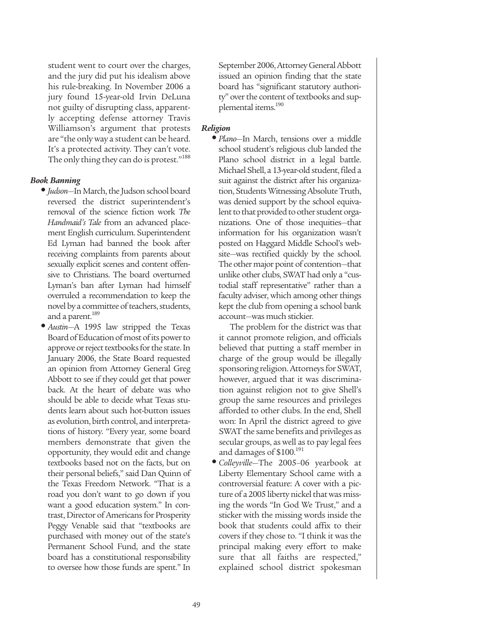student went to court over the charges, and the jury did put his idealism above his rule-breaking. In November 2006 a jury found 15-year-old Irvin DeLuna not guilty of disrupting class, apparently accepting defense attorney Travis Williamson's argument that protests are "the only way a student can be heard. It's a protected activity. They can't vote. The only thing they can do is protest."<sup>188</sup>

## *Book Banning*

- *Judson*—In March, the Judson school board reversed the district superintendent's removal of the science fiction work *The Handmaid's Tale* from an advanced placement English curriculum. Superintendent Ed Lyman had banned the book after receiving complaints from parents about sexually explicit scenes and content offensive to Christians. The board overturned Lyman's ban after Lyman had himself overruled a recommendation to keep the novel by a committee of teachers, students, and a parent.<sup>189</sup>
- *Austin*—A 1995 law stripped the Texas Board of Education of most of its power to approve or reject textbooks for the state. In January 2006, the State Board requested an opinion from Attorney General Greg Abbott to see if they could get that power back. At the heart of debate was who should be able to decide what Texas students learn about such hot-button issues as evolution, birth control, and interpretations of history. "Every year, some board members demonstrate that given the opportunity, they would edit and change textbooks based not on the facts, but on their personal beliefs," said Dan Quinn of the Texas Freedom Network. "That is a road you don't want to go down if you want a good education system." In contrast, Director of Americans for Prosperity Peggy Venable said that "textbooks are purchased with money out of the state's Permanent School Fund, and the state board has a constitutional responsibility to oversee how those funds are spent." In

September 2006, Attorney General Abbott issued an opinion finding that the state board has "significant statutory authority" over the content of textbooks and supplemental items.<sup>190</sup>

## *Religion*

**•** *Plano*—In March, tensions over a middle school student's religious club landed the Plano school district in a legal battle. Michael Shell, a 13-year-old student, filed a suit against the district after his organization, Students Witnessing Absolute Truth, was denied support by the school equivalent to that provided to other student organizations. One of those inequities—that information for his organization wasn't posted on Haggard Middle School's website—was rectified quickly by the school. The other major point of contention—that unlike other clubs, SWAT had only a "custodial staff representative" rather than a faculty adviser, which among other things kept the club from opening a school bank account—was much stickier.

The problem for the district was that it cannot promote religion, and officials believed that putting a staff member in charge of the group would be illegally sponsoring religion. Attorneys for SWAT, however, argued that it was discrimination against religion not to give Shell's group the same resources and privileges afforded to other clubs. In the end, Shell won: In April the district agreed to give SWAT the same benefits and privileges as secular groups, as well as to pay legal fees and damages of \$100.<sup>191</sup>

**•** *Colleyville*—The 2005–06 yearbook at Liberty Elementary School came with a controversial feature: A cover with a picture of a 2005 liberty nickel that was missing the words "In God We Trust," and a sticker with the missing words inside the book that students could affix to their covers if they chose to. "I think it was the principal making every effort to make sure that all faiths are respected," explained school district spokesman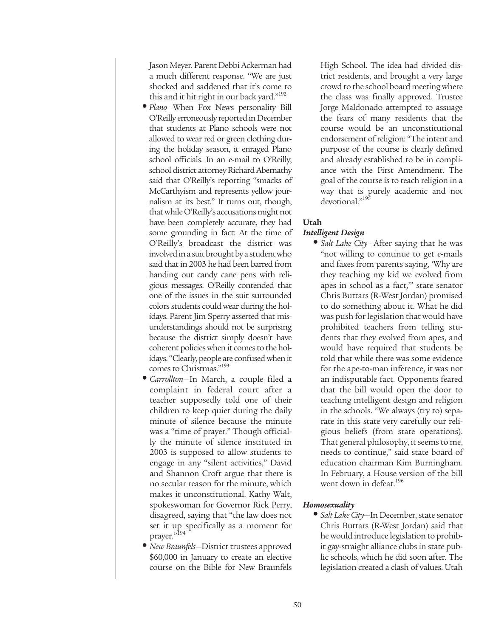Jason Meyer. Parent Debbi Ackerman had a much different response. "We are just shocked and saddened that it's come to this and it hit right in our back yard."<sup>192</sup>

- *Plano*—When Fox News personality Bill O'Reilly erroneously reported in December that students at Plano schools were not allowed to wear red or green clothing during the holiday season, it enraged Plano school officials. In an e-mail to O'Reilly, school district attorney Richard Abernathy said that O'Reilly's reporting "smacks of McCarthyism and represents yellow journalism at its best." It turns out, though, that while O'Reilly's accusations might not have been completely accurate, they had some grounding in fact: At the time of O'Reilly's broadcast the district was involved in a suit brought by a student who said that in 2003 he had been barred from handing out candy cane pens with religious messages. O'Reilly contended that one of the issues in the suit surrounded colors students could wear during the holidays. Parent Jim Sperry asserted that misunderstandings should not be surprising because the district simply doesn't have coherent policies when it comes to the holidays. "Clearly, people are confused when it comes to Christmas."<sup>193</sup>
- *Carrollton*—In March, a couple filed a complaint in federal court after a teacher supposedly told one of their children to keep quiet during the daily minute of silence because the minute was a "time of prayer." Though officially the minute of silence instituted in 2003 is supposed to allow students to engage in any "silent activities," David and Shannon Croft argue that there is no secular reason for the minute, which makes it unconstitutional. Kathy Walt, spokeswoman for Governor Rick Perry, disagreed, saying that "the law does not set it up specifically as a moment for prayer."<sup>194</sup>
- *New Braunfels*—District trustees approved \$60,000 in January to create an elective course on the Bible for New Braunfels

High School. The idea had divided district residents, and brought a very large crowd to the school board meeting where the class was finally approved. Trustee Jorge Maldonado attempted to assuage the fears of many residents that the course would be an unconstitutional endorsement of religion: "The intent and purpose of the course is clearly defined and already established to be in compliance with the First Amendment. The goal of the course is to teach religion in a way that is purely academic and not devotional."<sup>195</sup>

## **Utah**

## *Intelligent Design*

**•** *Salt Lake City*—After saying that he was "not willing to continue to get e-mails and faxes from parents saying, 'Why are they teaching my kid we evolved from apes in school as a fact,'" state senator Chris Buttars (R-West Jordan) promised to do something about it. What he did was push for legislation that would have prohibited teachers from telling students that they evolved from apes, and would have required that students be told that while there was some evidence for the ape-to-man inference, it was not an indisputable fact. Opponents feared that the bill would open the door to teaching intelligent design and religion in the schools. "We always (try to) separate in this state very carefully our religious beliefs (from state operations). That general philosophy, it seems to me, needs to continue," said state board of education chairman Kim Burningham. In February, a House version of the bill went down in defeat.<sup>196</sup>

## *Homosexuality*

**•** *Salt Lake City*—In December, state senator Chris Buttars (R-West Jordan) said that he would introduce legislation to prohibit gay-straight alliance clubs in state public schools, which he did soon after. The legislation created a clash of values. Utah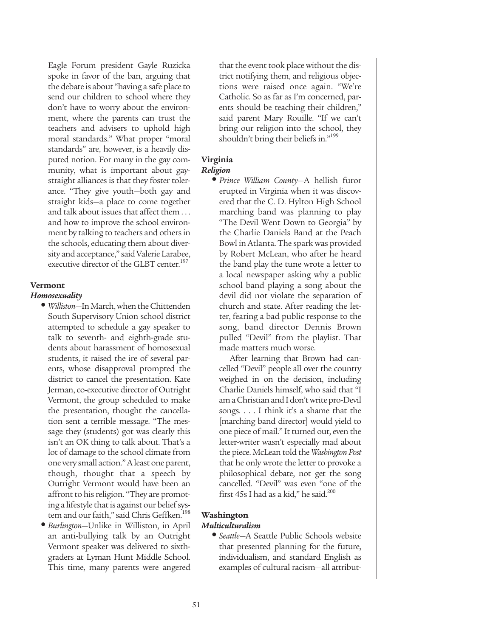Eagle Forum president Gayle Ruzicka spoke in favor of the ban, arguing that the debate is about "having a safe place to send our children to school where they don't have to worry about the environment, where the parents can trust the teachers and advisers to uphold high moral standards." What proper "moral standards" are, however, is a heavily disputed notion. For many in the gay community, what is important about gaystraight alliances is that they foster tolerance. "They give youth—both gay and straight kids—a place to come together and talk about issues that affect them . . . and how to improve the school environment by talking to teachers and others in the schools, educating them about diversity and acceptance," said Valerie Larabee, executive director of the GLBT center.<sup>197</sup>

## **Vermont**

## *Homosexuality*

- *Williston*—In March, when the Chittenden South Supervisory Union school district attempted to schedule a gay speaker to talk to seventh- and eighth-grade students about harassment of homosexual students, it raised the ire of several parents, whose disapproval prompted the district to cancel the presentation. Kate Jerman, co-executive director of Outright Vermont, the group scheduled to make the presentation, thought the cancellation sent a terrible message. "The message they (students) got was clearly this isn't an OK thing to talk about. That's a lot of damage to the school climate from one very small action." A least one parent, though, thought that a speech by Outright Vermont would have been an affront to his religion. "They are promoting a lifestyle that is against our belief system and our faith," said Chris Geffken.<sup>198</sup>
- *Burlington*—Unlike in Williston, in April an anti-bullying talk by an Outright Vermont speaker was delivered to sixthgraders at Lyman Hunt Middle School. This time, many parents were angered

that the event took place without the district notifying them, and religious objections were raised once again. "We're Catholic. So as far as I'm concerned, parents should be teaching their children," said parent Mary Rouille. "If we can't bring our religion into the school, they shouldn't bring their beliefs in."<sup>199</sup>

## **Virginia**

## *Religion*

**•** *Prince William County*—A hellish furor erupted in Virginia when it was discovered that the C. D. Hylton High School marching band was planning to play "The Devil Went Down to Georgia" by the Charlie Daniels Band at the Peach Bowl in Atlanta. The spark was provided by Robert McLean, who after he heard the band play the tune wrote a letter to a local newspaper asking why a public school band playing a song about the devil did not violate the separation of church and state. After reading the letter, fearing a bad public response to the song, band director Dennis Brown pulled "Devil" from the playlist. That made matters much worse.

After learning that Brown had cancelled "Devil" people all over the country weighed in on the decision, including Charlie Daniels himself, who said that "I am a Christian and I don't write pro-Devil songs. . . . I think it's a shame that the [marching band director] would yield to one piece of mail." It turned out, even the letter-writer wasn't especially mad about the piece. McLean told the *Washington Post* that he only wrote the letter to provoke a philosophical debate, not get the song cancelled. "Devil" was even "one of the first 45s I had as a kid," he said. $200$ 

## **Washington**

## *Multiculturalism*

**•** *Seattle*—A Seattle Public Schools website that presented planning for the future, individualism, and standard English as examples of cultural racism—all attribut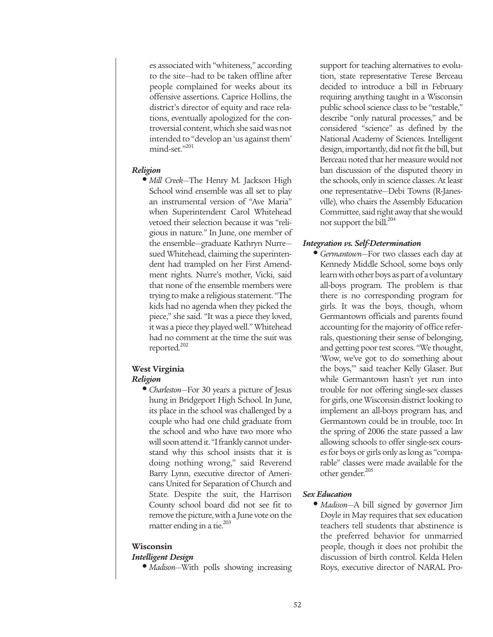es associated with "whiteness," according to the site—had to be taken offline after people complained for weeks about its offensive assertions. Caprice Hollins, the district's director of equity and race relations, eventually apologized for the controversial content, which she said was not intended to "develop an 'us against them' mind-set."201

#### *Religion*

**•** *Mill Creek*—The Henry M. Jackson High School wind ensemble was all set to play an instrumental version of "Ave Maria" when Superintendent Carol Whitehead vetoed their selection because it was "religious in nature." In June, one member of the ensemble—graduate Kathryn Nurre sued Whitehead, claiming the superintendent had trampled on her First Amendment rights. Nurre's mother, Vicki, said that none of the ensemble members were trying to make a religious statement. "The kids had no agenda when they picked the piece," she said. "It was a piece they loved, it was a piece they played well." Whitehead had no comment at the time the suit was reported.<sup>202</sup>

## **West Virginia** *Religion*

**•** *Charleston*—For 30 years a picture of Jesus hung in Bridgeport High School. In June, its place in the school was challenged by a couple who had one child graduate from the school and who have two more who will soon attend it. "I frankly cannot understand why this school insists that it is doing nothing wrong," said Reverend Barry Lynn, executive director of Americans United for Separation of Church and State. Despite the suit, the Harrison County school board did not see fit to remove the picture, with a June vote on the matter ending in a tie.<sup>203</sup>

#### **Wisconsin**

#### *Intelligent Design*

**•** *Madison*—With polls showing increasing

support for teaching alternatives to evolution, state representative Terese Berceau decided to introduce a bill in February requiring anything taught in a Wisconsin public school science class to be "testable," describe "only natural processes," and be considered "science" as defined by the National Academy of Sciences. Intelligent design, importantly, did not fit the bill, but Berceau noted that her measure would not ban discussion of the disputed theory in the schools, only in science classes. At least one representative—Debi Towns (R-Janesville), who chairs the Assembly Education Committee, said right away that she would not support the bill.<sup>204</sup>

## *Integration vs. Self-Determination*

**•** *Germantown*—For two classes each day at Kennedy Middle School, some boys only learn with other boys as part of a voluntary all-boys program. The problem is that there is no corresponding program for girls. It was the boys, though, whom Germantown officials and parents found accounting for the majority of office referrals, questioning their sense of belonging, and getting poor test scores. "We thought, 'Wow, we've got to do something about the boys,'" said teacher Kelly Glaser. But while Germantown hasn't yet run into trouble for not offering single-sex classes for girls, one Wisconsin district looking to implement an all-boys program has, and Germantown could be in trouble, too: In the spring of 2006 the state passed a law allowing schools to offer single-sex courses for boys or girls only as long as "comparable" classes were made available for the other gender.<sup>205</sup>

#### *Sex Education*

**•** *Madison*—A bill signed by governor Jim Doyle in May requires that sex education teachers tell students that abstinence is the preferred behavior for unmarried people, though it does not prohibit the discussion of birth control. Kelda Helen Roys, executive director of NARAL Pro-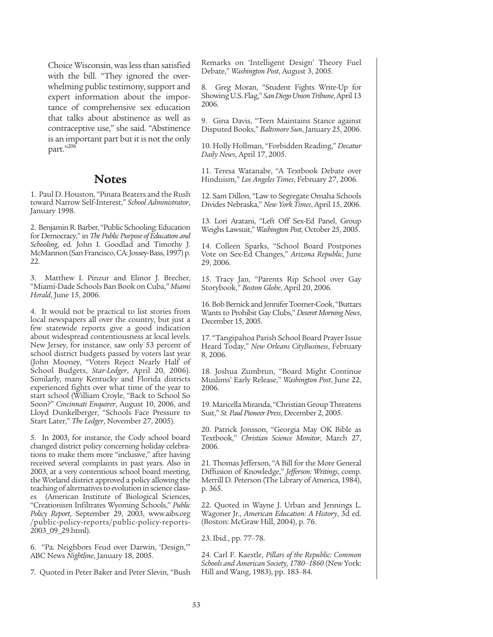Choice Wisconsin, was less than satisfied with the bill. "They ignored the overwhelming public testimony, support and expert information about the importance of comprehensive sex education that talks about abstinence as well as contraceptive use," she said. "Abstinence is an important part but it is not the only part."206

## **Notes**

1. Paul D. Houston, "Pinata Beaters and the Rush toward Narrow Self-Interest," *School Administrator*, January 1998.

2. Benjamin R. Barber, "Public Schooling: Education for Democracy," in *The Public Purpose of Education and Schooling*, ed. John I. Goodlad and Timothy J. McMannon (San Francisco, CA: Jossey-Bass, 1997) p. 22.

3. Matthew I. Pinzur and Elinor J. Brecher, "Miami-Dade Schools Ban Book on Cuba," *Miami Herald*, June 15, 2006.

4. It would not be practical to list stories from local newspapers all over the country, but just a few statewide reports give a good indication about widespread contentiousness at local levels. New Jersey, for instance, saw only 53 percent of school district budgets passed by voters last year (John Mooney, "Voters Reject Nearly Half of School Budgets, Star-Ledger, April 20, 2006). Similarly, many Kentucky and Florida districts experienced fights over what time of the year to start school (William Croyle, "Back to School So Soon?" *Cincinnati Enquirer*, August 10, 2006, and Lloyd Dunkelberger, "Schools Face Pressure to Start Later," *The Ledger*, November 27, 2005).

5. In 2003, for instance, the Cody school board changed district policy concerning holiday celebrations to make them more "inclusive," after having received several complaints in past years. Also in 2003, at a very contentious school board meeting, the Worland district approved a policy allowing the teaching of alternatives to evolution in science classes (American Institute of Biological Sciences, "Creationism Infiltrates Wyoming Schools," *Public Policy Report*, September 29, 2003, www.aibs.org /public-policy-reports/public-policy-reports-2003\_09\_29.html).

6. "Pa. Neighbors Feud over Darwin, 'Design,'" ABC News *Nightline*, January 18, 2005.

7. Quoted in Peter Baker and Peter Slevin, "Bush

Remarks on 'Intelligent Design' Theory Fuel Debate," *Washington Post*, August 3, 2005.

8. Greg Moran, "Student Fights Write-Up for Showing U.S. Flag," *San Diego Union Tribune*, April 13 2006.

9. Gina Davis, "Teen Maintains Stance against Disputed Books," *Baltimore Sun*, January 25, 2006.

10. Holly Hollman, "Forbidden Reading," *Decatur Daily News*, April 17, 2005.

11. Teresa Watanabe, "A Textbook Debate over Hinduism," *Los Angeles Times*, February 27, 2006.

12. Sam Dillon, "Law to Segregate Omaha Schools Divides Nebraska," *New York Times*, April 15, 2006.

13. Lori Aratani, "Left Off Sex-Ed Panel, Group Weighs Lawsuit," *Washington Post*, October 25, 2005.

14. Colleen Sparks, "School Board Postpones Vote on Sex-Ed Changes," *Arizona Republic*, June 29, 2006.

15. Tracy Jan, "Parents Rip School over Gay Storybook," *Boston Globe*, April 20, 2006.

16. Bob Bernick and Jennifer Toomer-Cook, "Buttars Wants to Prohibit Gay Clubs," *Deseret Morning News*, December 15, 2005.

17. "Tangipahoa Parish School Board Prayer Issue Heard Today," *New Orleans CityBusiness*, February 8, 2006.

18. Joshua Zumbrun, "Board Might Continue Muslims' Early Release," *Washington Post*, June 22, 2006.

19. Maricella Miranda, "Christian Group Threatens Suit," *St. Paul Pioneer Press*, December 2, 2005.

20. Patrick Jonsson, "Georgia May OK Bible as Textbook," *Christian Science Monitor*, March 27, 2006.

21. Thomas Jefferson, "A Bill for the More General Diffusion of Knowledge," *Jefferson: Writings*, comp. Merrill D. Peterson (The Library of America, 1984), p. 365.

22. Quoted in Wayne J. Urban and Jennings L. Wagoner Jr., *American Education: A History*, 3d ed. (Boston: McGraw Hill, 2004), p. 76.

23. Ibid., pp. 77–78.

24. Carl F. Kaestle, *Pillars of the Republic: Common Schools and American Society, 1780–1860* (New York: Hill and Wang, 1983), pp. 183–84.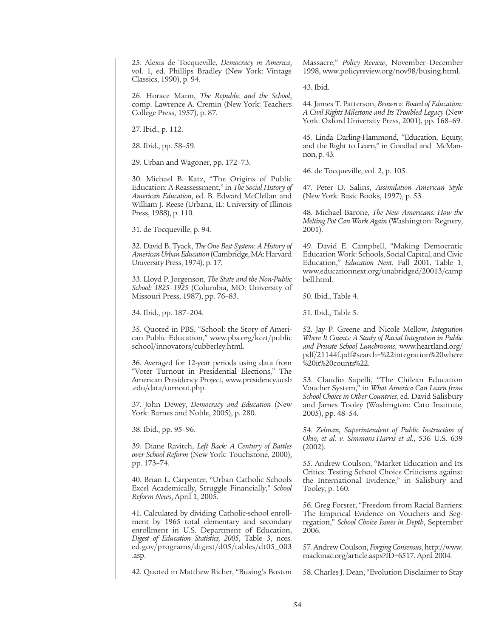25. Alexis de Tocqueville, *Democracy in America*, vol. 1, ed. Phillips Bradley (New York: Vintage Classics, 1990), p. 94.

26. Horace Mann, *The Republic and the School*, comp. Lawrence A. Cremin (New York: Teachers College Press, 1957), p. 87.

27. Ibid., p. 112.

28. Ibid., pp. 58–59.

29. Urban and Wagoner, pp. 172–73.

30. Michael B. Katz, "The Origins of Public Education: A Reassessment," in *The Social History of American Education*, ed. B. Edward McClellan and William J. Reese (Urbana, IL: University of Illinois Press, 1988), p. 110.

31. de Tocqueville, p. 94.

32. David B. Tyack, *The One Best System: A History of American Urban Education* (Cambridge, MA: Harvard University Press, 1974), p. 17.

33. Lloyd P. Jorgenson, *The State and the Non-Public School: 1825–1925* (Columbia, MO: University of Missouri Press, 1987), pp. 76–83.

34. Ibid., pp. 187–204.

35. Quoted in PBS, "School: the Story of American Public Education," www.pbs.org/kcet/public school/innovators/cubberley.html.

36. Averaged for 12-year periods using data from "Voter Turnout in Presidential Elections," The American Presidency Project, www.presidency.ucsb .edu/data/turnout.php.

37. John Dewey, *Democracy and Education* (New York: Barnes and Noble, 2005), p. 280.

38. Ibid., pp. 95–96.

39. Diane Ravitch, *Left Back: A Century of Battles over School Reform* (New York: Touchstone, 2000), pp. 173–74.

40. Brian L. Carpenter, "Urban Catholic Schools Excel Academically, Struggle Financially," *School Reform News*, April 1, 2005.

41. Calculated by dividing Catholic-school enrollment by 1965 total elementary and secondary enrollment in U.S. Department of Education, *Digest of Education Statistics, 2005*, Table 3, nces. ed.gov/programs/digest/d05/tables/dt05\_003 .asp.

42. Quoted in Matthew Richer, "Busing's Boston

Massacre," *Policy Review*, November–December 1998, www.policyreview.org/nov98/busing.html.

43. Ibid.

44. James T. Patterson, *Brown v. Board of Education: A Civil Rights Milestone and Its Troubled Legacy* (New York: Oxford University Press, 2001), pp. 168–69.

45. Linda Darling-Hammond, "Education, Equity, and the Right to Learn," in Goodlad and McMannon, p. 43.

46. de Tocqueville, vol. 2, p. 105.

47. Peter D. Salins, *Assimilation American Style* (New York: Basic Books, 1997), p. 53.

48. Michael Barone, *The New Americans: How the Melting Pot Can Work Again* (Washington: Regnery, 2001).

49. David E. Campbell, "Making Democratic Education Work: Schools, Social Capital, and Civic Education," *Education Next*, Fall 2001, Table 1, www.educationnext.org/unabridged/20013/camp bell.html.

50. Ibid., Table 4.

51. Ibid., Table 5.

52. Jay P. Greene and Nicole Mellow, *Integration Where It Counts: A Study of Racial Integration in Public and Private School Lunchrooms*, www.heartland.org/ pdf/21144f.pdf#search=%22integration%20where %20it%20counts%22.

53. Claudio Sapelli, "The Chilean Education Voucher System," in *What America Can Learn from School Choice in Other Countries*, ed. David Salisbury and James Tooley (Washington: Cato Institute, 2005), pp. 48–54.

54. *Zelman, Superintendent of Public Instruction of Ohio, et al. v. Simmons-Harris et al.*, 536 U.S. 639 (2002).

55. Andrew Coulson, "Market Education and Its Critics: Testing School Choice Criticisms against the International Evidence," in Salisbury and Tooley, p. 160.

56. Greg Forster, "Freedom frrom Racial Barriers: The Empirical Evidence on Vouchers and Segregation," *School Choice Issues in Depth*, September 2006.

57. Andrew Coulson, *Forging Consensus*, http://www. mackinac.org/article.aspx?ID=6517, April 2004.

58. Charles J. Dean, "Evolution Disclaimer to Stay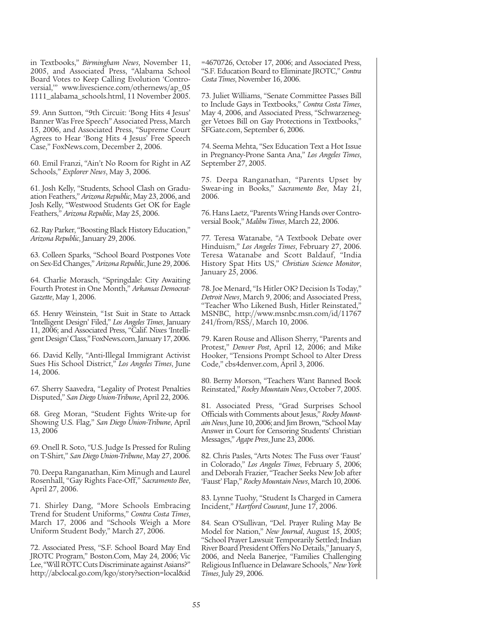in Textbooks," *Birmingham News*, November 11, 2005, and Associated Press, "Alabama School Board Votes to Keep Calling Evolution 'Controversial,'" www.livescience.com/othernews/ap\_05 1111\_alabama\_schools.html, 11 November 2005.

59. Ann Sutton, "9th Circuit: 'Bong Hits 4 Jesus' Banner Was Free Speech" Associated Press, March 15, 2006, and Associated Press, "Supreme Court Agrees to Hear 'Bong Hits 4 Jesus' Free Speech Case," FoxNews.com, December 2, 2006.

60. Emil Franzi, "Ain't No Room for Right in AZ Schools," *Explorer News*, May 3, 2006.

61. Josh Kelly, "Students, School Clash on Graduation Feathers," *Arizona Republic*, May 23, 2006, and Josh Kelly, "Westwood Students Get OK for Eagle Feathers," *Arizona Republic*, May 25, 2006.

62. Ray Parker, "Boosting Black History Education," *Arizona Republic*, January 29, 2006.

63. Colleen Sparks, "School Board Postpones Vote on Sex-Ed Changes," *Arizona Republic*, June 29, 2006.

64. Charlie Morasch, "Springdale: City Awaiting Fourth Protest in One Month," *Arkansas Democrat-Gazette*, May 1, 2006.

65. Henry Weinstein, "1st Suit in State to Attack 'Intelligent Design' Filed," *Los Angeles Times*, January 11, 2006; and Associated Press, "Calif. Nixes 'Intelligent Design' Class," FoxNews.com, January 17, 2006.

66. David Kelly, "Anti-Illegal Immigrant Activist Sues His School District," *Los Angeles Times*, June 14, 2006.

67. Sherry Saavedra, "Legality of Protest Penalties Disputed," *San Diego Union-Tribune*, April 22, 2006.

68. Greg Moran, "Student Fights Write-up for Showing U.S. Flag," *San Diego Union-Tribune*, April 13, 2006

69. Onell R. Soto, "U.S. Judge Is Pressed for Ruling on T-Shirt," *San Diego Union-Tribune*, May 27, 2006.

70. Deepa Ranganathan, Kim Minugh and Laurel Rosenhall, "Gay Rights Face-Off," *Sacramento Bee*, April 27, 2006.

71. Shirley Dang, "More Schools Embracing Trend for Student Uniforms," *Contra Costa Times*, March 17, 2006 and "Schools Weigh a More Uniform Student Body," March 27, 2006.

72. Associated Press, "S.F. School Board May End JROTC Program," Boston.Com, May 24, 2006; Vic Lee, "Will ROTC Cuts Discriminate against Asians?" http://abclocal.go.com/kgo/story?section=local&id =4670726, October 17, 2006; and Associated Press, "S.F. Education Board to Eliminate JROTC," *Contra Costa Times*, November 16, 2006.

73. Juliet Williams, "Senate Committee Passes Bill to Include Gays in Textbooks," *Contra Costa Times*, May 4, 2006, and Associated Press, "Schwarzenegger Vetoes Bill on Gay Protections in Textbooks," SFGate.com, September 6, 2006.

74. Seema Mehta, "Sex Education Text a Hot Issue in Pregnancy-Prone Santa Ana," *Los Angeles Times*, September 27, 2005.

75. Deepa Ranganathan, "Parents Upset by Swear-ing in Books," *Sacramento Bee*, May 21, 2006.

76. Hans Laetz, "Parents Wring Hands over Controversial Book," *Malibu Times*, March 22, 2006.

77. Teresa Watanabe, "A Textbook Debate over Hinduism," *Los Angeles Times*, February 27, 2006. Teresa Watanabe and Scott Baldauf, "India History Spat Hits US," *Christian Science Monitor*, January 25, 2006.

78. Joe Menard, "Is Hitler OK? Decision Is Today," *Detroit News*, March 9, 2006; and Associated Press, "Teacher Who Likened Bush, Hitler Reinstated," MSNBC, http://www.msnbc.msn.com/id/11767 241/from/RSS/, March 10, 2006.

79. Karen Rouse and Allison Sherry, "Parents and Protest," *Denver Post*, April 12, 2006; and Mike Hooker, "Tensions Prompt School to Alter Dress Code," cbs4denver.com, April 3, 2006.

80. Berny Morson, "Teachers Want Banned Book Reinstated," *Rocky Mountain News*, October 7, 2005.

81. Associated Press, "Grad Surprises School Officials with Comments about Jesus," *Rocky Mountain News*, June 10, 2006; and Jim Brown, "School May Answer in Court for Censoring Students' Christian Messages," *Agape Press*, June 23, 2006.

82. Chris Pasles, "Arts Notes: The Fuss over 'Faust' in Colorado," *Los Angeles Times*, February 5, 2006; and Deborah Frazier, "Teacher Seeks New Job after 'Faust' Flap," *Rocky Mountain News*, March 10, 2006.

83. Lynne Tuohy, "Student Is Charged in Camera Incident," *Hartford Courant*, June 17, 2006.

84. Sean O'Sullivan, "Del. Prayer Ruling May Be Model for Nation," *New Journal*, August 15, 2005; "School Prayer Lawsuit Temporarily Settled; Indian River Board President Offers No Details," January 5, 2006, and Neela Banerjee, "Families Challenging Religious Influence in Delaware Schools," *New York Times*, July 29, 2006.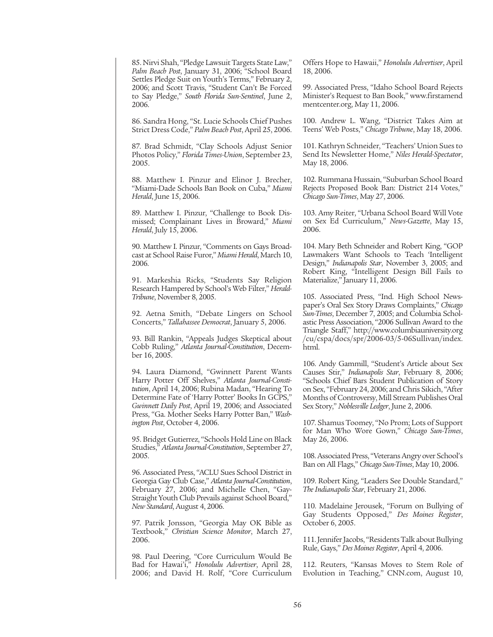85. Nirvi Shah, "Pledge Lawsuit Targets State Law," *Palm Beach Post*, January 31, 2006; "School Board Settles Pledge Suit on Youth's Terms," February 2, 2006; and Scott Travis, "Student Can't Be Forced to Say Pledge," *South Florida Sun-Sentinel*, June 2, 2006.

86. Sandra Hong, "St. Lucie Schools Chief Pushes Strict Dress Code," *Palm Beach Post*, April 25, 2006.

87. Brad Schmidt, "Clay Schools Adjust Senior Photos Policy," *Florida Times-Union*, September 23, 2005.

88. Matthew I. Pinzur and Elinor J. Brecher, "Miami-Dade Schools Ban Book on Cuba," *Miami Herald*, June 15, 2006.

89. Matthew I. Pinzur, "Challenge to Book Dismissed; Complainant Lives in Broward," *Miami Herald*, July 15, 2006.

90. Matthew I. Pinzur, "Comments on Gays Broadcast at School Raise Furor," *Miami Herald*, March 10, 2006.

91. Markeshia Ricks, "Students Say Religion Research Hampered by School's Web Filter," *Herald-Tribune*, November 8, 2005.

92. Aetna Smith, "Debate Lingers on School Concerts," *Tallahassee Democrat*, January 5, 2006.

93. Bill Rankin, "Appeals Judges Skeptical about Cobb Ruling," *Atlanta Journal-Constitution*, December 16, 2005.

94. Laura Diamond, "Gwinnett Parent Wants Harry Potter Off Shelves," *Atlanta Journal-Constitution*, April 14, 2006; Rubina Madan, "Hearing To Determine Fate of 'Harry Potter' Books In GCPS," *Gwinnett Daily Post*, April 19, 2006; and Associated Press, "Ga. Mother Seeks Harry Potter Ban," *Washington Post*, October 4, 2006.

95. Bridget Gutierrez, "Schools Hold Line on Black Studies," *Atlanta Journal-Constitution*, September 27, 2005.

96. Associated Press, "ACLU Sues School District in Georgia Gay Club Case," *Atlanta Journal-Constitution*, February 27, 2006; and Michelle Chen, "Gay-Straight Youth Club Prevails against School Board," *New Standard*, August 4, 2006.

97. Patrik Jonsson, "Georgia May OK Bible as Textbook," *Christian Science Monitor*, March 27, 2006.

98. Paul Deering, "Core Curriculum Would Be Bad for Hawai'i," *Honolulu Advertiser*, April 28, 2006; and David H. Rolf, "Core Curriculum Offers Hope to Hawaii," *Honolulu Advertiser*, April 18, 2006.

99. Associated Press, "Idaho School Board Rejects Minister's Request to Ban Book," www.firstamend mentcenter.org, May 11, 2006.

100. Andrew L. Wang, "District Takes Aim at Teens' Web Posts," *Chicago Tribune*, May 18, 2006.

101. Kathryn Schneider, "Teachers' Union Sues to Send Its Newsletter Home," *Niles Herald-Spectator*, May 18, 2006.

102. Rummana Hussain, "Suburban School Board Rejects Proposed Book Ban: District 214 Votes," *Chicago Sun-Times*, May 27, 2006.

103. Amy Reiter, "Urbana School Board Will Vote on Sex Ed Curriculum," *News-Gazette*, May 15, 2006.

104. Mary Beth Schneider and Robert King, "GOP Lawmakers Want Schools to Teach 'Intelligent Design," *Indianapolis Star*, November 3, 2005; and Robert King, "Intelligent Design Bill Fails to Materialize," January 11, 2006.

105. Associated Press, "Ind. High School Newspaper's Oral Sex Story Draws Complaints," *Chicago Sun-Times*, December 7, 2005; and Columbia Scholastic Press Association, "2006 Sullivan Award to the Triangle Staff," http://www.columbiauniversity.org /cu/cspa/docs/spr/2006-03/5-06Sullivan/index. html.

106. Andy Gammill, "Student's Article about Sex Causes Stir," *Indianapolis Star*, February 8, 2006; "Schools Chief Bars Student Publication of Story on Sex, "February 24, 2006; and Chris Sikich, "After Months of Controversy, Mill Stream Publishes Oral Sex Story," *Noblesville Ledger*, June 2, 2006.

107. Shamus Toomey, "No Prom; Lots of Support for Man Who Wore Gown," *Chicago Sun-Times*, May 26, 2006.

108. Associated Press, "Veterans Angry over School's Ban on All Flags," *Chicago Sun-Times*, May 10, 2006.

109. Robert King, "Leaders See Double Standard," *The Indianapolis Star*, February 21, 2006.

110. Madelaine Jerousek, "Forum on Bullying of Gay Students Opposed," *Des Moines Register*, October 6, 2005.

111. Jennifer Jacobs, "Residents Talk about Bullying Rule, Gays," *Des Moines Register*, April 4, 2006.

112. Reuters, "Kansas Moves to Stem Role of Evolution in Teaching," CNN.com, August 10,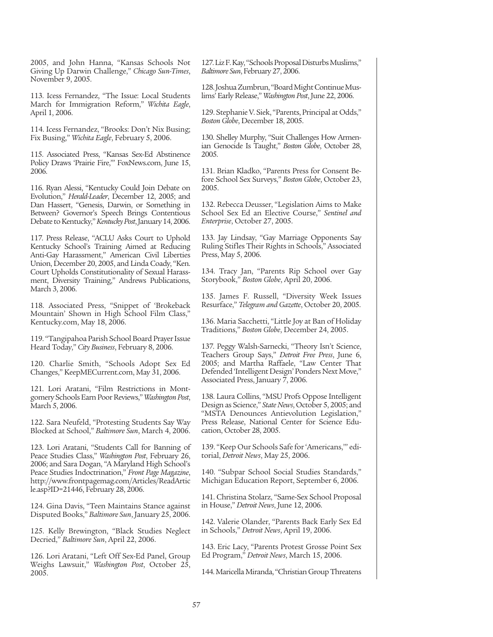2005, and John Hanna, "Kansas Schools Not Giving Up Darwin Challenge," *Chicago Sun-Times*, November 9, 2005.

113. Icess Fernandez, "The Issue: Local Students March for Immigration Reform," *Wichita Eagle*, April 1, 2006.

114. Icess Fernandez, "Brooks: Don't Nix Busing; Fix Busing," *Wichita Eagle*, February 5, 2006.

115. Associated Press, "Kansas Sex-Ed Abstinence Policy Draws 'Prairie Fire,'" FoxNews.com, June 15, 2006.

116. Ryan Alessi, "Kentucky Could Join Debate on Evolution," *Herald-Leader*, December 12, 2005; and Dan Hassert, "Genesis, Darwin, or Something in Between? Governor's Speech Brings Contentious Debate to Kentucky," *Kentucky Post*, January 14, 2006.

117. Press Release, "ACLU Asks Court to Uphold Kentucky School's Training Aimed at Reducing Anti-Gay Harassment," American Civil Liberties Union, December 20, 2005, and Linda Coady, "Ken. Court Upholds Constitutionality of Sexual Harassment, Diversity Training," Andrews Publications, March 3, 2006.

118. Associated Press, "Snippet of 'Brokeback Mountain' Shown in High School Film Class," Kentucky.com, May 18, 2006.

119. "Tangipahoa Parish School Board Prayer Issue Heard Today," *City Business*, February 8, 2006.

120. Charlie Smith, "Schools Adopt Sex Ed Changes," KeepMECurrent.com, May 31, 2006.

121. Lori Aratani, "Film Restrictions in Montgomery Schools Earn Poor Reviews," *Washington Post*, March 5, 2006.

122. Sara Neufeld, "Protesting Students Say Way Blocked at School," *Baltimore Sun*, March 4, 2006.

123. Lori Aratani, "Students Call for Banning of Peace Studies Class," *Washington Post*, February 26, 2006; and Sara Dogan, "A Maryland High School's Peace Studies Indoctrination," *Front Page Magazine*, http://www.frontpagemag.com/Articles/ReadArtic le.asp?ID=21446, February 28, 2006.

124. Gina Davis, "Teen Maintains Stance against Disputed Books," *Baltimore Sun*, January 25, 2006.

125. Kelly Brewington, "Black Studies Neglect Decried," *Baltimore Sun*, April 22, 2006.

126. Lori Aratani, "Left Off Sex-Ed Panel, Group Weighs Lawsuit," *Washington Post*, October 25, 2005.

127. Liz F. Kay, "Schools Proposal Disturbs Muslims," *Baltimore Sun*, February 27, 2006.

128. Joshua Zumbrun, "Board Might Continue Muslims' Early Release," *Washington Post*, June 22, 2006.

129. Stephanie V. Siek, "Parents, Principal at Odds," *Boston Globe*, December 18, 2005.

130. Shelley Murphy, "Suit Challenges How Armenian Genocide Is Taught," *Boston Globe*, October 28, 2005.

131. Brian Kladko, "Parents Press for Consent Before School Sex Surveys," *Boston Globe*, October 23, 2005.

132. Rebecca Deusser, "Legislation Aims to Make School Sex Ed an Elective Course," *Sentinel and Enterprise*, October 27, 2005.

133. Jay Lindsay, "Gay Marriage Opponents Say Ruling Stifles Their Rights in Schools," Associated Press, May 5, 2006.

134. Tracy Jan, "Parents Rip School over Gay Storybook," *Boston Globe*, April 20, 2006.

135. James F. Russell, "Diversity Week Issues Resurface," *Telegram and Gazette*, October 20, 2005.

136. Maria Sacchetti, "Little Joy at Ban of Holiday Traditions," *Boston Globe*, December 24, 2005.

137. Peggy Walsh-Sarnecki, "Theory Isn't Science, Teachers Group Says," *Detroit Free Press*, June 6, 2005; and Martha Raffaele, "Law Center That Defended 'Intelligent Design' Ponders Next Move," Associated Press, January 7, 2006.

138. Laura Collins, "MSU Profs Oppose Intelligent Design as Science," *State News*, October 5, 2005; and "MSTA Denounces Antievolution Legislation," Press Release, National Center for Science Education, October 28, 2005.

139. "Keep Our Schools Safe for 'Americans,'" editorial, *Detroit News*, May 25, 2006.

140. "Subpar School Social Studies Standards," Michigan Education Report, September 6, 2006.

141. Christina Stolarz, "Same-Sex School Proposal in House," *Detroit News*, June 12, 2006.

142. Valerie Olander, "Parents Back Early Sex Ed in Schools," *Detroit News*, April 19, 2006.

143. Eric Lacy, "Parents Protest Grosse Point Sex Ed Program," *Detroit News*, March 15, 2006.

144. Maricella Miranda, "Christian Group Threatens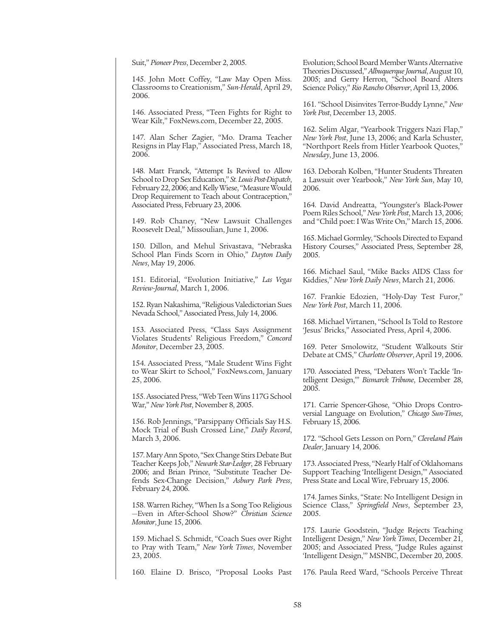Suit," *Pioneer Press*, December 2, 2005.

145. John Mott Coffey, "Law May Open Miss. Classrooms to Creationism," *Sun-Herald*, April 29, 2006.

146. Associated Press, "Teen Fights for Right to Wear Kilt," FoxNews.com, December 22, 2005.

147. Alan Scher Zagier, "Mo. Drama Teacher Resigns in Play Flap," Associated Press, March 18, 2006.

148. Matt Franck, "Attempt Is Revived to Allow School to Drop Sex Education," *St. Louis Post-Dispatch*, February 22, 2006; and Kelly Wiese, "Measure Would Drop Requirement to Teach about Contraception," Associated Press, February 23, 2006.

149. Rob Chaney, "New Lawsuit Challenges Roosevelt Deal," Missoulian, June 1, 2006.

150. Dillon, and Mehul Srivastava, "Nebraska School Plan Finds Scorn in Ohio," *Dayton Daily News*, May 19, 2006.

151. Editorial, "Evolution Initiative," *Las Vegas Review-Journal*, March 1, 2006.

152. Ryan Nakashima, "Religious Valedictorian Sues Nevada School," Associated Press, July 14, 2006.

153. Associated Press, "Class Says Assignment Violates Students' Religious Freedom," *Concord Monitor*, December 23, 2005.

154. Associated Press, "Male Student Wins Fight to Wear Skirt to School," FoxNews.com, January 25, 2006.

155. Associated Press, "Web Teen Wins 117G School War," *New York Post*, November 8, 2005.

156. Rob Jennings, "Parsippany Officials Say H.S. Mock Trial of Bush Crossed Line," *Daily Record*, March 3, 2006.

157. Mary Ann Spoto, "Sex Change Stirs Debate But Teacher Keeps Job," *Newark Star-Ledger*, 28 February 2006; and Brian Prince, "Substitute Teacher Defends Sex-Change Decision," *Asbury Park Press*, February 24, 2006.

158. Warren Richey, "When Is a Song Too Religious —Even in After-School Show?" *Christian Science Monitor*, June 15, 2006.

159. Michael S. Schmidt, "Coach Sues over Right to Pray with Team," *New York Times*, November 23, 2005.

160. Elaine D. Brisco, "Proposal Looks Past

Evolution; School Board Member Wants Alternative Theories Discussed," *Albuquerque Journal*, August 10, 2005; and Gerry Herron, "School Board Alters Science Policy," *Rio Rancho Observer*, April 13, 2006.

161. "School Disinvites Terror-Buddy Lynne," *New York Post*, December 13, 2005.

162. Selim Algar, "Yearbook Triggers Nazi Flap," *New York Post*, June 13, 2006; and Karla Schuster, "Northport Reels from Hitler Yearbook Quotes," *Newsday*, June 13, 2006.

163. Deborah Kolben, "Hunter Students Threaten a Lawsuit over Yearbook," *New York Sun*, May 10, 2006.

164. David Andreatta, "Youngster's Black-Power Poem Riles School," *New York Post*, March 13, 2006; and "Child poet: I Was Write On," March 15, 2006.

165. Michael Gormley, "Schools Directed to Expand History Courses," Associated Press, September 28, 2005.

166. Michael Saul, "Mike Backs AIDS Class for Kiddies," *New York Daily News*, March 21, 2006.

167. Frankie Edozien, "Holy-Day Test Furor," *New York Post*, March 11, 2006.

168. Michael Virtanen, "School Is Told to Restore 'Jesus' Bricks," Associated Press, April 4, 2006.

169. Peter Smolowitz, "Student Walkouts Stir Debate at CMS," *Charlotte Observer*, April 19, 2006.

170. Associated Press, "Debaters Won't Tackle 'Intelligent Design,'" *Bismarck Tribune*, December 28, 2005.

171. Carrie Spencer-Ghose, "Ohio Drops Controversial Language on Evolution," *Chicago Sun-Times*, February 15, 2006.

172. "School Gets Lesson on Porn," *Cleveland Plain Dealer*, January 14, 2006.

173. Associated Press, "Nearly Half of Oklahomans Support Teaching 'Intelligent Design,'" Associated Press State and Local Wire, February 15, 2006.

174. James Sinks, "State: No Intelligent Design in Science Class," *Springfield News*, September 23, 2005.

175. Laurie Goodstein, "Judge Rejects Teaching Intelligent Design," *New York Times*, December 21, 2005; and Associated Press, "Judge Rules against 'Intelligent Design,'" MSNBC, December 20, 2005.

176. Paula Reed Ward, "Schools Perceive Threat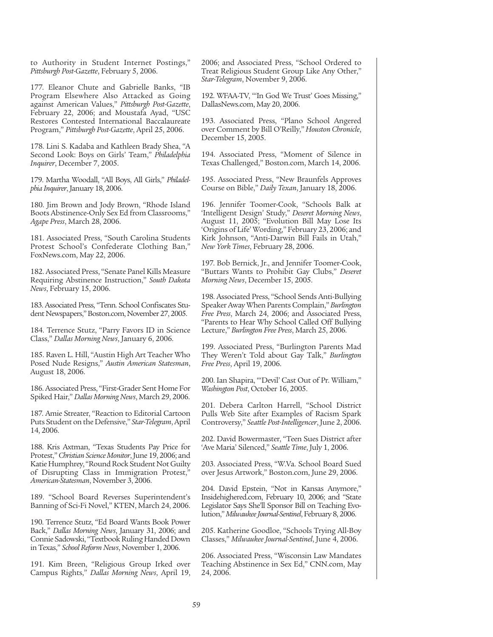to Authority in Student Internet Postings," *Pittsburgh Post-Gazette*, February 5, 2006.

177. Eleanor Chute and Gabrielle Banks, "IB Program Elsewhere Also Attacked as Going against American Values," *Pittsburgh Post-Gazette*, February 22, 2006; and Moustafa Ayad, "USC Restores Contested International Baccalaureate Program," *Pittsburgh Post-Gazette*, April 25, 2006.

178. Lini S. Kadaba and Kathleen Brady Shea, "A Second Look: Boys on Girls' Team," *Philadelphia Inquirer*, December 7, 2005.

179. Martha Woodall, "All Boys, All Girls," *Philadelphia Inquirer*, January 18, 2006.

180. Jim Brown and Jody Brown, "Rhode Island Boots Abstinence-Only Sex Ed from Classrooms," *Agape Press*, March 28, 2006.

181. Associated Press, "South Carolina Students Protest School's Confederate Clothing Ban," FoxNews.com, May 22, 2006.

182. Associated Press, "Senate Panel Kills Measure Requiring Abstinence Instruction," *South Dakota News*, February 15, 2006.

183. Associated Press, "Tenn. School Confiscates Student Newspapers," Boston.com, November 27, 2005.

184. Terrence Stutz, "Parry Favors ID in Science Class," *Dallas Morning News*, January 6, 2006.

185. Raven L. Hill, "Austin High Art Teacher Who Posed Nude Resigns," *Austin American Statesman*, August 18, 2006.

186. Associated Press, "First-Grader Sent Home For Spiked Hair," *Dallas Morning News*, March 29, 2006.

187. Amie Streater, "Reaction to Editorial Cartoon Puts Student on the Defensive," *Star-Telegram*, April 14, 2006.

188. Kris Axtman, "Texas Students Pay Price for Protest," *Christian Science Monitor*, June 19, 2006; and Katie Humphrey, "Round Rock Student Not Guilty of Disrupting Class in Immigration Protest," *American-Statesman*, November 3, 2006.

189. "School Board Reverses Superintendent's Banning of Sci-Fi Novel," KTEN, March 24, 2006.

190. Terrence Stutz, "Ed Board Wants Book Power Back," *Dallas Morning News*, January 31, 2006; and Connie Sadowski, "Textbook Ruling Handed Down in Texas," *School Reform News*, November 1, 2006.

191. Kim Breen, "Religious Group Irked over Campus Rights," *Dallas Morning News*, April 19, 2006; and Associated Press, "School Ordered to Treat Religious Student Group Like Any Other," *Star-Telegram*, November 9, 2006.

192. WFAA-TV, "'In God We Trust' Goes Missing," DallasNews.com, May 20, 2006.

193. Associated Press, "Plano School Angered over Comment by Bill O'Reilly," *Houston Chronicle*, December 15, 2005.

194. Associated Press, "Moment of Silence in Texas Challenged," Boston.com, March 14, 2006.

195. Associated Press, "New Braunfels Approves Course on Bible," *Daily Texan*, January 18, 2006.

196. Jennifer Toomer-Cook, "Schools Balk at 'Intelligent Design' Study," *Deseret Morning News*, August 11, 2005; "Evolution Bill May Lose Its 'Origins of Life' Wording," February 23, 2006; and Kirk Johnson, "Anti-Darwin Bill Fails in Utah," *New York Times*, February 28, 2006.

197. Bob Bernick, Jr., and Jennifer Toomer-Cook, "Buttars Wants to Prohibit Gay Clubs," *Deseret Morning News*, December 15, 2005.

198. Associated Press, "School Sends Anti-Bullying Speaker Away When Parents Complain," *Burlington Free Press*, March 24, 2006; and Associated Press, "Parents to Hear Why School Called Off Bullying Lecture," *Burlington Free Press*, March 25, 2006.

199. Associated Press, "Burlington Parents Mad They Weren't Told about Gay Talk," *Burlington Free Press*, April 19, 2006.

200. Ian Shapira, "'Devil' Cast Out of Pr. William," *Washington Post*, October 16, 2005.

201. Debera Carlton Harrell, "School District Pulls Web Site after Examples of Racism Spark Controversy," *Seattle Post-Intelligencer*, June 2, 2006.

202. David Bowermaster, "Teen Sues District after 'Ave Maria' Silenced," *Seattle Time*, July 1, 2006.

203. Associated Press, "W.Va. School Board Sued over Jesus Artwork," Boston.com, June 29, 2006.

204. David Epstein, "Not in Kansas Anymore," Insidehighered.com, February 10, 2006; and "State Legislator Says She'll Sponsor Bill on Teaching Evolution," *Milwaukee Journal-Sentinel*, February 8, 2006.

205. Katherine Goodloe, "Schools Trying All-Boy Classes," *Milwaukee Journal-Sentinel*, June 4, 2006.

206. Associated Press, "Wisconsin Law Mandates Teaching Abstinence in Sex Ed," CNN.com, May 24, 2006.